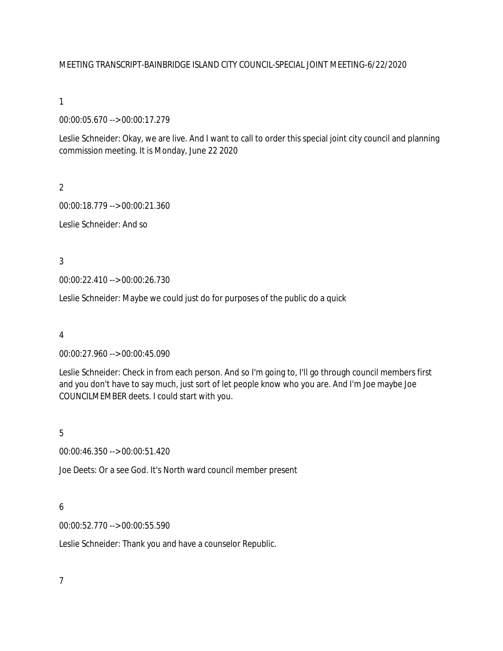## MEETING TRANSCRIPT-BAINBRIDGE ISLAND CITY COUNCIL-SPECIAL JOINT MEETING-6/22/2020

## 1

00:00:05.670 --> 00:00:17.279

Leslie Schneider: Okay, we are live. And I want to call to order this special joint city council and planning commission meeting. It is Monday, June 22 2020

# $\overline{2}$

00:00:18.779 --> 00:00:21.360

Leslie Schneider: And so

3

00:00:22.410 --> 00:00:26.730

Leslie Schneider: Maybe we could just do for purposes of the public do a quick

## 4

00:00:27.960 --> 00:00:45.090

Leslie Schneider: Check in from each person. And so I'm going to, I'll go through council members first and you don't have to say much, just sort of let people know who you are. And I'm Joe maybe Joe COUNCILMEMBER deets. I could start with you.

# 5

00:00:46.350 --> 00:00:51.420

Joe Deets: Or a see God. It's North ward council member present

# 6

00:00:52.770 --> 00:00:55.590

Leslie Schneider: Thank you and have a counselor Republic.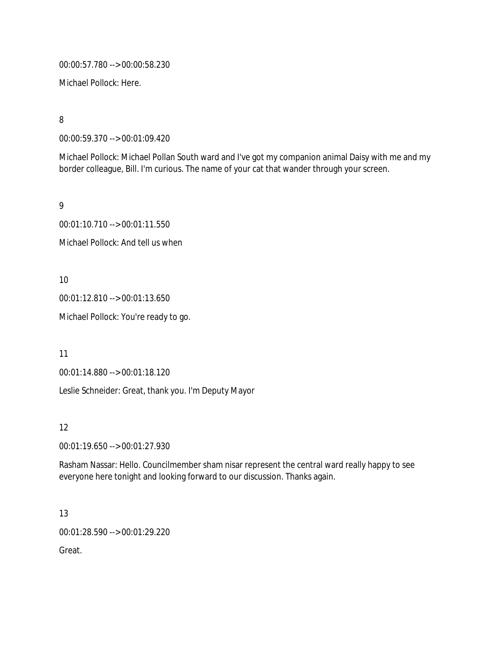00:00:57.780 --> 00:00:58.230

Michael Pollock: Here.

8

00:00:59.370 --> 00:01:09.420

Michael Pollock: Michael Pollan South ward and I've got my companion animal Daisy with me and my border colleague, Bill. I'm curious. The name of your cat that wander through your screen.

9

00:01:10.710 --> 00:01:11.550 Michael Pollock: And tell us when

10

00:01:12.810 --> 00:01:13.650

Michael Pollock: You're ready to go.

11

00:01:14.880 --> 00:01:18.120

Leslie Schneider: Great, thank you. I'm Deputy Mayor

12

00:01:19.650 --> 00:01:27.930

Rasham Nassar: Hello. Councilmember sham nisar represent the central ward really happy to see everyone here tonight and looking forward to our discussion. Thanks again.

13

00:01:28.590 --> 00:01:29.220

Great.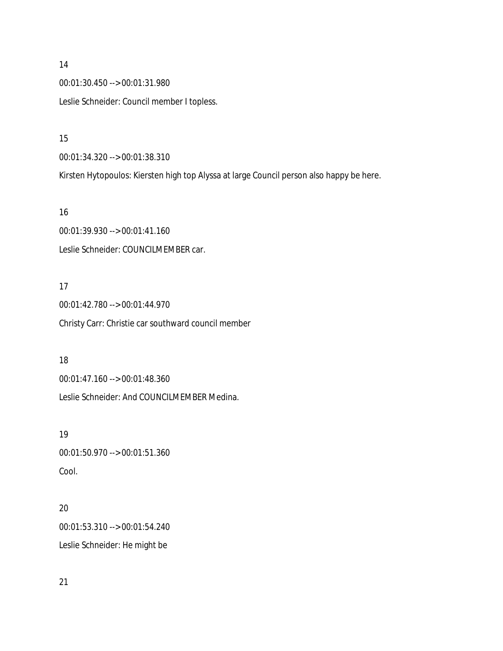# 00:01:30.450 --> 00:01:31.980 Leslie Schneider: Council member I topless.

15

14

00:01:34.320 --> 00:01:38.310

Kirsten Hytopoulos: Kiersten high top Alyssa at large Council person also happy be here.

16

00:01:39.930 --> 00:01:41.160 Leslie Schneider: COUNCILMEMBER car.

# 17

00:01:42.780 --> 00:01:44.970 Christy Carr: Christie car southward council member

# 18

00:01:47.160 --> 00:01:48.360 Leslie Schneider: And COUNCILMEMBER Medina.

# 19

00:01:50.970 --> 00:01:51.360 Cool.

# 20

00:01:53.310 --> 00:01:54.240 Leslie Schneider: He might be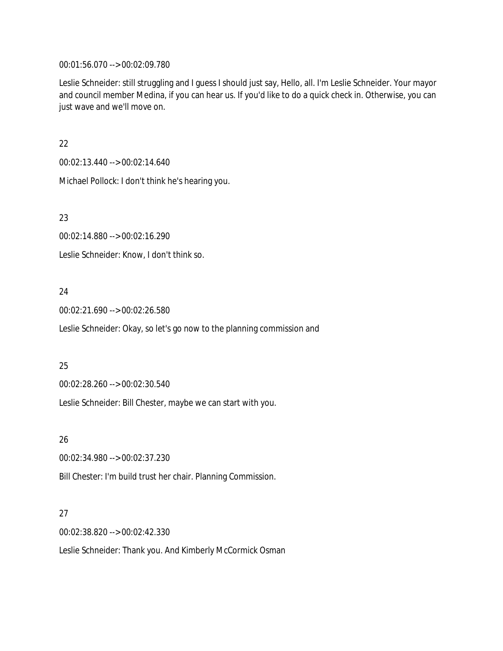00:01:56.070 --> 00:02:09.780

Leslie Schneider: still struggling and I guess I should just say, Hello, all. I'm Leslie Schneider. Your mayor and council member Medina, if you can hear us. If you'd like to do a quick check in. Otherwise, you can just wave and we'll move on.

22

00:02:13.440 --> 00:02:14.640

Michael Pollock: I don't think he's hearing you.

23

00:02:14.880 --> 00:02:16.290

Leslie Schneider: Know, I don't think so.

# 24

00:02:21.690 --> 00:02:26.580

Leslie Schneider: Okay, so let's go now to the planning commission and

## 25

00:02:28.260 --> 00:02:30.540

Leslie Schneider: Bill Chester, maybe we can start with you.

## 26

00:02:34.980 --> 00:02:37.230

Bill Chester: I'm build trust her chair. Planning Commission.

## 27

00:02:38.820 --> 00:02:42.330

Leslie Schneider: Thank you. And Kimberly McCormick Osman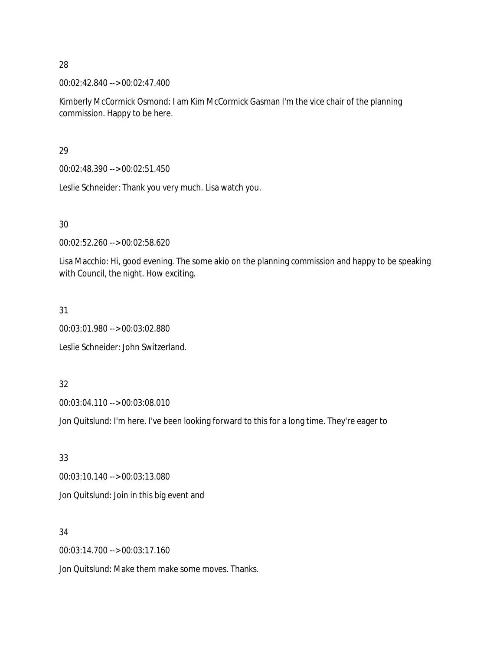28

00:02:42.840 --> 00:02:47.400

Kimberly McCormick Osmond: I am Kim McCormick Gasman I'm the vice chair of the planning commission. Happy to be here.

29

00:02:48.390 --> 00:02:51.450

Leslie Schneider: Thank you very much. Lisa watch you.

30

00:02:52.260 --> 00:02:58.620

Lisa Macchio: Hi, good evening. The some akio on the planning commission and happy to be speaking with Council, the night. How exciting.

31

00:03:01.980 --> 00:03:02.880

Leslie Schneider: John Switzerland.

32

00:03:04.110 --> 00:03:08.010

Jon Quitslund: I'm here. I've been looking forward to this for a long time. They're eager to

33 00:03:10.140 --> 00:03:13.080 Jon Quitslund: Join in this big event and

34

00:03:14.700 --> 00:03:17.160

Jon Quitslund: Make them make some moves. Thanks.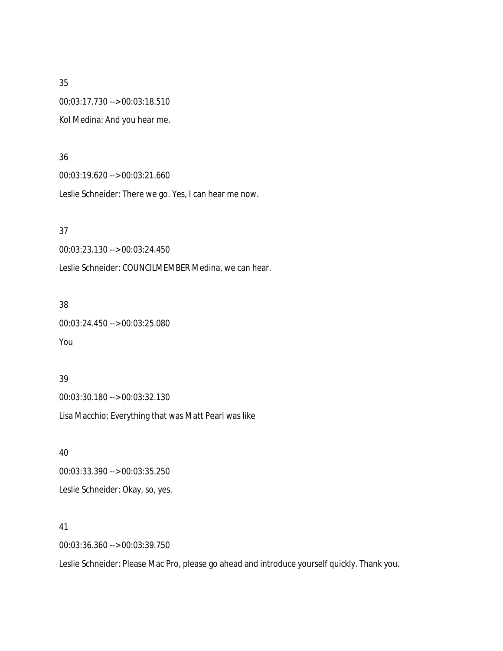35 00:03:17.730 --> 00:03:18.510 Kol Medina: And you hear me.

#### 36

00:03:19.620 --> 00:03:21.660

Leslie Schneider: There we go. Yes, I can hear me now.

#### 37

00:03:23.130 --> 00:03:24.450

Leslie Schneider: COUNCILMEMBER Medina, we can hear.

## 38

00:03:24.450 --> 00:03:25.080

# You

# 39 00:03:30.180 --> 00:03:32.130

Lisa Macchio: Everything that was Matt Pearl was like

40 00:03:33.390 --> 00:03:35.250 Leslie Schneider: Okay, so, yes.

#### 41

00:03:36.360 --> 00:03:39.750

Leslie Schneider: Please Mac Pro, please go ahead and introduce yourself quickly. Thank you.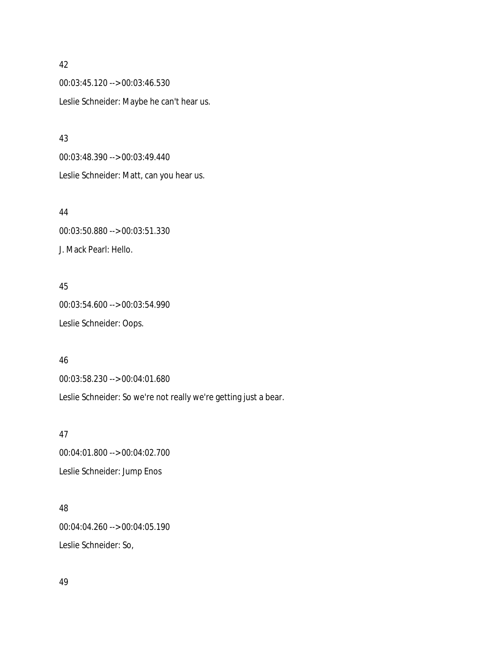#### 42

00:03:45.120 --> 00:03:46.530 Leslie Schneider: Maybe he can't hear us.

43 00:03:48.390 --> 00:03:49.440 Leslie Schneider: Matt, can you hear us.

44 00:03:50.880 --> 00:03:51.330 J. Mack Pearl: Hello.

45 00:03:54.600 --> 00:03:54.990 Leslie Schneider: Oops.

00:03:58.230 --> 00:04:01.680

Leslie Schneider: So we're not really we're getting just a bear.

47 00:04:01.800 --> 00:04:02.700 Leslie Schneider: Jump Enos

48 00:04:04.260 --> 00:04:05.190 Leslie Schneider: So,

49

46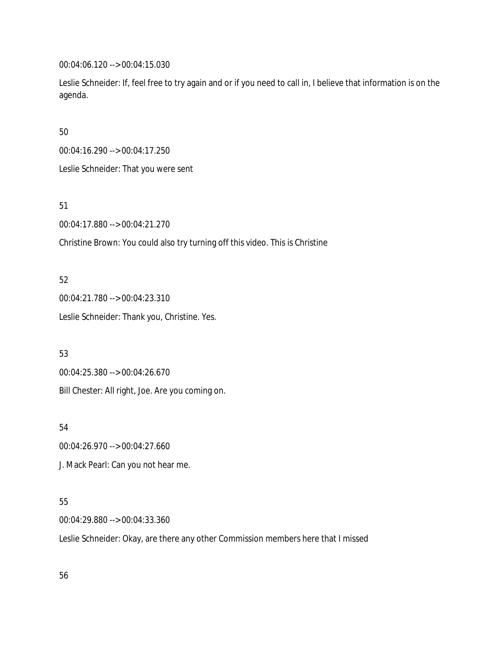00:04:06.120 --> 00:04:15.030

Leslie Schneider: If, feel free to try again and or if you need to call in, I believe that information is on the agenda.

50

00:04:16.290 --> 00:04:17.250

Leslie Schneider: That you were sent

51

00:04:17.880 --> 00:04:21.270

Christine Brown: You could also try turning off this video. This is Christine

52

00:04:21.780 --> 00:04:23.310 Leslie Schneider: Thank you, Christine. Yes.

53

00:04:25.380 --> 00:04:26.670 Bill Chester: All right, Joe. Are you coming on.

54

00:04:26.970 --> 00:04:27.660

J. Mack Pearl: Can you not hear me.

# 55

00:04:29.880 --> 00:04:33.360

Leslie Schneider: Okay, are there any other Commission members here that I missed

56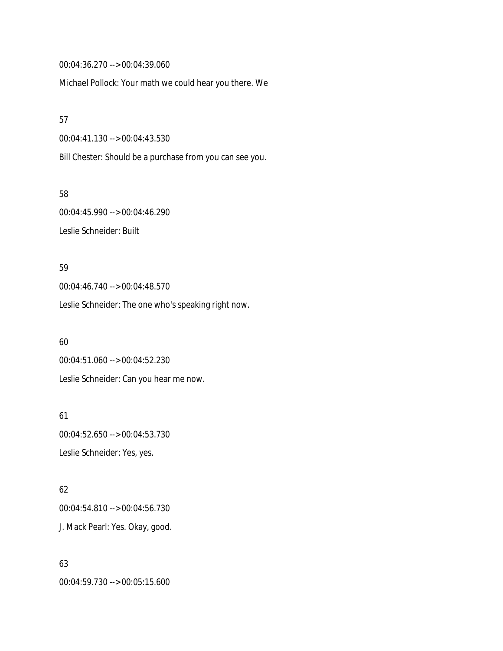00:04:36.270 --> 00:04:39.060

Michael Pollock: Your math we could hear you there. We

57

00:04:41.130 --> 00:04:43.530

Bill Chester: Should be a purchase from you can see you.

58 00:04:45.990 --> 00:04:46.290 Leslie Schneider: Built

59 00:04:46.740 --> 00:04:48.570 Leslie Schneider: The one who's speaking right now.

60 00:04:51.060 --> 00:04:52.230 Leslie Schneider: Can you hear me now.

61 00:04:52.650 --> 00:04:53.730 Leslie Schneider: Yes, yes.

62 00:04:54.810 --> 00:04:56.730 J. Mack Pearl: Yes. Okay, good.

63 00:04:59.730 --> 00:05:15.600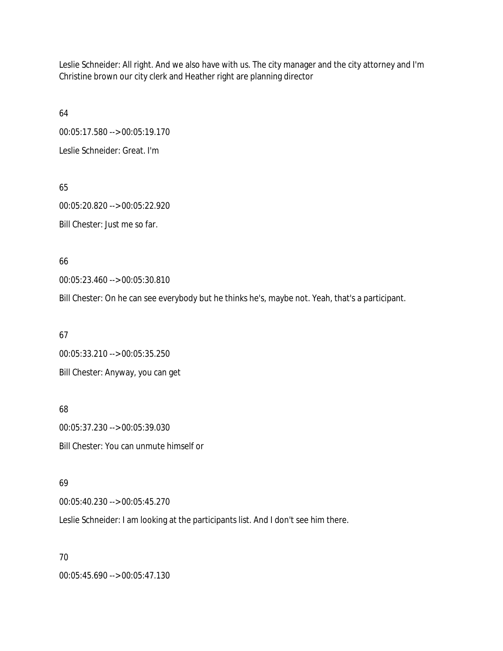Leslie Schneider: All right. And we also have with us. The city manager and the city attorney and I'm Christine brown our city clerk and Heather right are planning director

64 00:05:17.580 --> 00:05:19.170 Leslie Schneider: Great. I'm

65 00:05:20.820 --> 00:05:22.920 Bill Chester: Just me so far.

66

00:05:23.460 --> 00:05:30.810

Bill Chester: On he can see everybody but he thinks he's, maybe not. Yeah, that's a participant.

67 00:05:33.210 --> 00:05:35.250 Bill Chester: Anyway, you can get

68 00:05:37.230 --> 00:05:39.030 Bill Chester: You can unmute himself or

69

00:05:40.230 --> 00:05:45.270

Leslie Schneider: I am looking at the participants list. And I don't see him there.

70

00:05:45.690 --> 00:05:47.130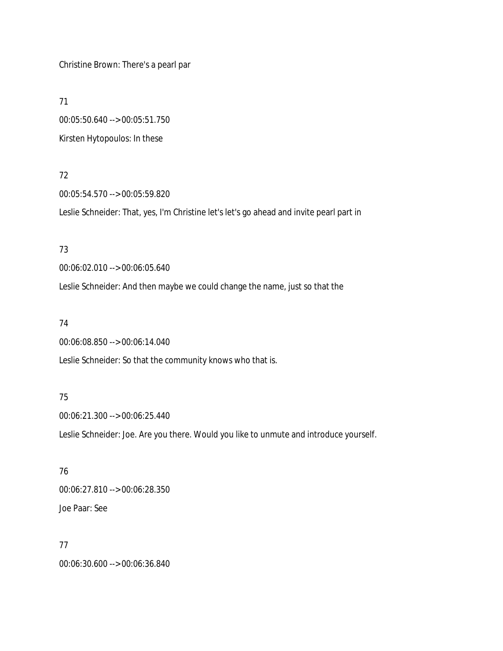Christine Brown: There's a pearl par

71

00:05:50.640 --> 00:05:51.750 Kirsten Hytopoulos: In these

## 72

00:05:54.570 --> 00:05:59.820 Leslie Schneider: That, yes, I'm Christine let's let's go ahead and invite pearl part in

# 73

00:06:02.010 --> 00:06:05.640

Leslie Schneider: And then maybe we could change the name, just so that the

## 74

00:06:08.850 --> 00:06:14.040

Leslie Schneider: So that the community knows who that is.

## 75

00:06:21.300 --> 00:06:25.440

Leslie Schneider: Joe. Are you there. Would you like to unmute and introduce yourself.

# 76 00:06:27.810 --> 00:06:28.350

Joe Paar: See

# 77

00:06:30.600 --> 00:06:36.840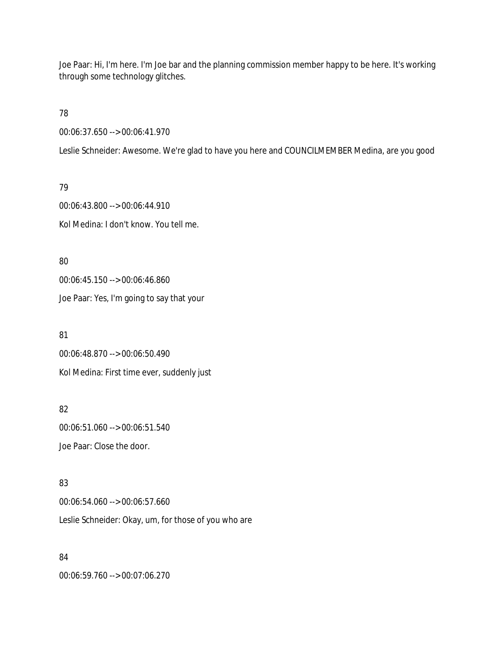Joe Paar: Hi, I'm here. I'm Joe bar and the planning commission member happy to be here. It's working through some technology glitches.

78

00:06:37.650 --> 00:06:41.970

Leslie Schneider: Awesome. We're glad to have you here and COUNCILMEMBER Medina, are you good

79 00:06:43.800 --> 00:06:44.910 Kol Medina: I don't know. You tell me.

80 00:06:45.150 --> 00:06:46.860 Joe Paar: Yes, I'm going to say that your

81 00:06:48.870 --> 00:06:50.490 Kol Medina: First time ever, suddenly just

82 00:06:51.060 --> 00:06:51.540 Joe Paar: Close the door.

83 00:06:54.060 --> 00:06:57.660 Leslie Schneider: Okay, um, for those of you who are

84 00:06:59.760 --> 00:07:06.270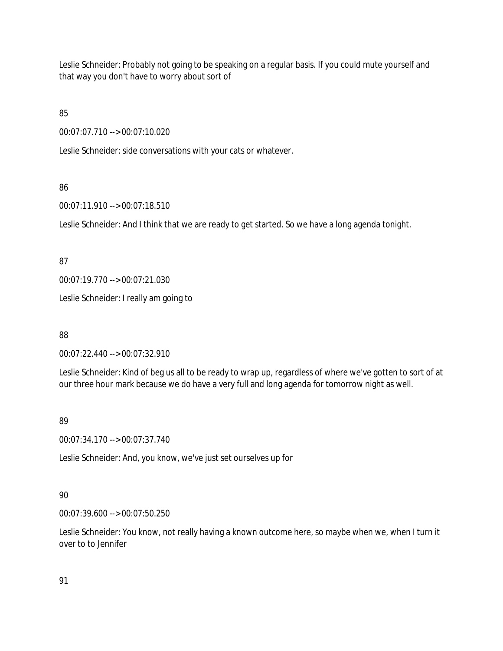Leslie Schneider: Probably not going to be speaking on a regular basis. If you could mute yourself and that way you don't have to worry about sort of

85

00:07:07.710 --> 00:07:10.020

Leslie Schneider: side conversations with your cats or whatever.

# 86

00:07:11.910 --> 00:07:18.510

Leslie Schneider: And I think that we are ready to get started. So we have a long agenda tonight.

# 87

00:07:19.770 --> 00:07:21.030

Leslie Schneider: I really am going to

88

00:07:22.440 --> 00:07:32.910

Leslie Schneider: Kind of beg us all to be ready to wrap up, regardless of where we've gotten to sort of at our three hour mark because we do have a very full and long agenda for tomorrow night as well.

# 89

00:07:34.170 --> 00:07:37.740

Leslie Schneider: And, you know, we've just set ourselves up for

# 90

00:07:39.600 --> 00:07:50.250

Leslie Schneider: You know, not really having a known outcome here, so maybe when we, when I turn it over to to Jennifer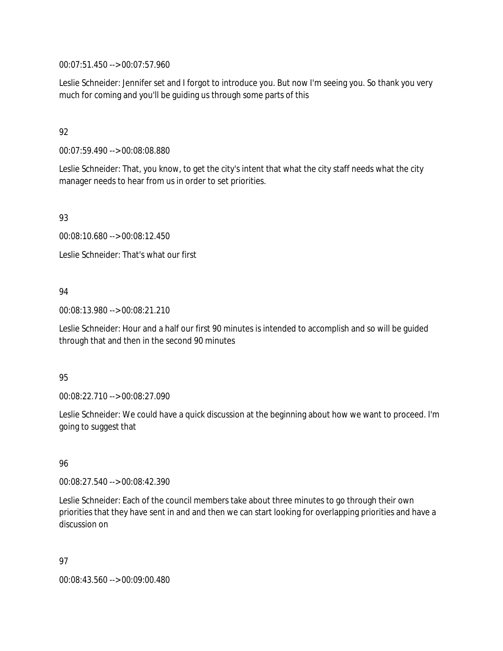00:07:51.450 --> 00:07:57.960

Leslie Schneider: Jennifer set and I forgot to introduce you. But now I'm seeing you. So thank you very much for coming and you'll be guiding us through some parts of this

# 92

00:07:59.490 --> 00:08:08.880

Leslie Schneider: That, you know, to get the city's intent that what the city staff needs what the city manager needs to hear from us in order to set priorities.

93

00:08:10.680 --> 00:08:12.450

Leslie Schneider: That's what our first

# 94

00:08:13.980 --> 00:08:21.210

Leslie Schneider: Hour and a half our first 90 minutes is intended to accomplish and so will be guided through that and then in the second 90 minutes

## 95

00:08:22.710 --> 00:08:27.090

Leslie Schneider: We could have a quick discussion at the beginning about how we want to proceed. I'm going to suggest that

# 96

00:08:27.540 --> 00:08:42.390

Leslie Schneider: Each of the council members take about three minutes to go through their own priorities that they have sent in and and then we can start looking for overlapping priorities and have a discussion on

97

00:08:43.560 --> 00:09:00.480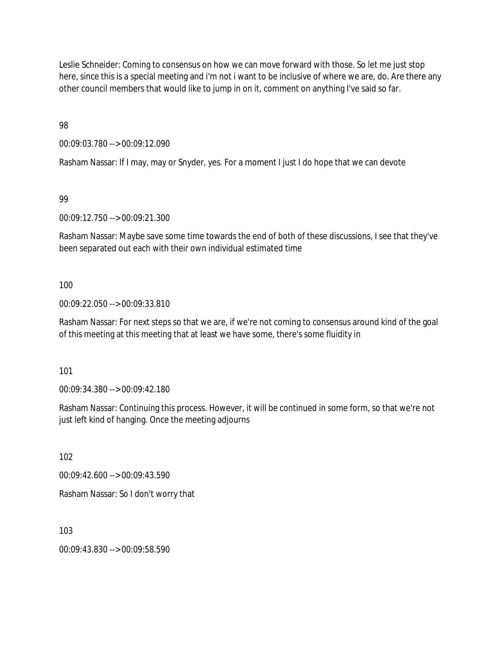Leslie Schneider: Coming to consensus on how we can move forward with those. So let me just stop here, since this is a special meeting and i'm not i want to be inclusive of where we are, do. Are there any other council members that would like to jump in on it, comment on anything I've said so far.

98

00:09:03.780 --> 00:09:12.090

Rasham Nassar: If I may, may or Snyder, yes. For a moment I just I do hope that we can devote

99

00:09:12.750 --> 00:09:21.300

Rasham Nassar: Maybe save some time towards the end of both of these discussions, I see that they've been separated out each with their own individual estimated time

100

00:09:22.050 --> 00:09:33.810

Rasham Nassar: For next steps so that we are, if we're not coming to consensus around kind of the goal of this meeting at this meeting that at least we have some, there's some fluidity in

101

00:09:34.380 --> 00:09:42.180

Rasham Nassar: Continuing this process. However, it will be continued in some form, so that we're not just left kind of hanging. Once the meeting adjourns

102

00:09:42.600 --> 00:09:43.590

Rasham Nassar: So I don't worry that

103

00:09:43.830 --> 00:09:58.590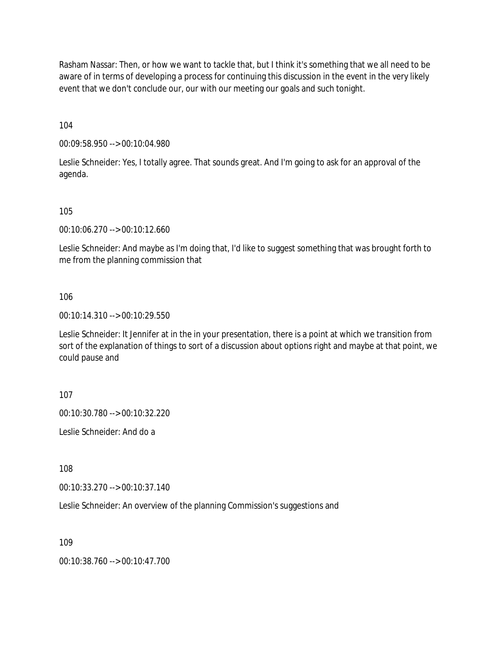Rasham Nassar: Then, or how we want to tackle that, but I think it's something that we all need to be aware of in terms of developing a process for continuing this discussion in the event in the very likely event that we don't conclude our, our with our meeting our goals and such tonight.

104

00:09:58.950 --> 00:10:04.980

Leslie Schneider: Yes, I totally agree. That sounds great. And I'm going to ask for an approval of the agenda.

105

00:10:06.270 --> 00:10:12.660

Leslie Schneider: And maybe as I'm doing that, I'd like to suggest something that was brought forth to me from the planning commission that

106

00:10:14.310 --> 00:10:29.550

Leslie Schneider: It Jennifer at in the in your presentation, there is a point at which we transition from sort of the explanation of things to sort of a discussion about options right and maybe at that point, we could pause and

107

00:10:30.780 --> 00:10:32.220

Leslie Schneider: And do a

108

00:10:33.270 --> 00:10:37.140

Leslie Schneider: An overview of the planning Commission's suggestions and

109

00:10:38.760 --> 00:10:47.700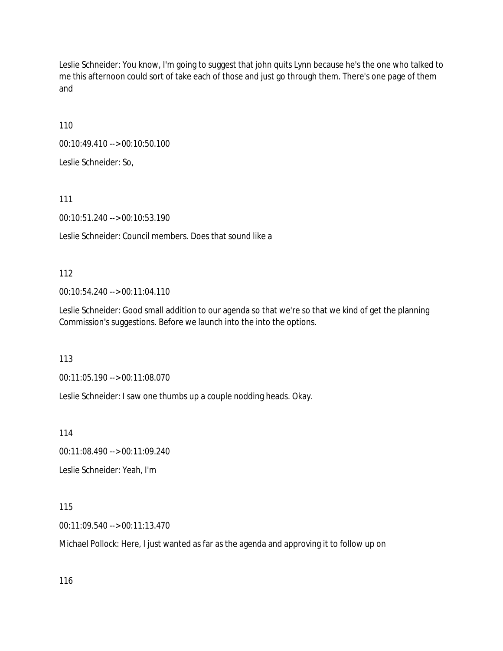Leslie Schneider: You know, I'm going to suggest that john quits Lynn because he's the one who talked to me this afternoon could sort of take each of those and just go through them. There's one page of them and

110

00:10:49.410 --> 00:10:50.100

Leslie Schneider: So,

111

00:10:51.240 --> 00:10:53.190

Leslie Schneider: Council members. Does that sound like a

112

00:10:54.240 --> 00:11:04.110

Leslie Schneider: Good small addition to our agenda so that we're so that we kind of get the planning Commission's suggestions. Before we launch into the into the options.

113

00:11:05.190 --> 00:11:08.070

Leslie Schneider: I saw one thumbs up a couple nodding heads. Okay.

114

00:11:08.490 --> 00:11:09.240

Leslie Schneider: Yeah, I'm

115

00:11:09.540 --> 00:11:13.470

Michael Pollock: Here, I just wanted as far as the agenda and approving it to follow up on

116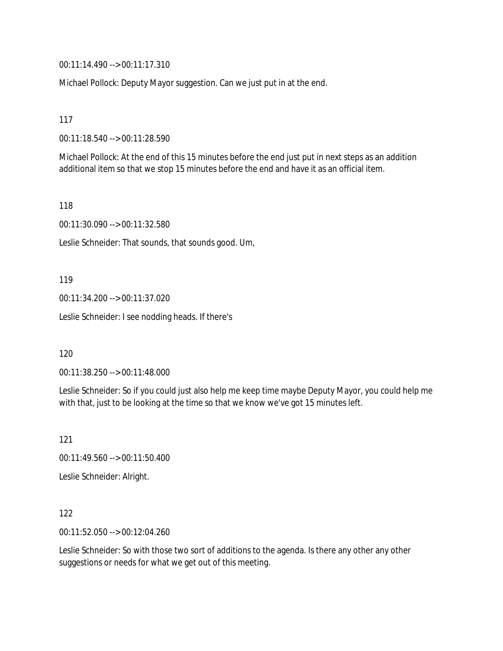00:11:14.490 --> 00:11:17.310

Michael Pollock: Deputy Mayor suggestion. Can we just put in at the end.

117

00:11:18.540 --> 00:11:28.590

Michael Pollock: At the end of this 15 minutes before the end just put in next steps as an addition additional item so that we stop 15 minutes before the end and have it as an official item.

118

00:11:30.090 --> 00:11:32.580

Leslie Schneider: That sounds, that sounds good. Um,

119

00:11:34.200 --> 00:11:37.020

Leslie Schneider: I see nodding heads. If there's

120

00:11:38.250 --> 00:11:48.000

Leslie Schneider: So if you could just also help me keep time maybe Deputy Mayor, you could help me with that, just to be looking at the time so that we know we've got 15 minutes left.

121

00:11:49.560 --> 00:11:50.400

Leslie Schneider: Alright.

122

00:11:52.050 --> 00:12:04.260

Leslie Schneider: So with those two sort of additions to the agenda. Is there any other any other suggestions or needs for what we get out of this meeting.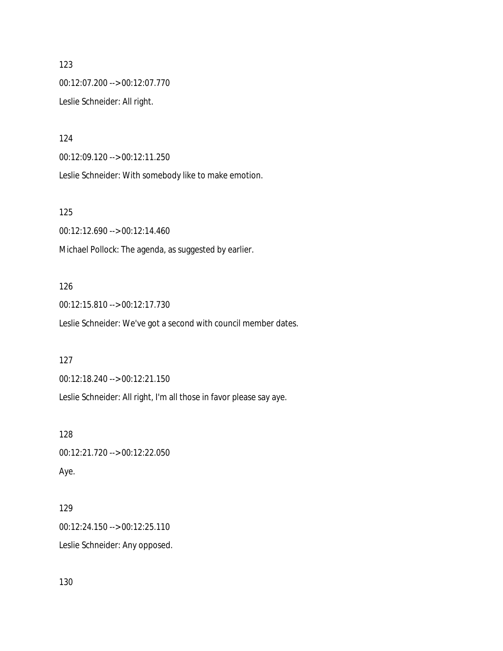123 00:12:07.200 --> 00:12:07.770 Leslie Schneider: All right.

124

00:12:09.120 --> 00:12:11.250

Leslie Schneider: With somebody like to make emotion.

125

00:12:12.690 --> 00:12:14.460

Michael Pollock: The agenda, as suggested by earlier.

## 126

00:12:15.810 --> 00:12:17.730

Leslie Schneider: We've got a second with council member dates.

127

00:12:18.240 --> 00:12:21.150

Leslie Schneider: All right, I'm all those in favor please say aye.

128 00:12:21.720 --> 00:12:22.050

Aye.

129 00:12:24.150 --> 00:12:25.110 Leslie Schneider: Any opposed.

130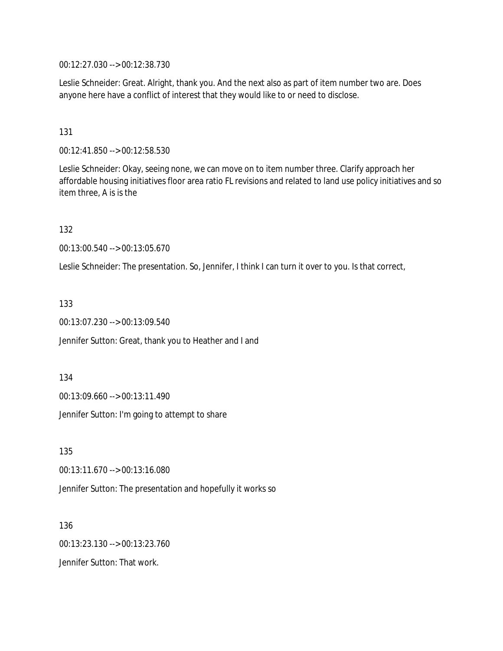00:12:27.030 --> 00:12:38.730

Leslie Schneider: Great. Alright, thank you. And the next also as part of item number two are. Does anyone here have a conflict of interest that they would like to or need to disclose.

131

00:12:41.850 --> 00:12:58.530

Leslie Schneider: Okay, seeing none, we can move on to item number three. Clarify approach her affordable housing initiatives floor area ratio FL revisions and related to land use policy initiatives and so item three, A is is the

132

00:13:00.540 --> 00:13:05.670

Leslie Schneider: The presentation. So, Jennifer, I think I can turn it over to you. Is that correct,

133

00:13:07.230 --> 00:13:09.540

Jennifer Sutton: Great, thank you to Heather and I and

134

00:13:09.660 --> 00:13:11.490

Jennifer Sutton: I'm going to attempt to share

135 00:13:11.670 --> 00:13:16.080 Jennifer Sutton: The presentation and hopefully it works so

136 00:13:23.130 --> 00:13:23.760 Jennifer Sutton: That work.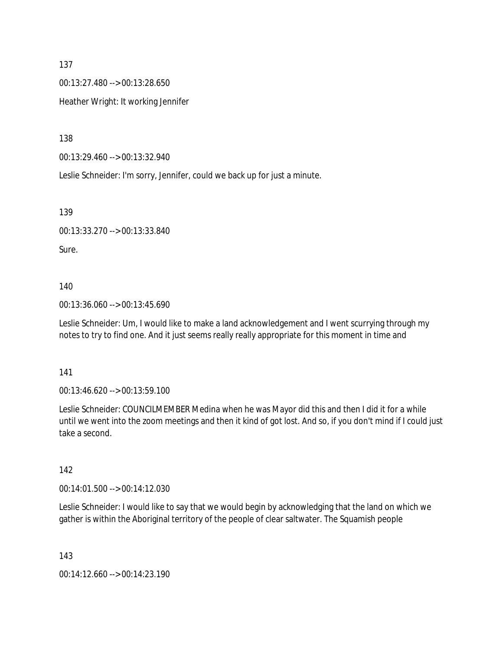137

00:13:27.480 --> 00:13:28.650

Heather Wright: It working Jennifer

138

00:13:29.460 --> 00:13:32.940

Leslie Schneider: I'm sorry, Jennifer, could we back up for just a minute.

139

00:13:33.270 --> 00:13:33.840

Sure.

140

00:13:36.060 --> 00:13:45.690

Leslie Schneider: Um, I would like to make a land acknowledgement and I went scurrying through my notes to try to find one. And it just seems really really appropriate for this moment in time and

141

00:13:46.620 --> 00:13:59.100

Leslie Schneider: COUNCILMEMBER Medina when he was Mayor did this and then I did it for a while until we went into the zoom meetings and then it kind of got lost. And so, if you don't mind if I could just take a second.

142

00:14:01.500 --> 00:14:12.030

Leslie Schneider: I would like to say that we would begin by acknowledging that the land on which we gather is within the Aboriginal territory of the people of clear saltwater. The Squamish people

143

00:14:12.660 --> 00:14:23.190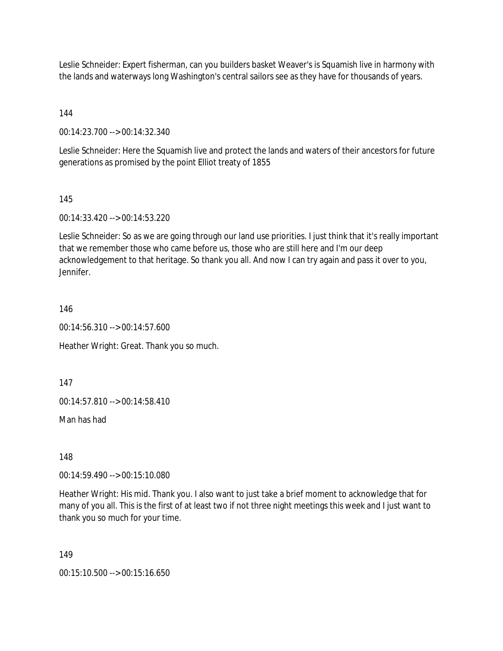Leslie Schneider: Expert fisherman, can you builders basket Weaver's is Squamish live in harmony with the lands and waterways long Washington's central sailors see as they have for thousands of years.

144

00:14:23.700 --> 00:14:32.340

Leslie Schneider: Here the Squamish live and protect the lands and waters of their ancestors for future generations as promised by the point Elliot treaty of 1855

145

00:14:33.420 --> 00:14:53.220

Leslie Schneider: So as we are going through our land use priorities. I just think that it's really important that we remember those who came before us, those who are still here and I'm our deep acknowledgement to that heritage. So thank you all. And now I can try again and pass it over to you, Jennifer.

146

00:14:56.310 --> 00:14:57.600

Heather Wright: Great. Thank you so much.

147

00:14:57.810 --> 00:14:58.410

Man has had

148

00:14:59.490 --> 00:15:10.080

Heather Wright: His mid. Thank you. I also want to just take a brief moment to acknowledge that for many of you all. This is the first of at least two if not three night meetings this week and I just want to thank you so much for your time.

149

00:15:10.500 --> 00:15:16.650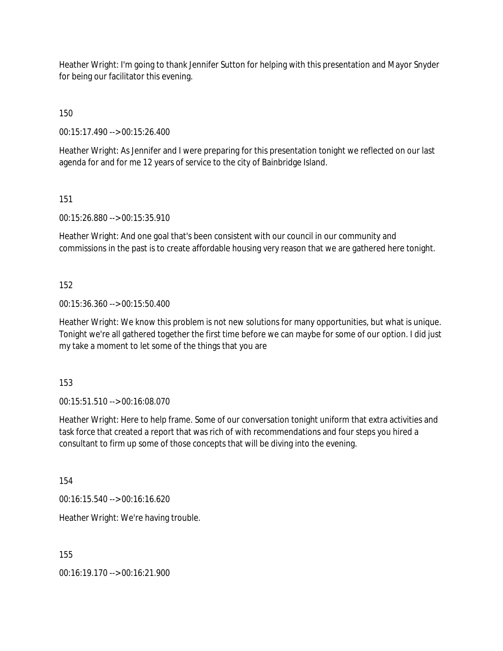Heather Wright: I'm going to thank Jennifer Sutton for helping with this presentation and Mayor Snyder for being our facilitator this evening.

150

00:15:17.490 --> 00:15:26.400

Heather Wright: As Jennifer and I were preparing for this presentation tonight we reflected on our last agenda for and for me 12 years of service to the city of Bainbridge Island.

151

00:15:26.880 --> 00:15:35.910

Heather Wright: And one goal that's been consistent with our council in our community and commissions in the past is to create affordable housing very reason that we are gathered here tonight.

152

00:15:36.360 --> 00:15:50.400

Heather Wright: We know this problem is not new solutions for many opportunities, but what is unique. Tonight we're all gathered together the first time before we can maybe for some of our option. I did just my take a moment to let some of the things that you are

153

00:15:51.510 --> 00:16:08.070

Heather Wright: Here to help frame. Some of our conversation tonight uniform that extra activities and task force that created a report that was rich of with recommendations and four steps you hired a consultant to firm up some of those concepts that will be diving into the evening.

154

00:16:15.540 --> 00:16:16.620

Heather Wright: We're having trouble.

155

00:16:19.170 --> 00:16:21.900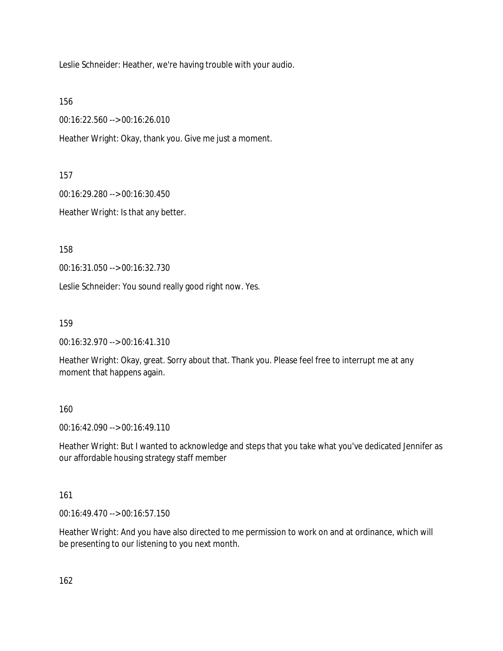Leslie Schneider: Heather, we're having trouble with your audio.

156

00:16:22.560 --> 00:16:26.010

Heather Wright: Okay, thank you. Give me just a moment.

157

00:16:29.280 --> 00:16:30.450

Heather Wright: Is that any better.

158

00:16:31.050 --> 00:16:32.730

Leslie Schneider: You sound really good right now. Yes.

159

00:16:32.970 --> 00:16:41.310

Heather Wright: Okay, great. Sorry about that. Thank you. Please feel free to interrupt me at any moment that happens again.

160

00:16:42.090 --> 00:16:49.110

Heather Wright: But I wanted to acknowledge and steps that you take what you've dedicated Jennifer as our affordable housing strategy staff member

161

00:16:49.470 --> 00:16:57.150

Heather Wright: And you have also directed to me permission to work on and at ordinance, which will be presenting to our listening to you next month.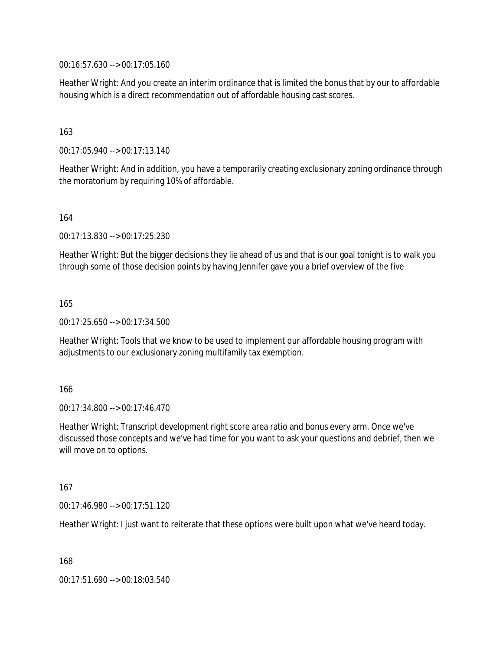00:16:57.630 --> 00:17:05.160

Heather Wright: And you create an interim ordinance that is limited the bonus that by our to affordable housing which is a direct recommendation out of affordable housing cast scores.

## 163

00:17:05.940 --> 00:17:13.140

Heather Wright: And in addition, you have a temporarily creating exclusionary zoning ordinance through the moratorium by requiring 10% of affordable.

164

00:17:13.830 --> 00:17:25.230

Heather Wright: But the bigger decisions they lie ahead of us and that is our goal tonight is to walk you through some of those decision points by having Jennifer gave you a brief overview of the five

165

00:17:25.650 --> 00:17:34.500

Heather Wright: Tools that we know to be used to implement our affordable housing program with adjustments to our exclusionary zoning multifamily tax exemption.

#### 166

00:17:34.800 --> 00:17:46.470

Heather Wright: Transcript development right score area ratio and bonus every arm. Once we've discussed those concepts and we've had time for you want to ask your questions and debrief, then we will move on to options.

#### 167

00:17:46.980 --> 00:17:51.120

Heather Wright: I just want to reiterate that these options were built upon what we've heard today.

168

00:17:51.690 --> 00:18:03.540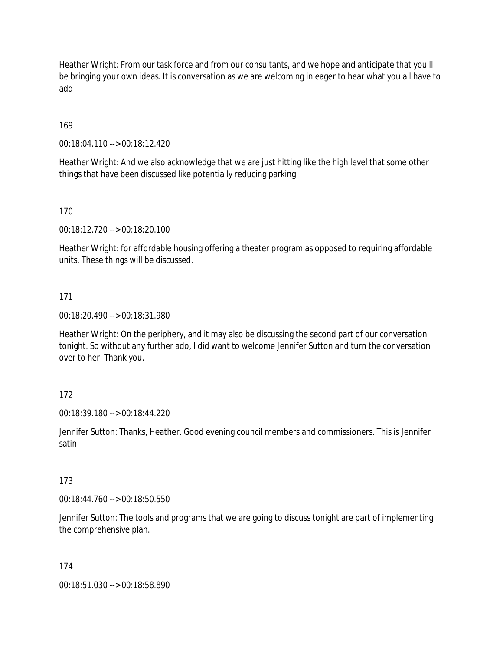Heather Wright: From our task force and from our consultants, and we hope and anticipate that you'll be bringing your own ideas. It is conversation as we are welcoming in eager to hear what you all have to add

# 169

00:18:04.110 --> 00:18:12.420

Heather Wright: And we also acknowledge that we are just hitting like the high level that some other things that have been discussed like potentially reducing parking

## 170

00:18:12.720 --> 00:18:20.100

Heather Wright: for affordable housing offering a theater program as opposed to requiring affordable units. These things will be discussed.

## 171

00:18:20.490 --> 00:18:31.980

Heather Wright: On the periphery, and it may also be discussing the second part of our conversation tonight. So without any further ado, I did want to welcome Jennifer Sutton and turn the conversation over to her. Thank you.

## 172

00:18:39.180 --> 00:18:44.220

Jennifer Sutton: Thanks, Heather. Good evening council members and commissioners. This is Jennifer satin

## 173

00:18:44.760 --> 00:18:50.550

Jennifer Sutton: The tools and programs that we are going to discuss tonight are part of implementing the comprehensive plan.

#### 174

00:18:51.030 --> 00:18:58.890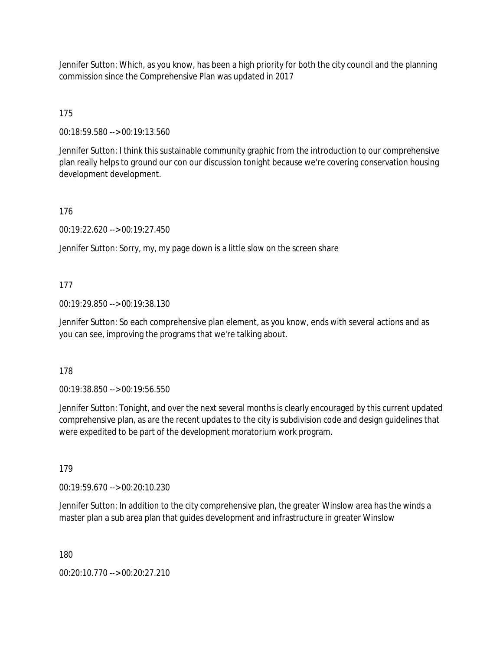Jennifer Sutton: Which, as you know, has been a high priority for both the city council and the planning commission since the Comprehensive Plan was updated in 2017

175

00:18:59.580 --> 00:19:13.560

Jennifer Sutton: I think this sustainable community graphic from the introduction to our comprehensive plan really helps to ground our con our discussion tonight because we're covering conservation housing development development.

176

00:19:22.620 --> 00:19:27.450

Jennifer Sutton: Sorry, my, my page down is a little slow on the screen share

# 177

00:19:29.850 --> 00:19:38.130

Jennifer Sutton: So each comprehensive plan element, as you know, ends with several actions and as you can see, improving the programs that we're talking about.

## 178

00:19:38.850 --> 00:19:56.550

Jennifer Sutton: Tonight, and over the next several months is clearly encouraged by this current updated comprehensive plan, as are the recent updates to the city is subdivision code and design guidelines that were expedited to be part of the development moratorium work program.

179

00:19:59.670 --> 00:20:10.230

Jennifer Sutton: In addition to the city comprehensive plan, the greater Winslow area has the winds a master plan a sub area plan that guides development and infrastructure in greater Winslow

180

00:20:10.770 --> 00:20:27.210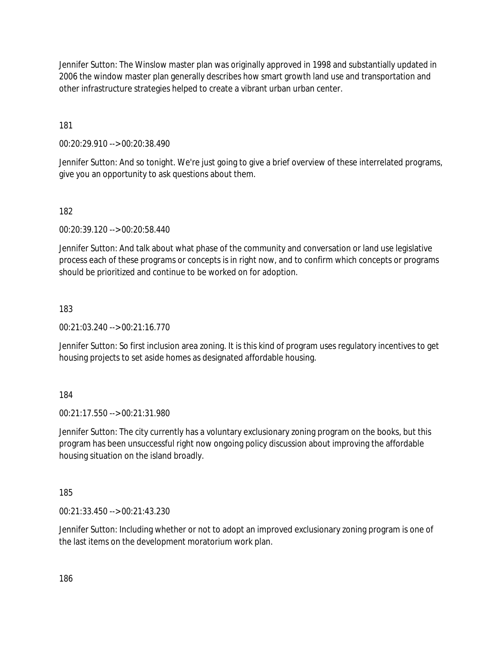Jennifer Sutton: The Winslow master plan was originally approved in 1998 and substantially updated in 2006 the window master plan generally describes how smart growth land use and transportation and other infrastructure strategies helped to create a vibrant urban urban center.

181

00:20:29.910 --> 00:20:38.490

Jennifer Sutton: And so tonight. We're just going to give a brief overview of these interrelated programs, give you an opportunity to ask questions about them.

182

00:20:39.120 --> 00:20:58.440

Jennifer Sutton: And talk about what phase of the community and conversation or land use legislative process each of these programs or concepts is in right now, and to confirm which concepts or programs should be prioritized and continue to be worked on for adoption.

183

00:21:03.240 --> 00:21:16.770

Jennifer Sutton: So first inclusion area zoning. It is this kind of program uses regulatory incentives to get housing projects to set aside homes as designated affordable housing.

184

00:21:17.550 --> 00:21:31.980

Jennifer Sutton: The city currently has a voluntary exclusionary zoning program on the books, but this program has been unsuccessful right now ongoing policy discussion about improving the affordable housing situation on the island broadly.

185

00:21:33.450 --> 00:21:43.230

Jennifer Sutton: Including whether or not to adopt an improved exclusionary zoning program is one of the last items on the development moratorium work plan.

186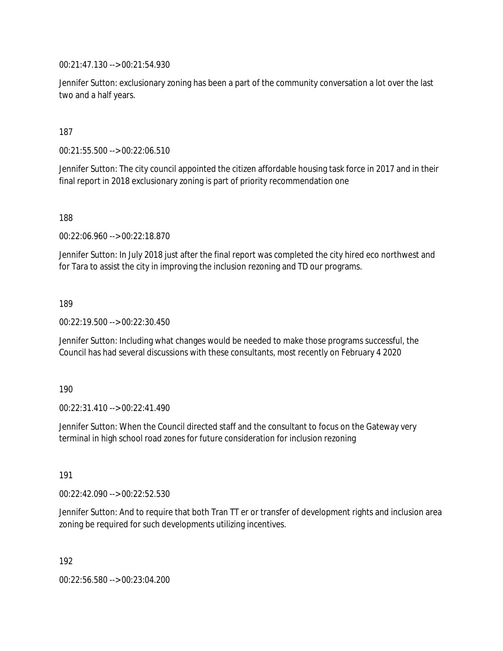00:21:47.130 --> 00:21:54.930

Jennifer Sutton: exclusionary zoning has been a part of the community conversation a lot over the last two and a half years.

187

00:21:55.500 --> 00:22:06.510

Jennifer Sutton: The city council appointed the citizen affordable housing task force in 2017 and in their final report in 2018 exclusionary zoning is part of priority recommendation one

188

00:22:06.960 --> 00:22:18.870

Jennifer Sutton: In July 2018 just after the final report was completed the city hired eco northwest and for Tara to assist the city in improving the inclusion rezoning and TD our programs.

189

00:22:19.500 --> 00:22:30.450

Jennifer Sutton: Including what changes would be needed to make those programs successful, the Council has had several discussions with these consultants, most recently on February 4 2020

190

00:22:31.410 --> 00:22:41.490

Jennifer Sutton: When the Council directed staff and the consultant to focus on the Gateway very terminal in high school road zones for future consideration for inclusion rezoning

191

00:22:42.090 --> 00:22:52.530

Jennifer Sutton: And to require that both Tran TT er or transfer of development rights and inclusion area zoning be required for such developments utilizing incentives.

192

00:22:56.580 --> 00:23:04.200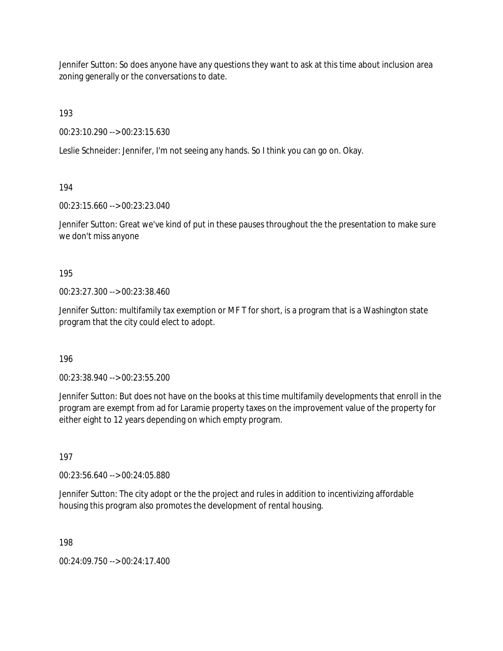Jennifer Sutton: So does anyone have any questions they want to ask at this time about inclusion area zoning generally or the conversations to date.

193

00:23:10.290 --> 00:23:15.630

Leslie Schneider: Jennifer, I'm not seeing any hands. So I think you can go on. Okay.

194

00:23:15.660 --> 00:23:23.040

Jennifer Sutton: Great we've kind of put in these pauses throughout the the presentation to make sure we don't miss anyone

195

00:23:27.300 --> 00:23:38.460

Jennifer Sutton: multifamily tax exemption or MF T for short, is a program that is a Washington state program that the city could elect to adopt.

196

00:23:38.940 --> 00:23:55.200

Jennifer Sutton: But does not have on the books at this time multifamily developments that enroll in the program are exempt from ad for Laramie property taxes on the improvement value of the property for either eight to 12 years depending on which empty program.

197

00:23:56.640 --> 00:24:05.880

Jennifer Sutton: The city adopt or the the project and rules in addition to incentivizing affordable housing this program also promotes the development of rental housing.

198

00:24:09.750 --> 00:24:17.400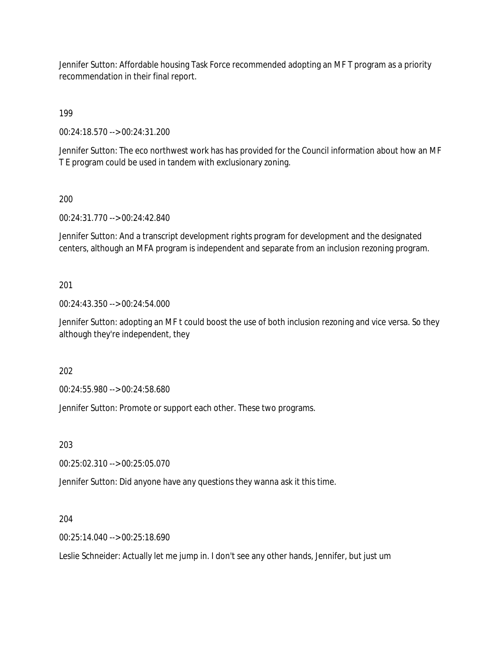Jennifer Sutton: Affordable housing Task Force recommended adopting an MF T program as a priority recommendation in their final report.

199

00:24:18.570 --> 00:24:31.200

Jennifer Sutton: The eco northwest work has has provided for the Council information about how an MF T E program could be used in tandem with exclusionary zoning.

200

00:24:31.770 --> 00:24:42.840

Jennifer Sutton: And a transcript development rights program for development and the designated centers, although an MFA program is independent and separate from an inclusion rezoning program.

201

00:24:43.350 --> 00:24:54.000

Jennifer Sutton: adopting an MF t could boost the use of both inclusion rezoning and vice versa. So they although they're independent, they

202

00:24:55.980 --> 00:24:58.680

Jennifer Sutton: Promote or support each other. These two programs.

203

00:25:02.310 --> 00:25:05.070

Jennifer Sutton: Did anyone have any questions they wanna ask it this time.

204

00:25:14.040 --> 00:25:18.690

Leslie Schneider: Actually let me jump in. I don't see any other hands, Jennifer, but just um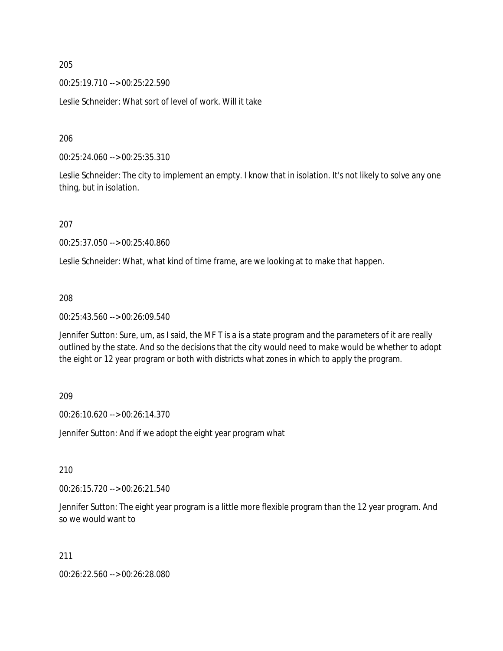205

00:25:19.710 --> 00:25:22.590

Leslie Schneider: What sort of level of work. Will it take

206

00:25:24.060 --> 00:25:35.310

Leslie Schneider: The city to implement an empty. I know that in isolation. It's not likely to solve any one thing, but in isolation.

207

00:25:37.050 --> 00:25:40.860

Leslie Schneider: What, what kind of time frame, are we looking at to make that happen.

### 208

00:25:43.560 --> 00:26:09.540

Jennifer Sutton: Sure, um, as I said, the MF T is a is a state program and the parameters of it are really outlined by the state. And so the decisions that the city would need to make would be whether to adopt the eight or 12 year program or both with districts what zones in which to apply the program.

#### 209

00:26:10.620 --> 00:26:14.370

Jennifer Sutton: And if we adopt the eight year program what

# 210

00:26:15.720 --> 00:26:21.540

Jennifer Sutton: The eight year program is a little more flexible program than the 12 year program. And so we would want to

#### 211

00:26:22.560 --> 00:26:28.080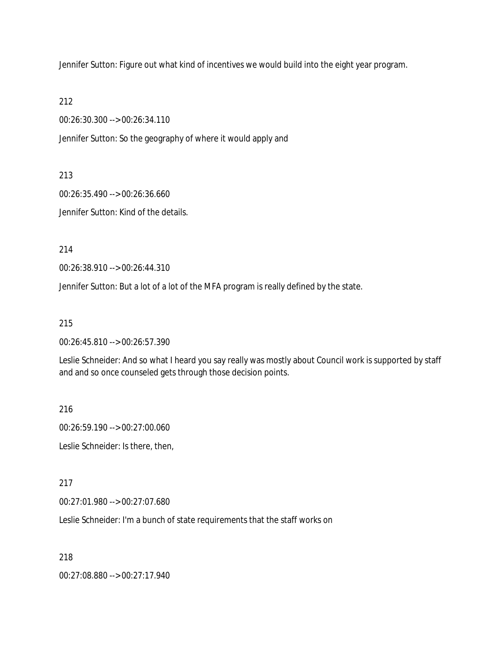Jennifer Sutton: Figure out what kind of incentives we would build into the eight year program.

212

00:26:30.300 --> 00:26:34.110

Jennifer Sutton: So the geography of where it would apply and

213

00:26:35.490 --> 00:26:36.660

Jennifer Sutton: Kind of the details.

214

00:26:38.910 --> 00:26:44.310

Jennifer Sutton: But a lot of a lot of the MFA program is really defined by the state.

215

00:26:45.810 --> 00:26:57.390

Leslie Schneider: And so what I heard you say really was mostly about Council work is supported by staff and and so once counseled gets through those decision points.

216

00:26:59.190 --> 00:27:00.060 Leslie Schneider: Is there, then,

217

00:27:01.980 --> 00:27:07.680

Leslie Schneider: I'm a bunch of state requirements that the staff works on

218

00:27:08.880 --> 00:27:17.940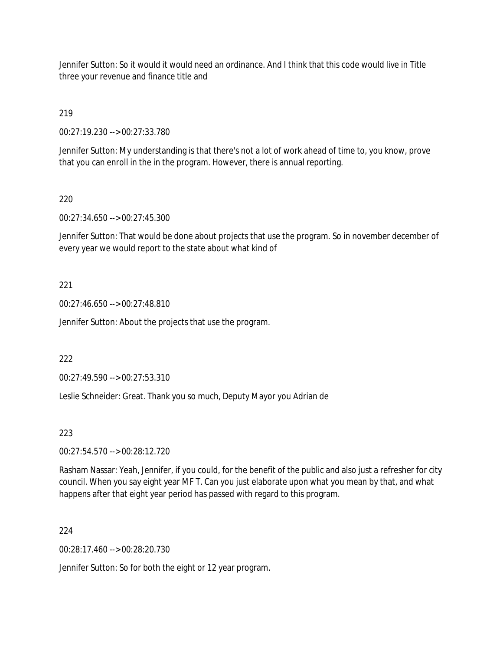Jennifer Sutton: So it would it would need an ordinance. And I think that this code would live in Title three your revenue and finance title and

219

00:27:19.230 --> 00:27:33.780

Jennifer Sutton: My understanding is that there's not a lot of work ahead of time to, you know, prove that you can enroll in the in the program. However, there is annual reporting.

220

00:27:34.650 --> 00:27:45.300

Jennifer Sutton: That would be done about projects that use the program. So in november december of every year we would report to the state about what kind of

221

00:27:46.650 --> 00:27:48.810

Jennifer Sutton: About the projects that use the program.

222

00:27:49.590 --> 00:27:53.310

Leslie Schneider: Great. Thank you so much, Deputy Mayor you Adrian de

223

00:27:54.570 --> 00:28:12.720

Rasham Nassar: Yeah, Jennifer, if you could, for the benefit of the public and also just a refresher for city council. When you say eight year MF T. Can you just elaborate upon what you mean by that, and what happens after that eight year period has passed with regard to this program.

224

00:28:17.460 --> 00:28:20.730

Jennifer Sutton: So for both the eight or 12 year program.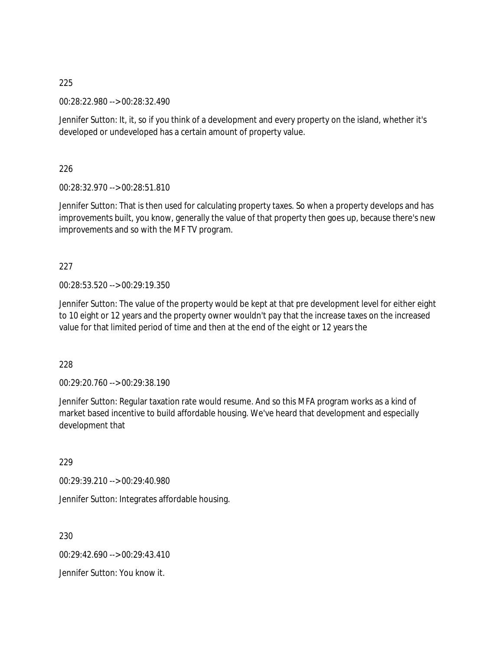225

00:28:22.980 --> 00:28:32.490

Jennifer Sutton: It, it, so if you think of a development and every property on the island, whether it's developed or undeveloped has a certain amount of property value.

226

00:28:32.970 --> 00:28:51.810

Jennifer Sutton: That is then used for calculating property taxes. So when a property develops and has improvements built, you know, generally the value of that property then goes up, because there's new improvements and so with the MF TV program.

227

00:28:53.520 --> 00:29:19.350

Jennifer Sutton: The value of the property would be kept at that pre development level for either eight to 10 eight or 12 years and the property owner wouldn't pay that the increase taxes on the increased value for that limited period of time and then at the end of the eight or 12 years the

228

00:29:20.760 --> 00:29:38.190

Jennifer Sutton: Regular taxation rate would resume. And so this MFA program works as a kind of market based incentive to build affordable housing. We've heard that development and especially development that

229

00:29:39.210 --> 00:29:40.980

Jennifer Sutton: Integrates affordable housing.

230

00:29:42.690 --> 00:29:43.410

Jennifer Sutton: You know it.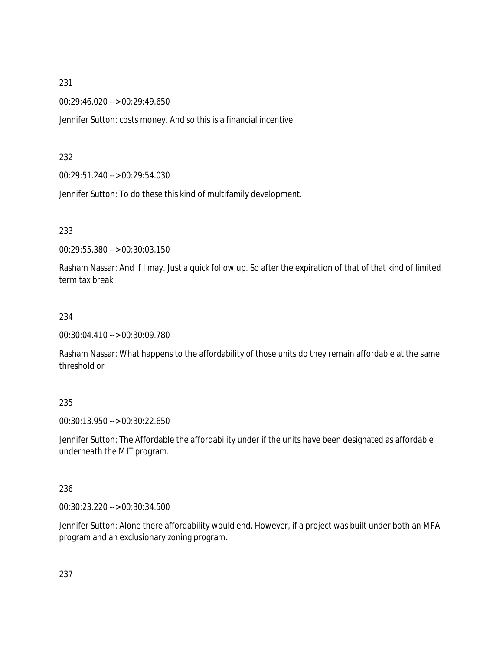# 231

00:29:46.020 --> 00:29:49.650

Jennifer Sutton: costs money. And so this is a financial incentive

## 232

00:29:51.240 --> 00:29:54.030

Jennifer Sutton: To do these this kind of multifamily development.

# 233

00:29:55.380 --> 00:30:03.150

Rasham Nassar: And if I may. Just a quick follow up. So after the expiration of that of that kind of limited term tax break

## 234

00:30:04.410 --> 00:30:09.780

Rasham Nassar: What happens to the affordability of those units do they remain affordable at the same threshold or

## 235

00:30:13.950 --> 00:30:22.650

Jennifer Sutton: The Affordable the affordability under if the units have been designated as affordable underneath the MIT program.

## 236

00:30:23.220 --> 00:30:34.500

Jennifer Sutton: Alone there affordability would end. However, if a project was built under both an MFA program and an exclusionary zoning program.

237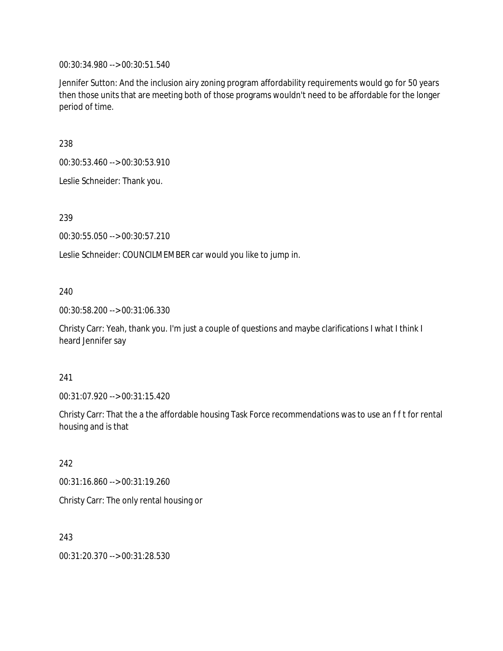00:30:34.980 --> 00:30:51.540

Jennifer Sutton: And the inclusion airy zoning program affordability requirements would go for 50 years then those units that are meeting both of those programs wouldn't need to be affordable for the longer period of time.

238

00:30:53.460 --> 00:30:53.910

Leslie Schneider: Thank you.

239

00:30:55.050 --> 00:30:57.210

Leslie Schneider: COUNCILMEMBER car would you like to jump in.

# 240

00:30:58.200 --> 00:31:06.330

Christy Carr: Yeah, thank you. I'm just a couple of questions and maybe clarifications I what I think I heard Jennifer say

### 241

00:31:07.920 --> 00:31:15.420

Christy Carr: That the a the affordable housing Task Force recommendations was to use an f f t for rental housing and is that

### 242

00:31:16.860 --> 00:31:19.260

Christy Carr: The only rental housing or

243

00:31:20.370 --> 00:31:28.530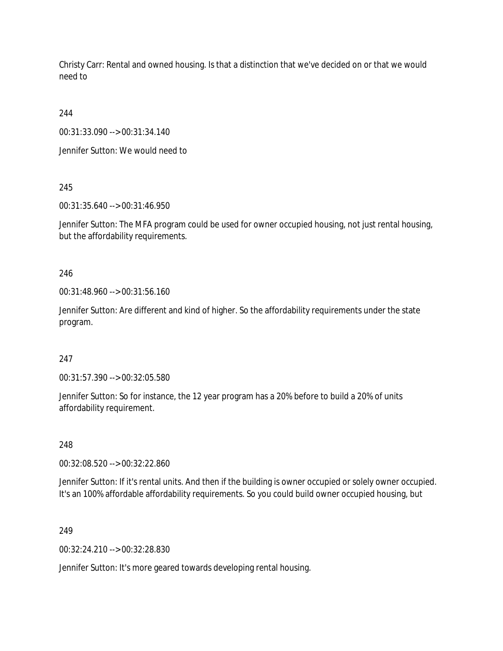Christy Carr: Rental and owned housing. Is that a distinction that we've decided on or that we would need to

244

00:31:33.090 --> 00:31:34.140

Jennifer Sutton: We would need to

245

00:31:35.640 --> 00:31:46.950

Jennifer Sutton: The MFA program could be used for owner occupied housing, not just rental housing, but the affordability requirements.

246

00:31:48.960 --> 00:31:56.160

Jennifer Sutton: Are different and kind of higher. So the affordability requirements under the state program.

### 247

00:31:57.390 --> 00:32:05.580

Jennifer Sutton: So for instance, the 12 year program has a 20% before to build a 20% of units affordability requirement.

248

00:32:08.520 --> 00:32:22.860

Jennifer Sutton: If it's rental units. And then if the building is owner occupied or solely owner occupied. It's an 100% affordable affordability requirements. So you could build owner occupied housing, but

249

00:32:24.210 --> 00:32:28.830

Jennifer Sutton: It's more geared towards developing rental housing.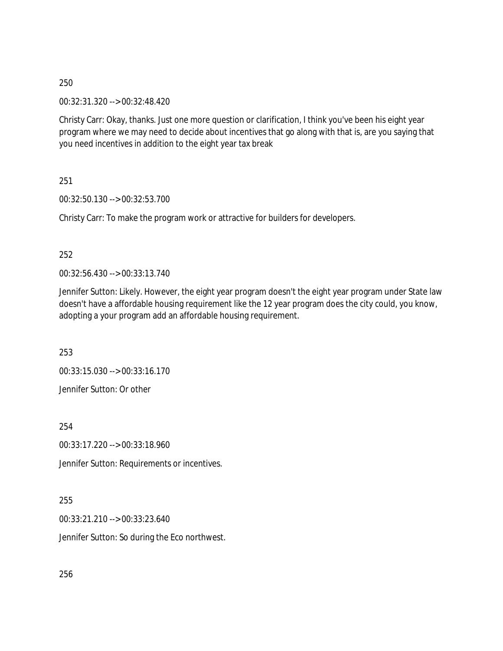00:32:31.320 --> 00:32:48.420

Christy Carr: Okay, thanks. Just one more question or clarification, I think you've been his eight year program where we may need to decide about incentives that go along with that is, are you saying that you need incentives in addition to the eight year tax break

251

00:32:50.130 --> 00:32:53.700

Christy Carr: To make the program work or attractive for builders for developers.

252

00:32:56.430 --> 00:33:13.740

Jennifer Sutton: Likely. However, the eight year program doesn't the eight year program under State law doesn't have a affordable housing requirement like the 12 year program does the city could, you know, adopting a your program add an affordable housing requirement.

253

00:33:15.030 --> 00:33:16.170 Jennifer Sutton: Or other

254

00:33:17.220 --> 00:33:18.960

Jennifer Sutton: Requirements or incentives.

255

00:33:21.210 --> 00:33:23.640

Jennifer Sutton: So during the Eco northwest.

256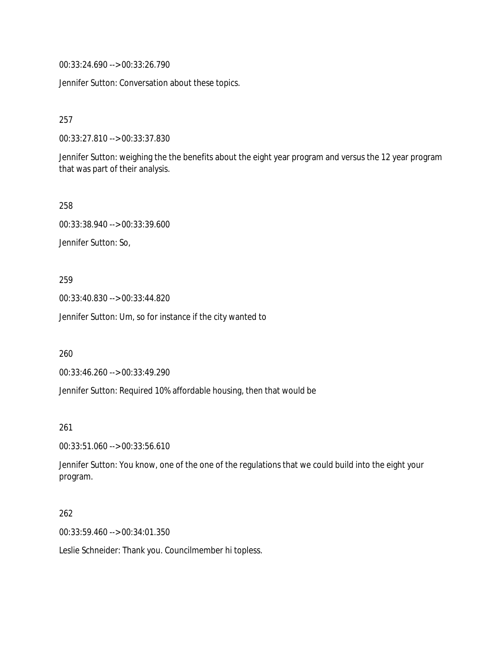00:33:24.690 --> 00:33:26.790

Jennifer Sutton: Conversation about these topics.

257

00:33:27.810 --> 00:33:37.830

Jennifer Sutton: weighing the the benefits about the eight year program and versus the 12 year program that was part of their analysis.

258

00:33:38.940 --> 00:33:39.600 Jennifer Sutton: So,

#### 259

00:33:40.830 --> 00:33:44.820

Jennifer Sutton: Um, so for instance if the city wanted to

260

00:33:46.260 --> 00:33:49.290

Jennifer Sutton: Required 10% affordable housing, then that would be

#### 261

00:33:51.060 --> 00:33:56.610

Jennifer Sutton: You know, one of the one of the regulations that we could build into the eight your program.

#### 262

00:33:59.460 --> 00:34:01.350

Leslie Schneider: Thank you. Councilmember hi topless.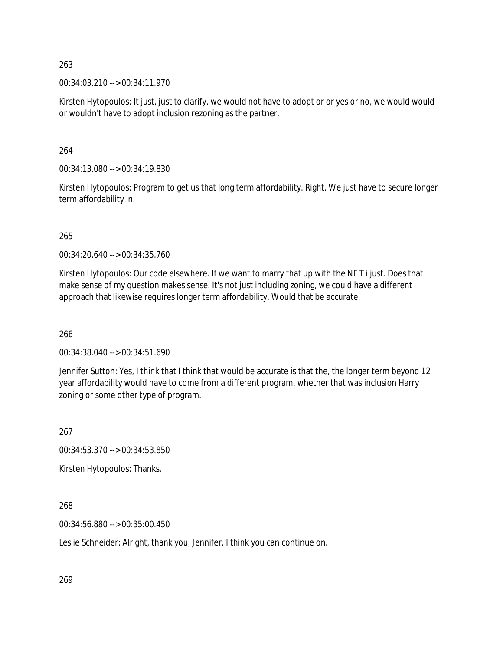00:34:03.210 --> 00:34:11.970

Kirsten Hytopoulos: It just, just to clarify, we would not have to adopt or or yes or no, we would would or wouldn't have to adopt inclusion rezoning as the partner.

264

00:34:13.080 --> 00:34:19.830

Kirsten Hytopoulos: Program to get us that long term affordability. Right. We just have to secure longer term affordability in

265

00:34:20.640 --> 00:34:35.760

Kirsten Hytopoulos: Our code elsewhere. If we want to marry that up with the NF T i just. Does that make sense of my question makes sense. It's not just including zoning, we could have a different approach that likewise requires longer term affordability. Would that be accurate.

266

00:34:38.040 --> 00:34:51.690

Jennifer Sutton: Yes, I think that I think that would be accurate is that the, the longer term beyond 12 year affordability would have to come from a different program, whether that was inclusion Harry zoning or some other type of program.

267

00:34:53.370 --> 00:34:53.850

Kirsten Hytopoulos: Thanks.

268

00:34:56.880 --> 00:35:00.450

Leslie Schneider: Alright, thank you, Jennifer. I think you can continue on.

269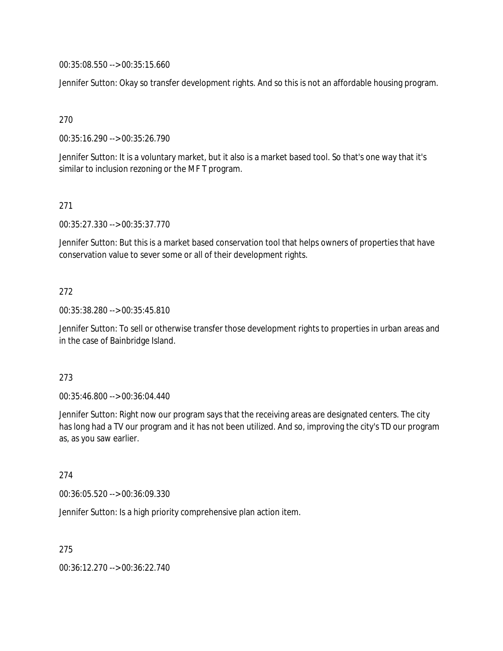00:35:08.550 --> 00:35:15.660

Jennifer Sutton: Okay so transfer development rights. And so this is not an affordable housing program.

270

00:35:16.290 --> 00:35:26.790

Jennifer Sutton: It is a voluntary market, but it also is a market based tool. So that's one way that it's similar to inclusion rezoning or the MF T program.

271

00:35:27.330 --> 00:35:37.770

Jennifer Sutton: But this is a market based conservation tool that helps owners of properties that have conservation value to sever some or all of their development rights.

# 272

00:35:38.280 --> 00:35:45.810

Jennifer Sutton: To sell or otherwise transfer those development rights to properties in urban areas and in the case of Bainbridge Island.

### 273

00:35:46.800 --> 00:36:04.440

Jennifer Sutton: Right now our program says that the receiving areas are designated centers. The city has long had a TV our program and it has not been utilized. And so, improving the city's TD our program as, as you saw earlier.

### 274

00:36:05.520 --> 00:36:09.330

Jennifer Sutton: Is a high priority comprehensive plan action item.

275

00:36:12.270 --> 00:36:22.740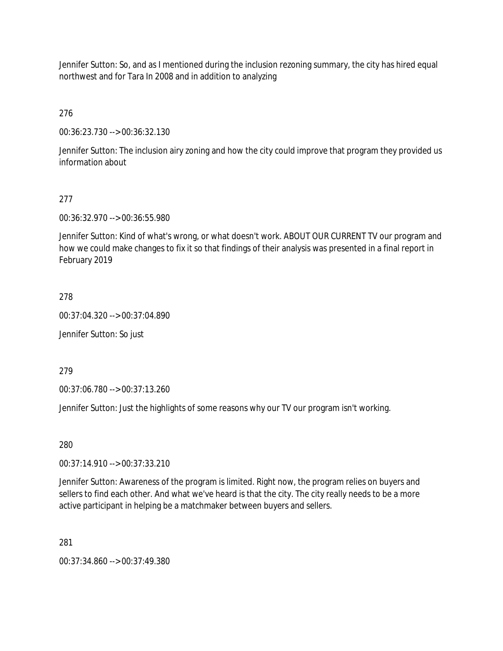Jennifer Sutton: So, and as I mentioned during the inclusion rezoning summary, the city has hired equal northwest and for Tara In 2008 and in addition to analyzing

276

00:36:23.730 --> 00:36:32.130

Jennifer Sutton: The inclusion airy zoning and how the city could improve that program they provided us information about

# 277

00:36:32.970 --> 00:36:55.980

Jennifer Sutton: Kind of what's wrong, or what doesn't work. ABOUT OUR CURRENT TV our program and how we could make changes to fix it so that findings of their analysis was presented in a final report in February 2019

278

00:37:04.320 --> 00:37:04.890

Jennifer Sutton: So just

279

00:37:06.780 --> 00:37:13.260

Jennifer Sutton: Just the highlights of some reasons why our TV our program isn't working.

280

00:37:14.910 --> 00:37:33.210

Jennifer Sutton: Awareness of the program is limited. Right now, the program relies on buyers and sellers to find each other. And what we've heard is that the city. The city really needs to be a more active participant in helping be a matchmaker between buyers and sellers.

281

00:37:34.860 --> 00:37:49.380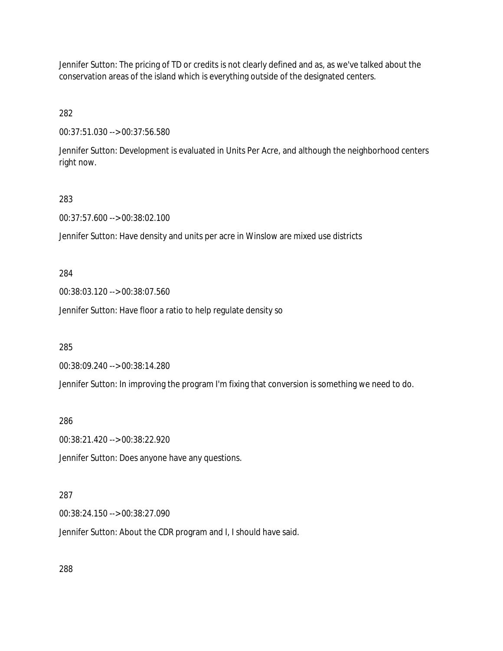Jennifer Sutton: The pricing of TD or credits is not clearly defined and as, as we've talked about the conservation areas of the island which is everything outside of the designated centers.

282

00:37:51.030 --> 00:37:56.580

Jennifer Sutton: Development is evaluated in Units Per Acre, and although the neighborhood centers right now.

#### 283

00:37:57.600 --> 00:38:02.100

Jennifer Sutton: Have density and units per acre in Winslow are mixed use districts

284

00:38:03.120 --> 00:38:07.560

Jennifer Sutton: Have floor a ratio to help regulate density so

285

00:38:09.240 --> 00:38:14.280

Jennifer Sutton: In improving the program I'm fixing that conversion is something we need to do.

286

00:38:21.420 --> 00:38:22.920

Jennifer Sutton: Does anyone have any questions.

#### 287

00:38:24.150 --> 00:38:27.090

Jennifer Sutton: About the CDR program and I, I should have said.

288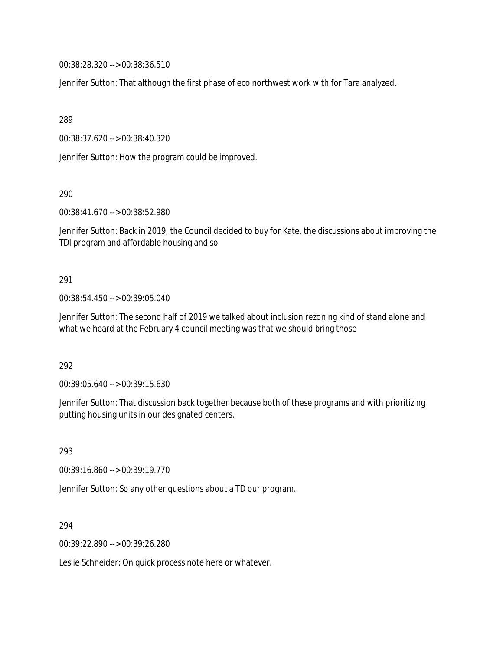00:38:28.320 --> 00:38:36.510

Jennifer Sutton: That although the first phase of eco northwest work with for Tara analyzed.

289

00:38:37.620 --> 00:38:40.320

Jennifer Sutton: How the program could be improved.

290

00:38:41.670 --> 00:38:52.980

Jennifer Sutton: Back in 2019, the Council decided to buy for Kate, the discussions about improving the TDI program and affordable housing and so

#### 291

00:38:54.450 --> 00:39:05.040

Jennifer Sutton: The second half of 2019 we talked about inclusion rezoning kind of stand alone and what we heard at the February 4 council meeting was that we should bring those

292

00:39:05.640 --> 00:39:15.630

Jennifer Sutton: That discussion back together because both of these programs and with prioritizing putting housing units in our designated centers.

293

00:39:16.860 --> 00:39:19.770

Jennifer Sutton: So any other questions about a TD our program.

294

00:39:22.890 --> 00:39:26.280

Leslie Schneider: On quick process note here or whatever.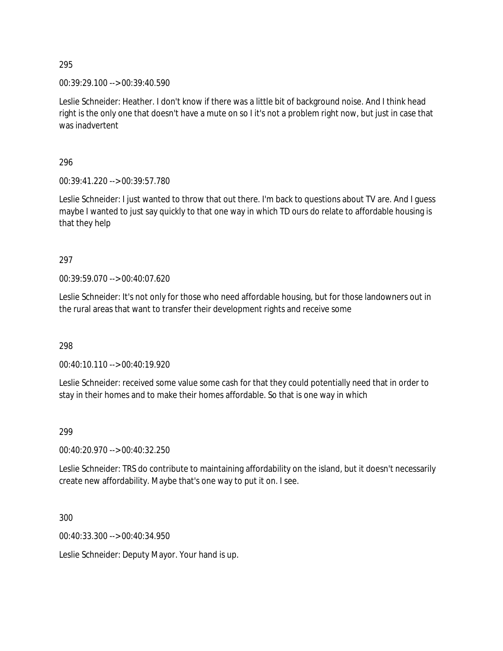00:39:29.100 --> 00:39:40.590

Leslie Schneider: Heather. I don't know if there was a little bit of background noise. And I think head right is the only one that doesn't have a mute on so I it's not a problem right now, but just in case that was inadvertent

296

00:39:41.220 --> 00:39:57.780

Leslie Schneider: I just wanted to throw that out there. I'm back to questions about TV are. And I guess maybe I wanted to just say quickly to that one way in which TD ours do relate to affordable housing is that they help

297

00:39:59.070 --> 00:40:07.620

Leslie Schneider: It's not only for those who need affordable housing, but for those landowners out in the rural areas that want to transfer their development rights and receive some

298

00:40:10.110 --> 00:40:19.920

Leslie Schneider: received some value some cash for that they could potentially need that in order to stay in their homes and to make their homes affordable. So that is one way in which

299

00:40:20.970 --> 00:40:32.250

Leslie Schneider: TRS do contribute to maintaining affordability on the island, but it doesn't necessarily create new affordability. Maybe that's one way to put it on. I see.

300

00:40:33.300 --> 00:40:34.950

Leslie Schneider: Deputy Mayor. Your hand is up.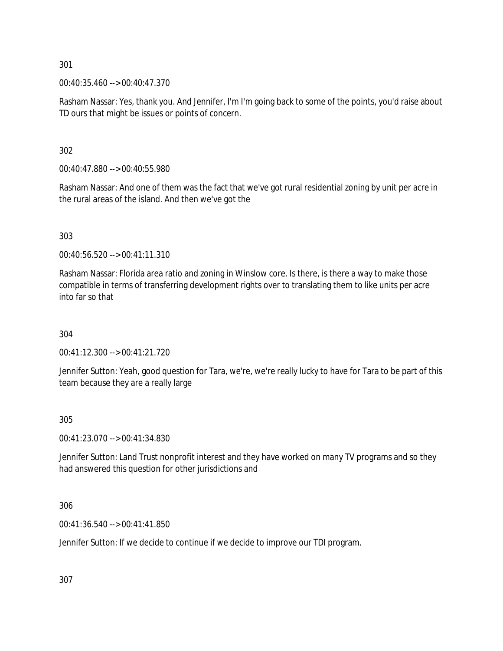00:40:35.460 --> 00:40:47.370

Rasham Nassar: Yes, thank you. And Jennifer, I'm I'm going back to some of the points, you'd raise about TD ours that might be issues or points of concern.

302

00:40:47.880 --> 00:40:55.980

Rasham Nassar: And one of them was the fact that we've got rural residential zoning by unit per acre in the rural areas of the island. And then we've got the

303

00:40:56.520 --> 00:41:11.310

Rasham Nassar: Florida area ratio and zoning in Winslow core. Is there, is there a way to make those compatible in terms of transferring development rights over to translating them to like units per acre into far so that

304

00:41:12.300 --> 00:41:21.720

Jennifer Sutton: Yeah, good question for Tara, we're, we're really lucky to have for Tara to be part of this team because they are a really large

305

00:41:23.070 --> 00:41:34.830

Jennifer Sutton: Land Trust nonprofit interest and they have worked on many TV programs and so they had answered this question for other jurisdictions and

306

00:41:36.540 --> 00:41:41.850

Jennifer Sutton: If we decide to continue if we decide to improve our TDI program.

307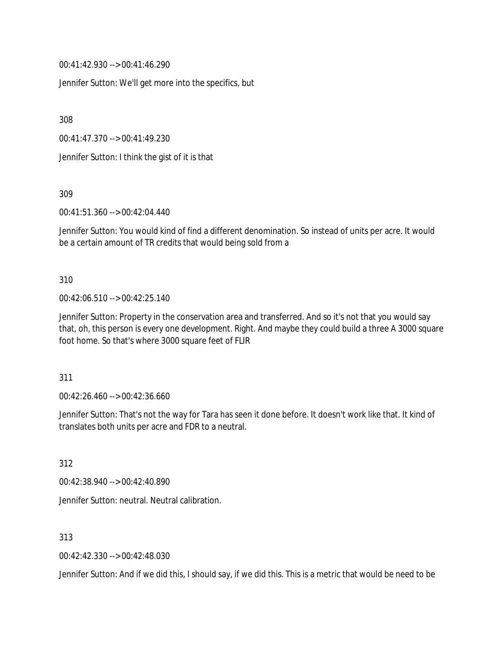00:41:42.930 --> 00:41:46.290

Jennifer Sutton: We'll get more into the specifics, but

308

00:41:47.370 --> 00:41:49.230

Jennifer Sutton: I think the gist of it is that

309

00:41:51.360 --> 00:42:04.440

Jennifer Sutton: You would kind of find a different denomination. So instead of units per acre. It would be a certain amount of TR credits that would being sold from a

310

00:42:06.510 --> 00:42:25.140

Jennifer Sutton: Property in the conservation area and transferred. And so it's not that you would say that, oh, this person is every one development. Right. And maybe they could build a three A 3000 square foot home. So that's where 3000 square feet of FLIR

311

00:42:26.460 --> 00:42:36.660

Jennifer Sutton: That's not the way for Tara has seen it done before. It doesn't work like that. It kind of translates both units per acre and FDR to a neutral.

312

00:42:38.940 --> 00:42:40.890

Jennifer Sutton: neutral. Neutral calibration.

313

00:42:42.330 --> 00:42:48.030

Jennifer Sutton: And if we did this, I should say, if we did this. This is a metric that would be need to be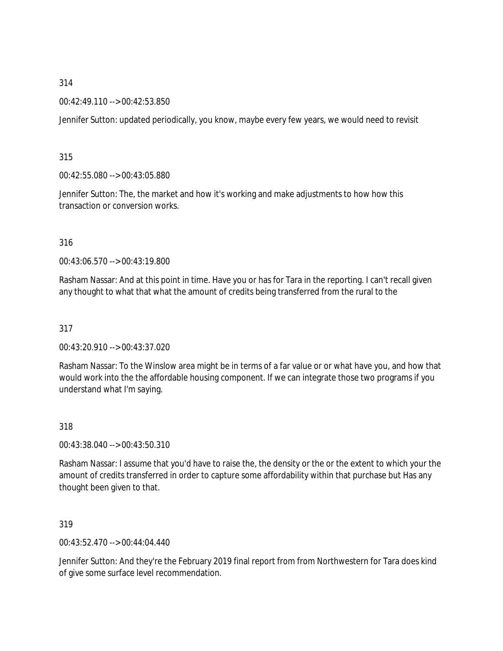### 00:42:49.110 --> 00:42:53.850

Jennifer Sutton: updated periodically, you know, maybe every few years, we would need to revisit

315

00:42:55.080 --> 00:43:05.880

Jennifer Sutton: The, the market and how it's working and make adjustments to how how this transaction or conversion works.

316

00:43:06.570 --> 00:43:19.800

Rasham Nassar: And at this point in time. Have you or has for Tara in the reporting. I can't recall given any thought to what that what the amount of credits being transferred from the rural to the

317

00:43:20.910 --> 00:43:37.020

Rasham Nassar: To the Winslow area might be in terms of a far value or or what have you, and how that would work into the the affordable housing component. If we can integrate those two programs if you understand what I'm saying.

318

00:43:38.040 --> 00:43:50.310

Rasham Nassar: I assume that you'd have to raise the, the density or the or the extent to which your the amount of credits transferred in order to capture some affordability within that purchase but Has any thought been given to that.

319

00:43:52.470 --> 00:44:04.440

Jennifer Sutton: And they're the February 2019 final report from from Northwestern for Tara does kind of give some surface level recommendation.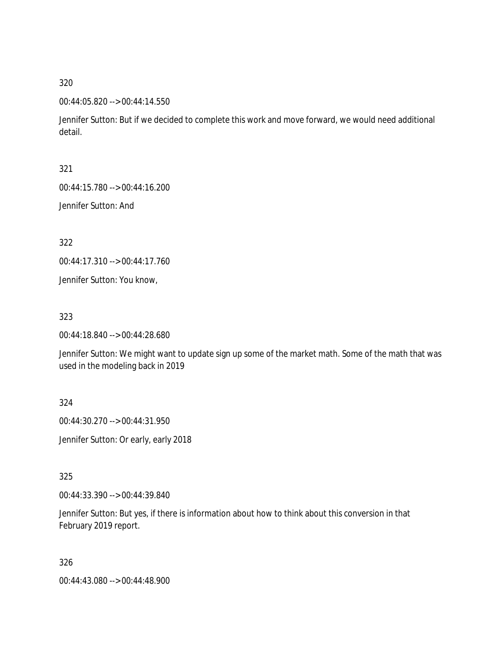00:44:05.820 --> 00:44:14.550

Jennifer Sutton: But if we decided to complete this work and move forward, we would need additional detail.

321

00:44:15.780 --> 00:44:16.200

Jennifer Sutton: And

322

00:44:17.310 --> 00:44:17.760

Jennifer Sutton: You know,

323

00:44:18.840 --> 00:44:28.680

Jennifer Sutton: We might want to update sign up some of the market math. Some of the math that was used in the modeling back in 2019

324

00:44:30.270 --> 00:44:31.950

Jennifer Sutton: Or early, early 2018

325

00:44:33.390 --> 00:44:39.840

Jennifer Sutton: But yes, if there is information about how to think about this conversion in that February 2019 report.

326

00:44:43.080 --> 00:44:48.900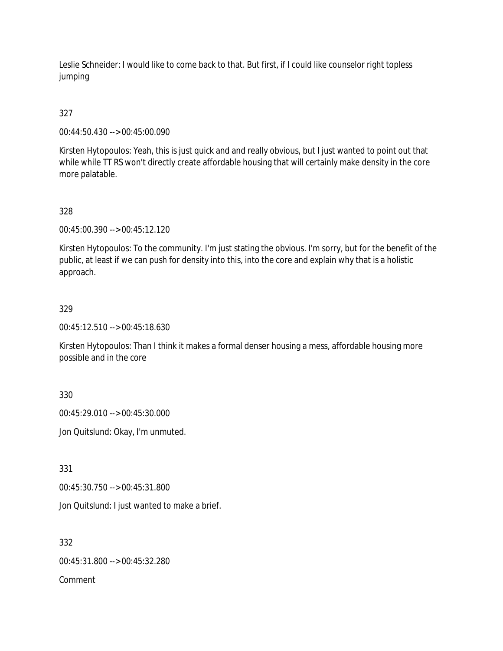Leslie Schneider: I would like to come back to that. But first, if I could like counselor right topless jumping

# 327

00:44:50.430 --> 00:45:00.090

Kirsten Hytopoulos: Yeah, this is just quick and and really obvious, but I just wanted to point out that while while TT RS won't directly create affordable housing that will certainly make density in the core more palatable.

# 328

00:45:00.390 --> 00:45:12.120

Kirsten Hytopoulos: To the community. I'm just stating the obvious. I'm sorry, but for the benefit of the public, at least if we can push for density into this, into the core and explain why that is a holistic approach.

# 329

00:45:12.510 --> 00:45:18.630

Kirsten Hytopoulos: Than I think it makes a formal denser housing a mess, affordable housing more possible and in the core

330

00:45:29.010 --> 00:45:30.000

Jon Quitslund: Okay, I'm unmuted.

331

00:45:30.750 --> 00:45:31.800

Jon Quitslund: I just wanted to make a brief.

332

00:45:31.800 --> 00:45:32.280

Comment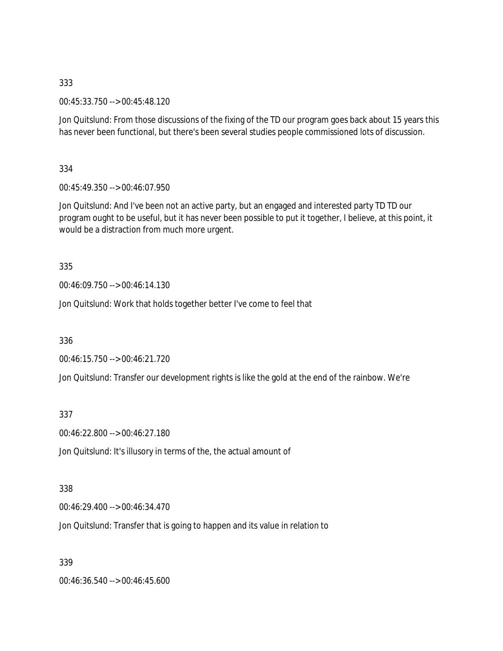00:45:33.750 --> 00:45:48.120

Jon Quitslund: From those discussions of the fixing of the TD our program goes back about 15 years this has never been functional, but there's been several studies people commissioned lots of discussion.

334

00:45:49.350 --> 00:46:07.950

Jon Quitslund: And I've been not an active party, but an engaged and interested party TD TD our program ought to be useful, but it has never been possible to put it together, I believe, at this point, it would be a distraction from much more urgent.

335

00:46:09.750 --> 00:46:14.130

Jon Quitslund: Work that holds together better I've come to feel that

336

00:46:15.750 --> 00:46:21.720

Jon Quitslund: Transfer our development rights is like the gold at the end of the rainbow. We're

337

00:46:22.800 --> 00:46:27.180

Jon Quitslund: It's illusory in terms of the, the actual amount of

338

00:46:29.400 --> 00:46:34.470

Jon Quitslund: Transfer that is going to happen and its value in relation to

339

00:46:36.540 --> 00:46:45.600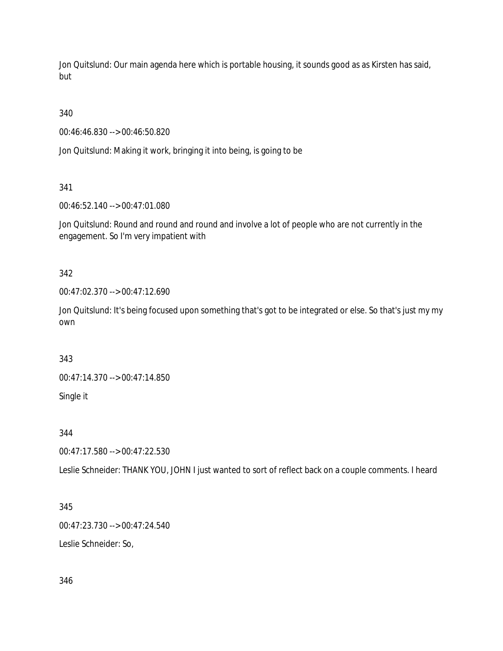Jon Quitslund: Our main agenda here which is portable housing, it sounds good as as Kirsten has said, but

340

00:46:46.830 --> 00:46:50.820

Jon Quitslund: Making it work, bringing it into being, is going to be

341

00:46:52.140 --> 00:47:01.080

Jon Quitslund: Round and round and round and involve a lot of people who are not currently in the engagement. So I'm very impatient with

342

00:47:02.370 --> 00:47:12.690

Jon Quitslund: It's being focused upon something that's got to be integrated or else. So that's just my my own

343

00:47:14.370 --> 00:47:14.850

Single it

344

00:47:17.580 --> 00:47:22.530

Leslie Schneider: THANK YOU, JOHN I just wanted to sort of reflect back on a couple comments. I heard

345

00:47:23.730 --> 00:47:24.540

Leslie Schneider: So,

346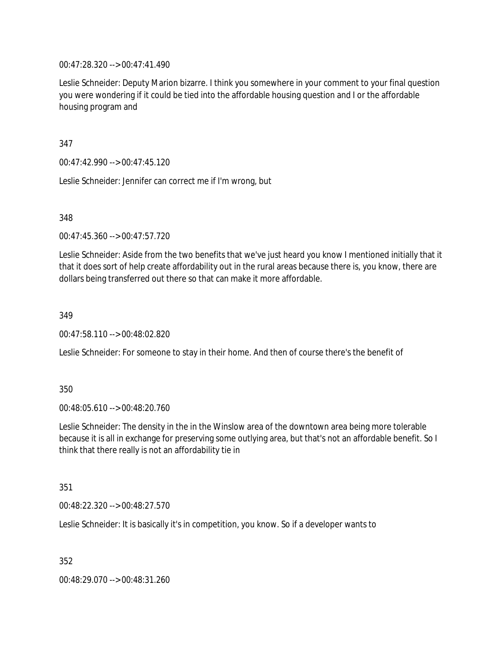00:47:28.320 --> 00:47:41.490

Leslie Schneider: Deputy Marion bizarre. I think you somewhere in your comment to your final question you were wondering if it could be tied into the affordable housing question and I or the affordable housing program and

347

00:47:42.990 --> 00:47:45.120

Leslie Schneider: Jennifer can correct me if I'm wrong, but

348

00:47:45.360 --> 00:47:57.720

Leslie Schneider: Aside from the two benefits that we've just heard you know I mentioned initially that it that it does sort of help create affordability out in the rural areas because there is, you know, there are dollars being transferred out there so that can make it more affordable.

349

00:47:58.110 --> 00:48:02.820

Leslie Schneider: For someone to stay in their home. And then of course there's the benefit of

350

00:48:05.610 --> 00:48:20.760

Leslie Schneider: The density in the in the Winslow area of the downtown area being more tolerable because it is all in exchange for preserving some outlying area, but that's not an affordable benefit. So I think that there really is not an affordability tie in

351

00:48:22.320 --> 00:48:27.570

Leslie Schneider: It is basically it's in competition, you know. So if a developer wants to

352

00:48:29.070 --> 00:48:31.260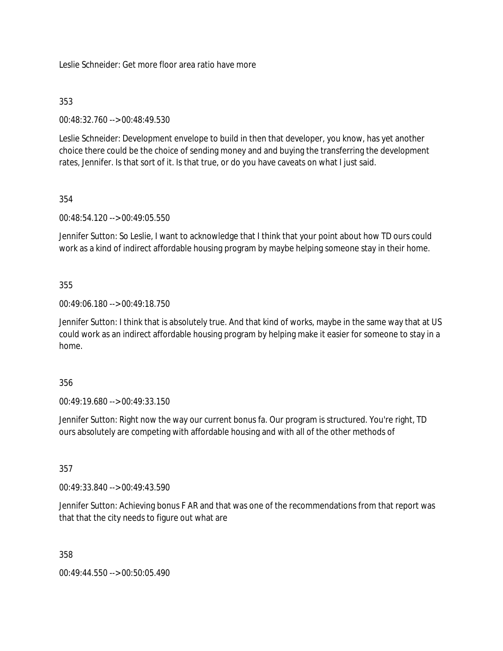Leslie Schneider: Get more floor area ratio have more

# 353

00:48:32.760 --> 00:48:49.530

Leslie Schneider: Development envelope to build in then that developer, you know, has yet another choice there could be the choice of sending money and and buying the transferring the development rates, Jennifer. Is that sort of it. Is that true, or do you have caveats on what I just said.

# 354

00:48:54.120 --> 00:49:05.550

Jennifer Sutton: So Leslie, I want to acknowledge that I think that your point about how TD ours could work as a kind of indirect affordable housing program by maybe helping someone stay in their home.

# 355

00:49:06.180 --> 00:49:18.750

Jennifer Sutton: I think that is absolutely true. And that kind of works, maybe in the same way that at US could work as an indirect affordable housing program by helping make it easier for someone to stay in a home.

### 356

00:49:19.680 --> 00:49:33.150

Jennifer Sutton: Right now the way our current bonus fa. Our program is structured. You're right, TD ours absolutely are competing with affordable housing and with all of the other methods of

357

00:49:33.840 --> 00:49:43.590

Jennifer Sutton: Achieving bonus F AR and that was one of the recommendations from that report was that that the city needs to figure out what are

358

00:49:44.550 --> 00:50:05.490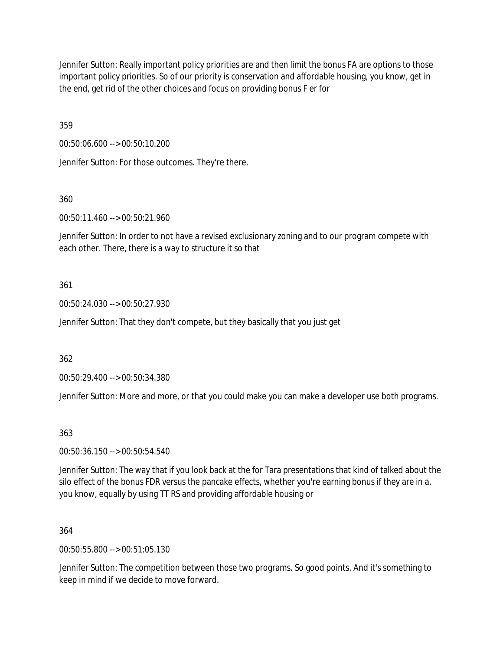Jennifer Sutton: Really important policy priorities are and then limit the bonus FA are options to those important policy priorities. So of our priority is conservation and affordable housing, you know, get in the end, get rid of the other choices and focus on providing bonus F er for

359

00:50:06.600 --> 00:50:10.200

Jennifer Sutton: For those outcomes. They're there.

360

00:50:11.460 --> 00:50:21.960

Jennifer Sutton: In order to not have a revised exclusionary zoning and to our program compete with each other. There, there is a way to structure it so that

### 361

00:50:24.030 --> 00:50:27.930

Jennifer Sutton: That they don't compete, but they basically that you just get

362

00:50:29.400 --> 00:50:34.380

Jennifer Sutton: More and more, or that you could make you can make a developer use both programs.

363

00:50:36.150 --> 00:50:54.540

Jennifer Sutton: The way that if you look back at the for Tara presentations that kind of talked about the silo effect of the bonus FDR versus the pancake effects, whether you're earning bonus if they are in a, you know, equally by using TT RS and providing affordable housing or

364

00:50:55.800 --> 00:51:05.130

Jennifer Sutton: The competition between those two programs. So good points. And it's something to keep in mind if we decide to move forward.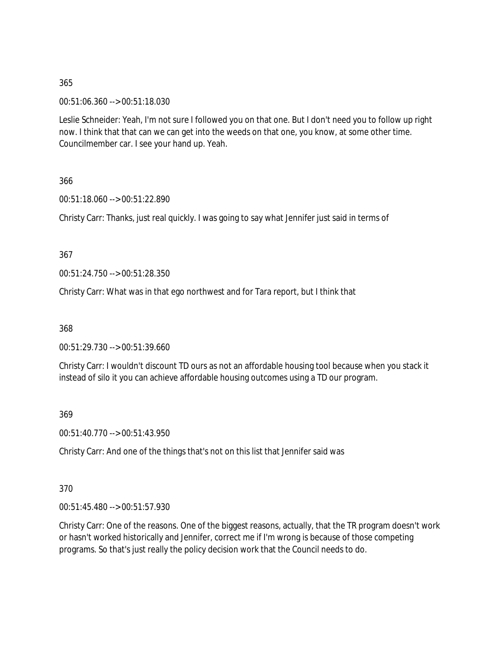00:51:06.360 --> 00:51:18.030

Leslie Schneider: Yeah, I'm not sure I followed you on that one. But I don't need you to follow up right now. I think that that can we can get into the weeds on that one, you know, at some other time. Councilmember car. I see your hand up. Yeah.

366

00:51:18.060 --> 00:51:22.890

Christy Carr: Thanks, just real quickly. I was going to say what Jennifer just said in terms of

367

00:51:24.750 --> 00:51:28.350

Christy Carr: What was in that ego northwest and for Tara report, but I think that

368

00:51:29.730 --> 00:51:39.660

Christy Carr: I wouldn't discount TD ours as not an affordable housing tool because when you stack it instead of silo it you can achieve affordable housing outcomes using a TD our program.

369

00:51:40.770 --> 00:51:43.950

Christy Carr: And one of the things that's not on this list that Jennifer said was

370

00:51:45.480 --> 00:51:57.930

Christy Carr: One of the reasons. One of the biggest reasons, actually, that the TR program doesn't work or hasn't worked historically and Jennifer, correct me if I'm wrong is because of those competing programs. So that's just really the policy decision work that the Council needs to do.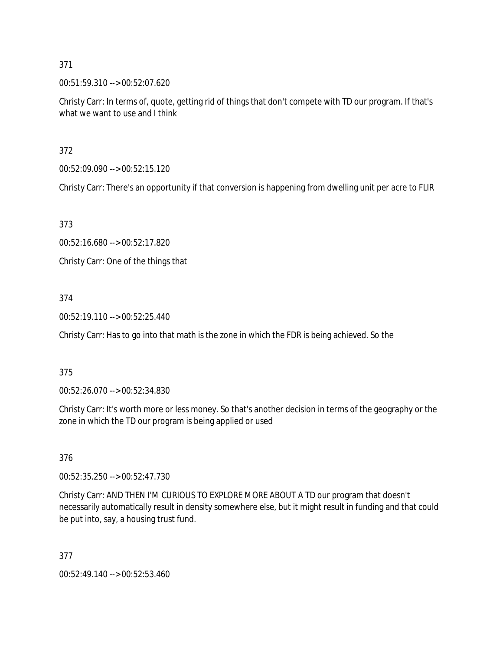00:51:59.310 --> 00:52:07.620

Christy Carr: In terms of, quote, getting rid of things that don't compete with TD our program. If that's what we want to use and I think

372

00:52:09.090 --> 00:52:15.120

Christy Carr: There's an opportunity if that conversion is happening from dwelling unit per acre to FLIR

373

00:52:16.680 --> 00:52:17.820

Christy Carr: One of the things that

# 374

00:52:19.110 --> 00:52:25.440

Christy Carr: Has to go into that math is the zone in which the FDR is being achieved. So the

### 375

00:52:26.070 --> 00:52:34.830

Christy Carr: It's worth more or less money. So that's another decision in terms of the geography or the zone in which the TD our program is being applied or used

376

00:52:35.250 --> 00:52:47.730

Christy Carr: AND THEN I'M CURIOUS TO EXPLORE MORE ABOUT A TD our program that doesn't necessarily automatically result in density somewhere else, but it might result in funding and that could be put into, say, a housing trust fund.

377

00:52:49.140 --> 00:52:53.460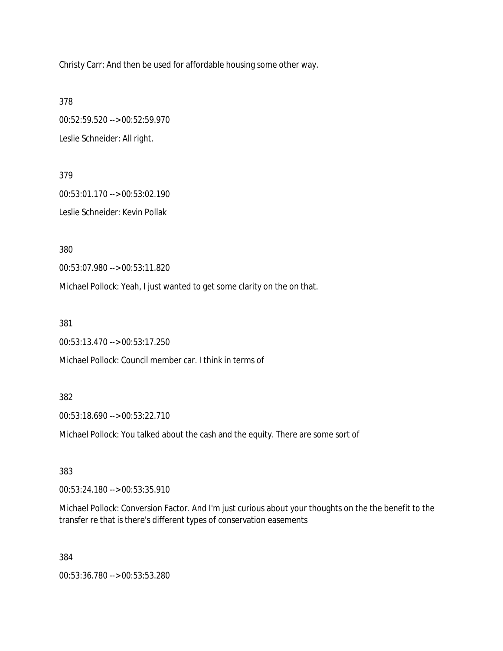Christy Carr: And then be used for affordable housing some other way.

378

00:52:59.520 --> 00:52:59.970 Leslie Schneider: All right.

379 00:53:01.170 --> 00:53:02.190 Leslie Schneider: Kevin Pollak

380

00:53:07.980 --> 00:53:11.820

Michael Pollock: Yeah, I just wanted to get some clarity on the on that.

381

00:53:13.470 --> 00:53:17.250

Michael Pollock: Council member car. I think in terms of

#### 382

00:53:18.690 --> 00:53:22.710

Michael Pollock: You talked about the cash and the equity. There are some sort of

383

00:53:24.180 --> 00:53:35.910

Michael Pollock: Conversion Factor. And I'm just curious about your thoughts on the the benefit to the transfer re that is there's different types of conservation easements

384

00:53:36.780 --> 00:53:53.280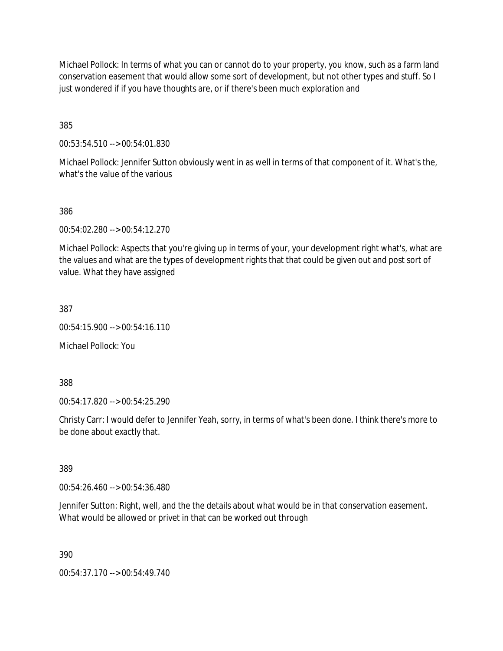Michael Pollock: In terms of what you can or cannot do to your property, you know, such as a farm land conservation easement that would allow some sort of development, but not other types and stuff. So I just wondered if if you have thoughts are, or if there's been much exploration and

385

00:53:54.510 --> 00:54:01.830

Michael Pollock: Jennifer Sutton obviously went in as well in terms of that component of it. What's the, what's the value of the various

386

00:54:02.280 --> 00:54:12.270

Michael Pollock: Aspects that you're giving up in terms of your, your development right what's, what are the values and what are the types of development rights that that could be given out and post sort of value. What they have assigned

387

00:54:15.900 --> 00:54:16.110

Michael Pollock: You

388

00:54:17.820 --> 00:54:25.290

Christy Carr: I would defer to Jennifer Yeah, sorry, in terms of what's been done. I think there's more to be done about exactly that.

389

00:54:26.460 --> 00:54:36.480

Jennifer Sutton: Right, well, and the the details about what would be in that conservation easement. What would be allowed or privet in that can be worked out through

390

00:54:37.170 --> 00:54:49.740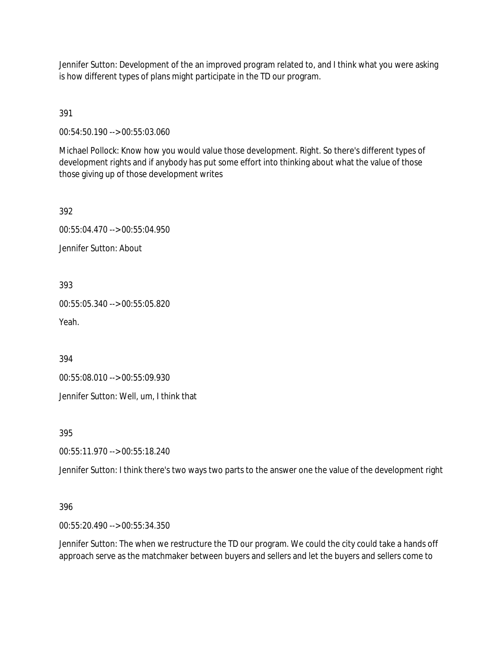Jennifer Sutton: Development of the an improved program related to, and I think what you were asking is how different types of plans might participate in the TD our program.

391

00:54:50.190 --> 00:55:03.060

Michael Pollock: Know how you would value those development. Right. So there's different types of development rights and if anybody has put some effort into thinking about what the value of those those giving up of those development writes

392

00:55:04.470 --> 00:55:04.950

Jennifer Sutton: About

393

00:55:05.340 --> 00:55:05.820

Yeah.

394

00:55:08.010 --> 00:55:09.930

Jennifer Sutton: Well, um, I think that

395

00:55:11.970 --> 00:55:18.240

Jennifer Sutton: I think there's two ways two parts to the answer one the value of the development right

396

00:55:20.490 --> 00:55:34.350

Jennifer Sutton: The when we restructure the TD our program. We could the city could take a hands off approach serve as the matchmaker between buyers and sellers and let the buyers and sellers come to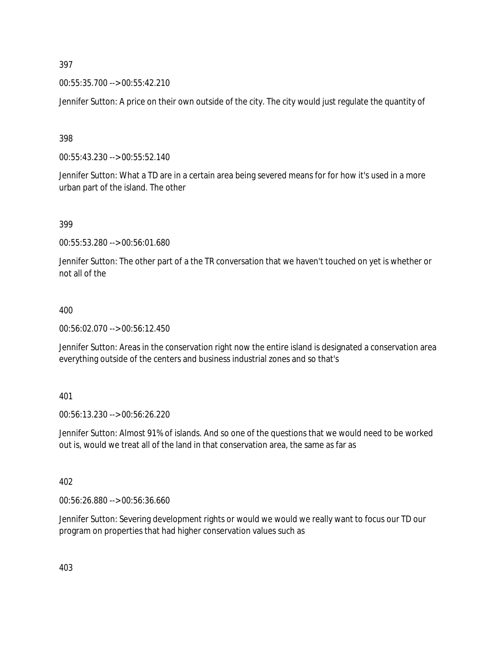00:55:35.700 --> 00:55:42.210

Jennifer Sutton: A price on their own outside of the city. The city would just regulate the quantity of

398

00:55:43.230 --> 00:55:52.140

Jennifer Sutton: What a TD are in a certain area being severed means for for how it's used in a more urban part of the island. The other

399

00:55:53.280 --> 00:56:01.680

Jennifer Sutton: The other part of a the TR conversation that we haven't touched on yet is whether or not all of the

#### 400

00:56:02.070 --> 00:56:12.450

Jennifer Sutton: Areas in the conservation right now the entire island is designated a conservation area everything outside of the centers and business industrial zones and so that's

401

00:56:13.230 --> 00:56:26.220

Jennifer Sutton: Almost 91% of islands. And so one of the questions that we would need to be worked out is, would we treat all of the land in that conservation area, the same as far as

402

00:56:26.880 --> 00:56:36.660

Jennifer Sutton: Severing development rights or would we would we really want to focus our TD our program on properties that had higher conservation values such as

403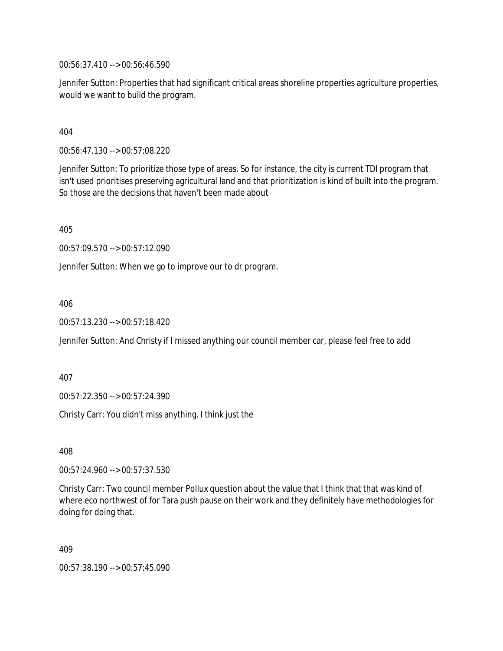00:56:37.410 --> 00:56:46.590

Jennifer Sutton: Properties that had significant critical areas shoreline properties agriculture properties, would we want to build the program.

404

00:56:47.130 --> 00:57:08.220

Jennifer Sutton: To prioritize those type of areas. So for instance, the city is current TDI program that isn't used prioritises preserving agricultural land and that prioritization is kind of built into the program. So those are the decisions that haven't been made about

405

00:57:09.570 --> 00:57:12.090

Jennifer Sutton: When we go to improve our to dr program.

406

00:57:13.230 --> 00:57:18.420

Jennifer Sutton: And Christy if I missed anything our council member car, please feel free to add

407

00:57:22.350 --> 00:57:24.390

Christy Carr: You didn't miss anything. I think just the

408

00:57:24.960 --> 00:57:37.530

Christy Carr: Two council member Pollux question about the value that I think that that was kind of where eco northwest of for Tara push pause on their work and they definitely have methodologies for doing for doing that.

409

00:57:38.190 --> 00:57:45.090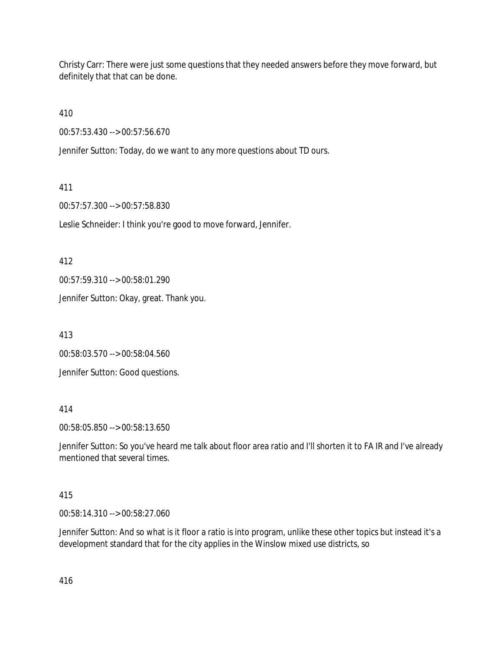Christy Carr: There were just some questions that they needed answers before they move forward, but definitely that that can be done.

410

00:57:53.430 --> 00:57:56.670

Jennifer Sutton: Today, do we want to any more questions about TD ours.

411

00:57:57.300 --> 00:57:58.830

Leslie Schneider: I think you're good to move forward, Jennifer.

412

00:57:59.310 --> 00:58:01.290

Jennifer Sutton: Okay, great. Thank you.

413

00:58:03.570 --> 00:58:04.560

Jennifer Sutton: Good questions.

414

00:58:05.850 --> 00:58:13.650

Jennifer Sutton: So you've heard me talk about floor area ratio and I'll shorten it to FA IR and I've already mentioned that several times.

### 415

00:58:14.310 --> 00:58:27.060

Jennifer Sutton: And so what is it floor a ratio is into program, unlike these other topics but instead it's a development standard that for the city applies in the Winslow mixed use districts, so

416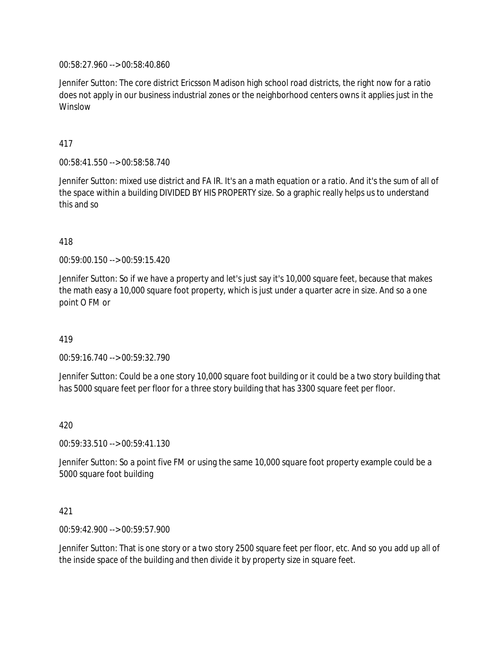00:58:27.960 --> 00:58:40.860

Jennifer Sutton: The core district Ericsson Madison high school road districts, the right now for a ratio does not apply in our business industrial zones or the neighborhood centers owns it applies just in the Winslow

417

00:58:41.550 --> 00:58:58.740

Jennifer Sutton: mixed use district and FA IR. It's an a math equation or a ratio. And it's the sum of all of the space within a building DIVIDED BY HIS PROPERTY size. So a graphic really helps us to understand this and so

#### 418

00:59:00.150 --> 00:59:15.420

Jennifer Sutton: So if we have a property and let's just say it's 10,000 square feet, because that makes the math easy a 10,000 square foot property, which is just under a quarter acre in size. And so a one point O FM or

#### 419

00:59:16.740 --> 00:59:32.790

Jennifer Sutton: Could be a one story 10,000 square foot building or it could be a two story building that has 5000 square feet per floor for a three story building that has 3300 square feet per floor.

420

00:59:33.510 --> 00:59:41.130

Jennifer Sutton: So a point five FM or using the same 10,000 square foot property example could be a 5000 square foot building

# 421

00:59:42.900 --> 00:59:57.900

Jennifer Sutton: That is one story or a two story 2500 square feet per floor, etc. And so you add up all of the inside space of the building and then divide it by property size in square feet.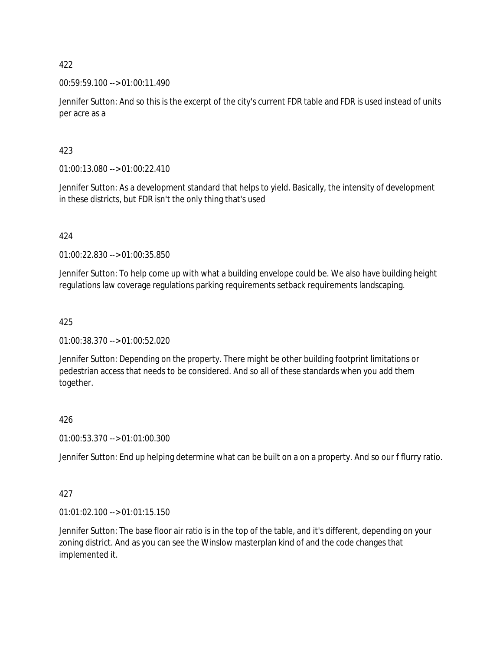00:59:59.100 --> 01:00:11.490

Jennifer Sutton: And so this is the excerpt of the city's current FDR table and FDR is used instead of units per acre as a

# 423

01:00:13.080 --> 01:00:22.410

Jennifer Sutton: As a development standard that helps to yield. Basically, the intensity of development in these districts, but FDR isn't the only thing that's used

### 424

01:00:22.830 --> 01:00:35.850

Jennifer Sutton: To help come up with what a building envelope could be. We also have building height regulations law coverage regulations parking requirements setback requirements landscaping.

### 425

01:00:38.370 --> 01:00:52.020

Jennifer Sutton: Depending on the property. There might be other building footprint limitations or pedestrian access that needs to be considered. And so all of these standards when you add them together.

### 426

01:00:53.370 --> 01:01:00.300

Jennifer Sutton: End up helping determine what can be built on a on a property. And so our f flurry ratio.

### 427

01:01:02.100 --> 01:01:15.150

Jennifer Sutton: The base floor air ratio is in the top of the table, and it's different, depending on your zoning district. And as you can see the Winslow masterplan kind of and the code changes that implemented it.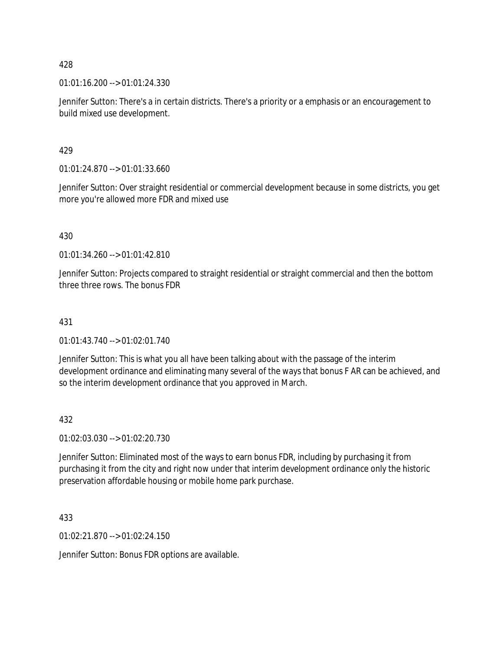01:01:16.200 --> 01:01:24.330

Jennifer Sutton: There's a in certain districts. There's a priority or a emphasis or an encouragement to build mixed use development.

429

01:01:24.870 --> 01:01:33.660

Jennifer Sutton: Over straight residential or commercial development because in some districts, you get more you're allowed more FDR and mixed use

430

01:01:34.260 --> 01:01:42.810

Jennifer Sutton: Projects compared to straight residential or straight commercial and then the bottom three three rows. The bonus FDR

## 431

01:01:43.740 --> 01:02:01.740

Jennifer Sutton: This is what you all have been talking about with the passage of the interim development ordinance and eliminating many several of the ways that bonus F AR can be achieved, and so the interim development ordinance that you approved in March.

### 432

01:02:03.030 --> 01:02:20.730

Jennifer Sutton: Eliminated most of the ways to earn bonus FDR, including by purchasing it from purchasing it from the city and right now under that interim development ordinance only the historic preservation affordable housing or mobile home park purchase.

433

01:02:21.870 --> 01:02:24.150

Jennifer Sutton: Bonus FDR options are available.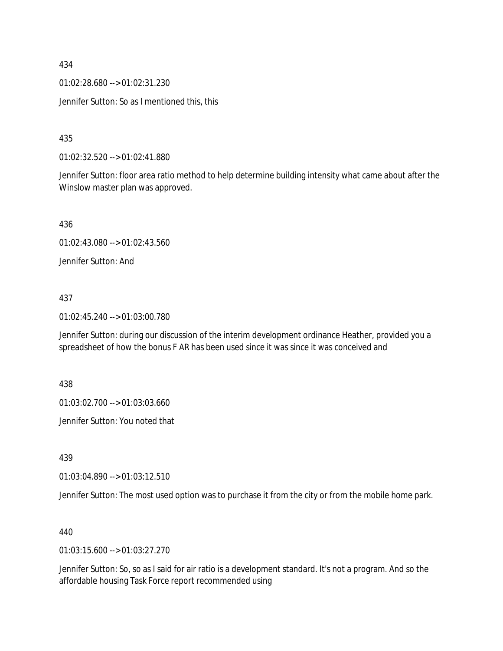01:02:28.680 --> 01:02:31.230

Jennifer Sutton: So as I mentioned this, this

435

01:02:32.520 --> 01:02:41.880

Jennifer Sutton: floor area ratio method to help determine building intensity what came about after the Winslow master plan was approved.

436

01:02:43.080 --> 01:02:43.560

Jennifer Sutton: And

#### 437

01:02:45.240 --> 01:03:00.780

Jennifer Sutton: during our discussion of the interim development ordinance Heather, provided you a spreadsheet of how the bonus F AR has been used since it was since it was conceived and

438

01:03:02.700 --> 01:03:03.660

Jennifer Sutton: You noted that

439

01:03:04.890 --> 01:03:12.510

Jennifer Sutton: The most used option was to purchase it from the city or from the mobile home park.

440

01:03:15.600 --> 01:03:27.270

Jennifer Sutton: So, so as I said for air ratio is a development standard. It's not a program. And so the affordable housing Task Force report recommended using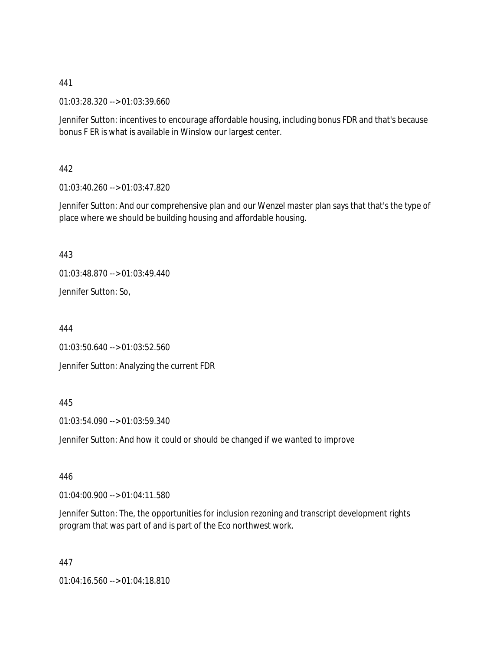01:03:28.320 --> 01:03:39.660

Jennifer Sutton: incentives to encourage affordable housing, including bonus FDR and that's because bonus F ER is what is available in Winslow our largest center.

442

01:03:40.260 --> 01:03:47.820

Jennifer Sutton: And our comprehensive plan and our Wenzel master plan says that that's the type of place where we should be building housing and affordable housing.

443

01:03:48.870 --> 01:03:49.440

Jennifer Sutton: So,

444

01:03:50.640 --> 01:03:52.560 Jennifer Sutton: Analyzing the current FDR

### 445

01:03:54.090 --> 01:03:59.340

Jennifer Sutton: And how it could or should be changed if we wanted to improve

446

01:04:00.900 --> 01:04:11.580

Jennifer Sutton: The, the opportunities for inclusion rezoning and transcript development rights program that was part of and is part of the Eco northwest work.

447

01:04:16.560 --> 01:04:18.810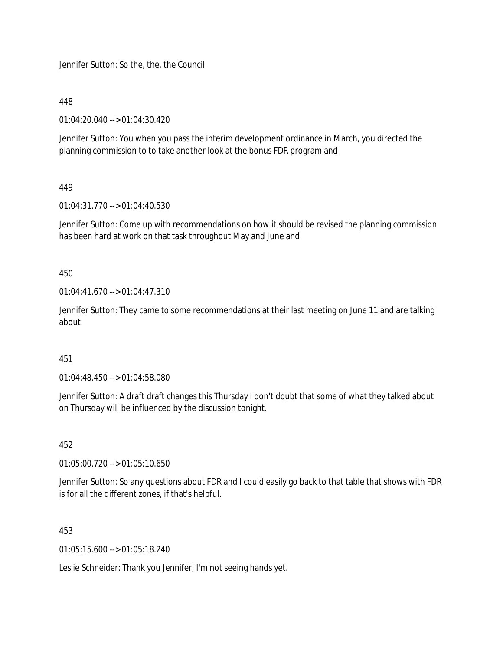Jennifer Sutton: So the, the, the Council.

448

01:04:20.040 --> 01:04:30.420

Jennifer Sutton: You when you pass the interim development ordinance in March, you directed the planning commission to to take another look at the bonus FDR program and

449

01:04:31.770 --> 01:04:40.530

Jennifer Sutton: Come up with recommendations on how it should be revised the planning commission has been hard at work on that task throughout May and June and

450

01:04:41.670 --> 01:04:47.310

Jennifer Sutton: They came to some recommendations at their last meeting on June 11 and are talking about

451

01:04:48.450 --> 01:04:58.080

Jennifer Sutton: A draft draft changes this Thursday I don't doubt that some of what they talked about on Thursday will be influenced by the discussion tonight.

452

01:05:00.720 --> 01:05:10.650

Jennifer Sutton: So any questions about FDR and I could easily go back to that table that shows with FDR is for all the different zones, if that's helpful.

453

01:05:15.600 --> 01:05:18.240

Leslie Schneider: Thank you Jennifer, I'm not seeing hands yet.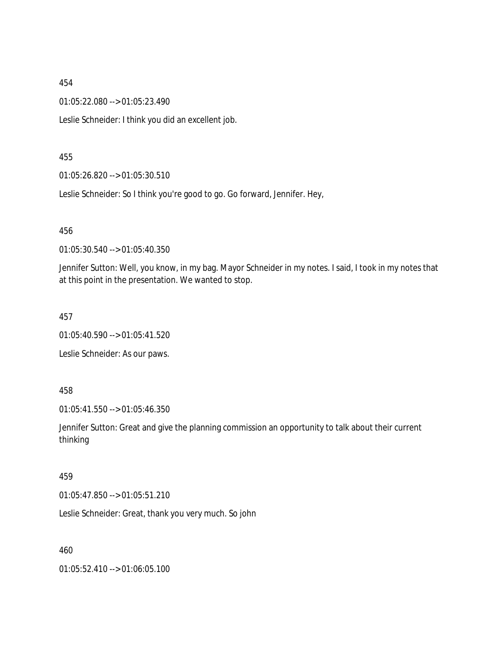01:05:22.080 --> 01:05:23.490

Leslie Schneider: I think you did an excellent job.

455

01:05:26.820 --> 01:05:30.510

Leslie Schneider: So I think you're good to go. Go forward, Jennifer. Hey,

456

01:05:30.540 --> 01:05:40.350

Jennifer Sutton: Well, you know, in my bag. Mayor Schneider in my notes. I said, I took in my notes that at this point in the presentation. We wanted to stop.

457

01:05:40.590 --> 01:05:41.520

Leslie Schneider: As our paws.

458

01:05:41.550 --> 01:05:46.350

Jennifer Sutton: Great and give the planning commission an opportunity to talk about their current thinking

#### 459

01:05:47.850 --> 01:05:51.210

Leslie Schneider: Great, thank you very much. So john

460

01:05:52.410 --> 01:06:05.100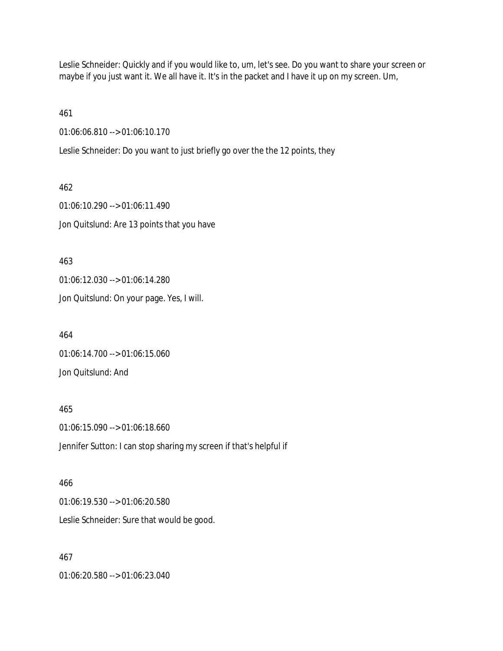Leslie Schneider: Quickly and if you would like to, um, let's see. Do you want to share your screen or maybe if you just want it. We all have it. It's in the packet and I have it up on my screen. Um,

461

01:06:06.810 --> 01:06:10.170

Leslie Schneider: Do you want to just briefly go over the the 12 points, they

462 01:06:10.290 --> 01:06:11.490 Jon Quitslund: Are 13 points that you have

463 01:06:12.030 --> 01:06:14.280 Jon Quitslund: On your page. Yes, I will.

464 01:06:14.700 --> 01:06:15.060 Jon Quitslund: And

465 01:06:15.090 --> 01:06:18.660 Jennifer Sutton: I can stop sharing my screen if that's helpful if

466 01:06:19.530 --> 01:06:20.580 Leslie Schneider: Sure that would be good.

467

01:06:20.580 --> 01:06:23.040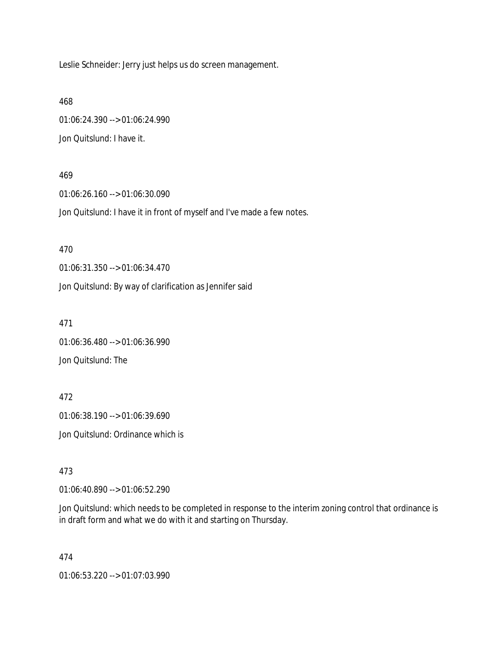Leslie Schneider: Jerry just helps us do screen management.

468 01:06:24.390 --> 01:06:24.990 Jon Quitslund: I have it.

#### 469

01:06:26.160 --> 01:06:30.090 Jon Quitslund: I have it in front of myself and I've made a few notes.

470 01:06:31.350 --> 01:06:34.470

Jon Quitslund: By way of clarification as Jennifer said

471

01:06:36.480 --> 01:06:36.990 Jon Quitslund: The

472 01:06:38.190 --> 01:06:39.690 Jon Quitslund: Ordinance which is

473

01:06:40.890 --> 01:06:52.290

Jon Quitslund: which needs to be completed in response to the interim zoning control that ordinance is in draft form and what we do with it and starting on Thursday.

474

01:06:53.220 --> 01:07:03.990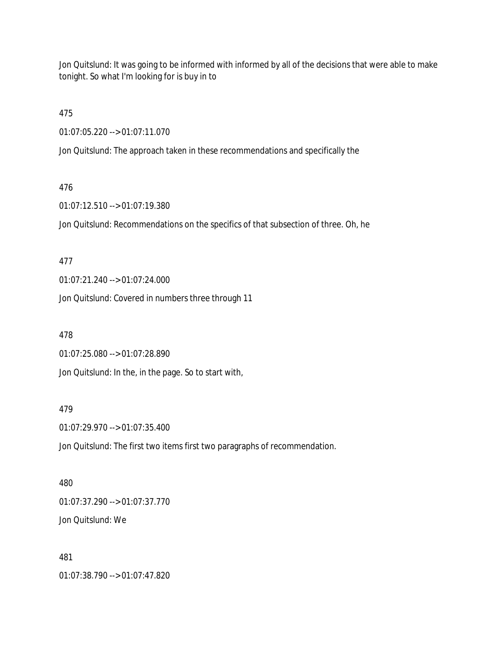Jon Quitslund: It was going to be informed with informed by all of the decisions that were able to make tonight. So what I'm looking for is buy in to

475

01:07:05.220 --> 01:07:11.070

Jon Quitslund: The approach taken in these recommendations and specifically the

## 476

01:07:12.510 --> 01:07:19.380

Jon Quitslund: Recommendations on the specifics of that subsection of three. Oh, he

## 477

01:07:21.240 --> 01:07:24.000

Jon Quitslund: Covered in numbers three through 11

## 478

01:07:25.080 --> 01:07:28.890

Jon Quitslund: In the, in the page. So to start with,

## 479

01:07:29.970 --> 01:07:35.400

Jon Quitslund: The first two items first two paragraphs of recommendation.

# 480 01:07:37.290 --> 01:07:37.770 Jon Quitslund: We

## 481

01:07:38.790 --> 01:07:47.820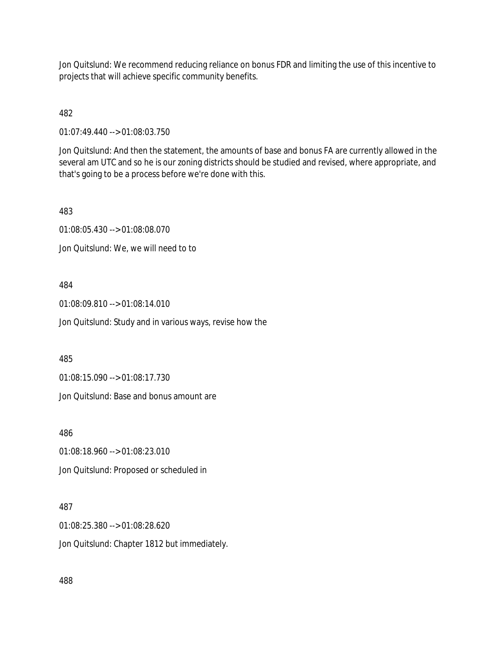Jon Quitslund: We recommend reducing reliance on bonus FDR and limiting the use of this incentive to projects that will achieve specific community benefits.

482

01:07:49.440 --> 01:08:03.750

Jon Quitslund: And then the statement, the amounts of base and bonus FA are currently allowed in the several am UTC and so he is our zoning districts should be studied and revised, where appropriate, and that's going to be a process before we're done with this.

483

01:08:05.430 --> 01:08:08.070

Jon Quitslund: We, we will need to to

484

01:08:09.810 --> 01:08:14.010

Jon Quitslund: Study and in various ways, revise how the

485

01:08:15.090 --> 01:08:17.730

Jon Quitslund: Base and bonus amount are

486

01:08:18.960 --> 01:08:23.010 Jon Quitslund: Proposed or scheduled in

487

01:08:25.380 --> 01:08:28.620 Jon Quitslund: Chapter 1812 but immediately.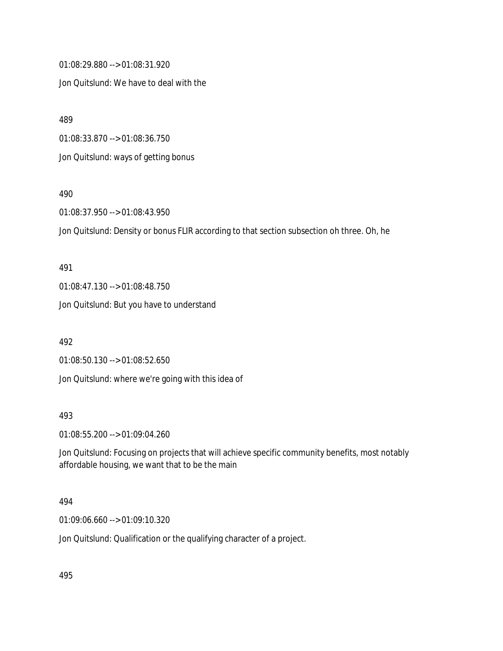01:08:29.880 --> 01:08:31.920 Jon Quitslund: We have to deal with the

489

01:08:33.870 --> 01:08:36.750

Jon Quitslund: ways of getting bonus

490

01:08:37.950 --> 01:08:43.950

Jon Quitslund: Density or bonus FLIR according to that section subsection oh three. Oh, he

491 01:08:47.130 --> 01:08:48.750 Jon Quitslund: But you have to understand

492

01:08:50.130 --> 01:08:52.650

Jon Quitslund: where we're going with this idea of

493

01:08:55.200 --> 01:09:04.260

Jon Quitslund: Focusing on projects that will achieve specific community benefits, most notably affordable housing, we want that to be the main

494

01:09:06.660 --> 01:09:10.320

Jon Quitslund: Qualification or the qualifying character of a project.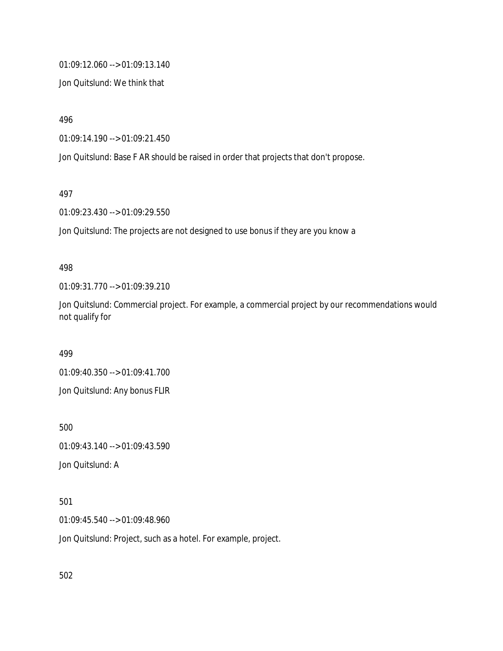01:09:12.060 --> 01:09:13.140

Jon Quitslund: We think that

496

01:09:14.190 --> 01:09:21.450

Jon Quitslund: Base F AR should be raised in order that projects that don't propose.

497

01:09:23.430 --> 01:09:29.550

Jon Quitslund: The projects are not designed to use bonus if they are you know a

#### 498

01:09:31.770 --> 01:09:39.210

Jon Quitslund: Commercial project. For example, a commercial project by our recommendations would not qualify for

499

01:09:40.350 --> 01:09:41.700 Jon Quitslund: Any bonus FLIR

500

01:09:43.140 --> 01:09:43.590

Jon Quitslund: A

## 501

01:09:45.540 --> 01:09:48.960

Jon Quitslund: Project, such as a hotel. For example, project.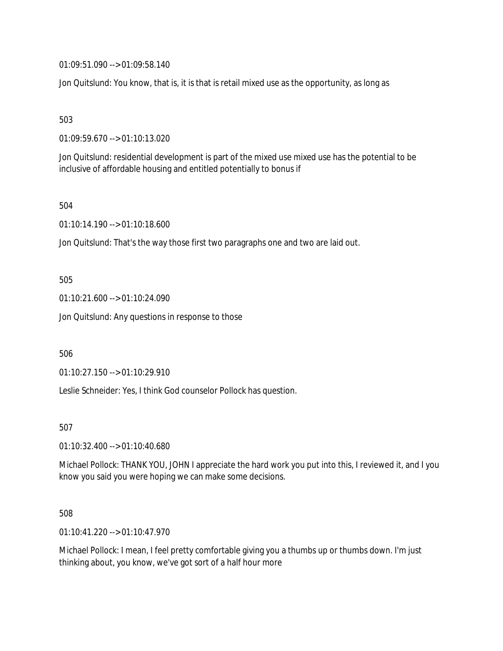01:09:51.090 --> 01:09:58.140

Jon Quitslund: You know, that is, it is that is retail mixed use as the opportunity, as long as

503

01:09:59.670 --> 01:10:13.020

Jon Quitslund: residential development is part of the mixed use mixed use has the potential to be inclusive of affordable housing and entitled potentially to bonus if

504

01:10:14.190 --> 01:10:18.600

Jon Quitslund: That's the way those first two paragraphs one and two are laid out.

505

01:10:21.600 --> 01:10:24.090

Jon Quitslund: Any questions in response to those

506

01:10:27.150 --> 01:10:29.910

Leslie Schneider: Yes, I think God counselor Pollock has question.

507

01:10:32.400 --> 01:10:40.680

Michael Pollock: THANK YOU, JOHN I appreciate the hard work you put into this, I reviewed it, and I you know you said you were hoping we can make some decisions.

508

01:10:41.220 --> 01:10:47.970

Michael Pollock: I mean, I feel pretty comfortable giving you a thumbs up or thumbs down. I'm just thinking about, you know, we've got sort of a half hour more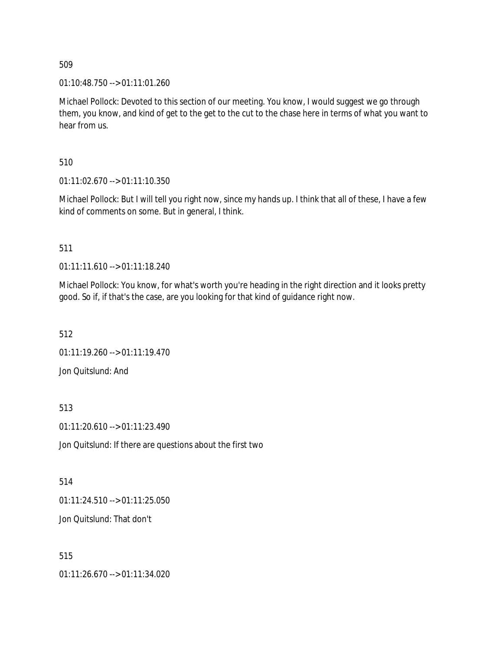01:10:48.750 --> 01:11:01.260

Michael Pollock: Devoted to this section of our meeting. You know, I would suggest we go through them, you know, and kind of get to the get to the cut to the chase here in terms of what you want to hear from us.

510

01:11:02.670 --> 01:11:10.350

Michael Pollock: But I will tell you right now, since my hands up. I think that all of these, I have a few kind of comments on some. But in general, I think.

511

01:11:11.610 --> 01:11:18.240

Michael Pollock: You know, for what's worth you're heading in the right direction and it looks pretty good. So if, if that's the case, are you looking for that kind of guidance right now.

512

01:11:19.260 --> 01:11:19.470

Jon Quitslund: And

513

01:11:20.610 --> 01:11:23.490

Jon Quitslund: If there are questions about the first two

514

01:11:24.510 --> 01:11:25.050

Jon Quitslund: That don't

515

01:11:26.670 --> 01:11:34.020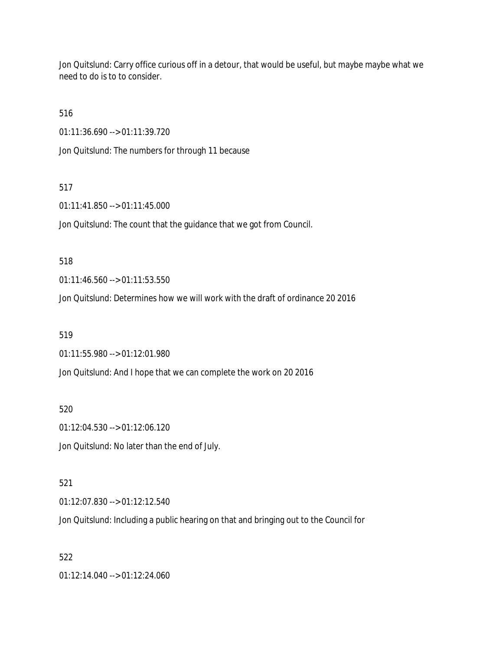Jon Quitslund: Carry office curious off in a detour, that would be useful, but maybe maybe what we need to do is to to consider.

516

01:11:36.690 --> 01:11:39.720

Jon Quitslund: The numbers for through 11 because

## 517

01:11:41.850 --> 01:11:45.000

Jon Quitslund: The count that the guidance that we got from Council.

#### 518

01:11:46.560 --> 01:11:53.550

Jon Quitslund: Determines how we will work with the draft of ordinance 20 2016

#### 519

01:11:55.980 --> 01:12:01.980

Jon Quitslund: And I hope that we can complete the work on 20 2016

520

01:12:04.530 --> 01:12:06.120

Jon Quitslund: No later than the end of July.

## 521

01:12:07.830 --> 01:12:12.540

Jon Quitslund: Including a public hearing on that and bringing out to the Council for

## 522

01:12:14.040 --> 01:12:24.060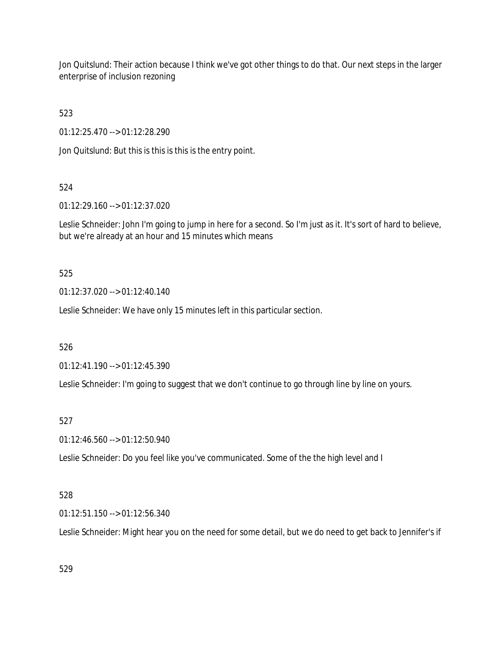Jon Quitslund: Their action because I think we've got other things to do that. Our next steps in the larger enterprise of inclusion rezoning

523

01:12:25.470 --> 01:12:28.290

Jon Quitslund: But this is this is this is the entry point.

# 524

01:12:29.160 --> 01:12:37.020

Leslie Schneider: John I'm going to jump in here for a second. So I'm just as it. It's sort of hard to believe, but we're already at an hour and 15 minutes which means

## 525

01:12:37.020 --> 01:12:40.140

Leslie Schneider: We have only 15 minutes left in this particular section.

526

01:12:41.190 --> 01:12:45.390

Leslie Schneider: I'm going to suggest that we don't continue to go through line by line on yours.

## 527

01:12:46.560 --> 01:12:50.940

Leslie Schneider: Do you feel like you've communicated. Some of the the high level and I

## 528

01:12:51.150 --> 01:12:56.340

Leslie Schneider: Might hear you on the need for some detail, but we do need to get back to Jennifer's if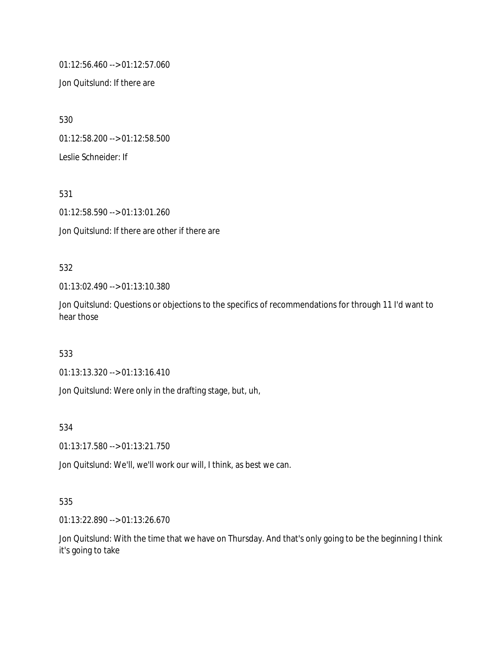01:12:56.460 --> 01:12:57.060

Jon Quitslund: If there are

530

01:12:58.200 --> 01:12:58.500

Leslie Schneider: If

531

01:12:58.590 --> 01:13:01.260

Jon Quitslund: If there are other if there are

## 532

01:13:02.490 --> 01:13:10.380

Jon Quitslund: Questions or objections to the specifics of recommendations for through 11 I'd want to hear those

## 533

01:13:13.320 --> 01:13:16.410

Jon Quitslund: Were only in the drafting stage, but, uh,

534

01:13:17.580 --> 01:13:21.750

Jon Quitslund: We'll, we'll work our will, I think, as best we can.

## 535

01:13:22.890 --> 01:13:26.670

Jon Quitslund: With the time that we have on Thursday. And that's only going to be the beginning I think it's going to take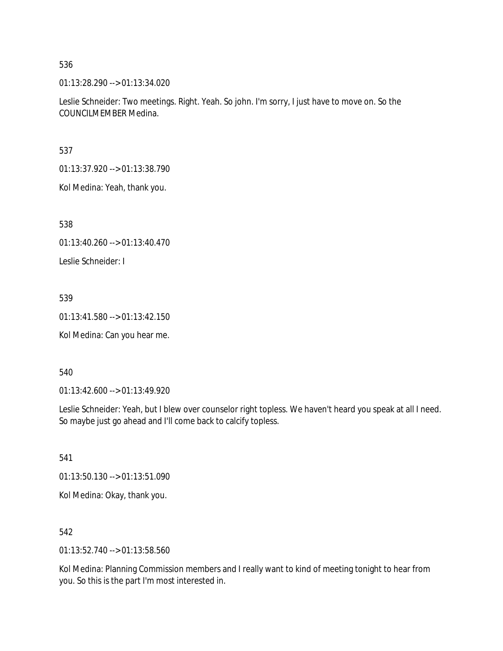01:13:28.290 --> 01:13:34.020

Leslie Schneider: Two meetings. Right. Yeah. So john. I'm sorry, I just have to move on. So the COUNCILMEMBER Medina.

537

01:13:37.920 --> 01:13:38.790

Kol Medina: Yeah, thank you.

538

01:13:40.260 --> 01:13:40.470

Leslie Schneider: I

## 539

01:13:41.580 --> 01:13:42.150

Kol Medina: Can you hear me.

#### 540

01:13:42.600 --> 01:13:49.920

Leslie Schneider: Yeah, but I blew over counselor right topless. We haven't heard you speak at all I need. So maybe just go ahead and I'll come back to calcify topless.

541

01:13:50.130 --> 01:13:51.090

Kol Medina: Okay, thank you.

542

01:13:52.740 --> 01:13:58.560

Kol Medina: Planning Commission members and I really want to kind of meeting tonight to hear from you. So this is the part I'm most interested in.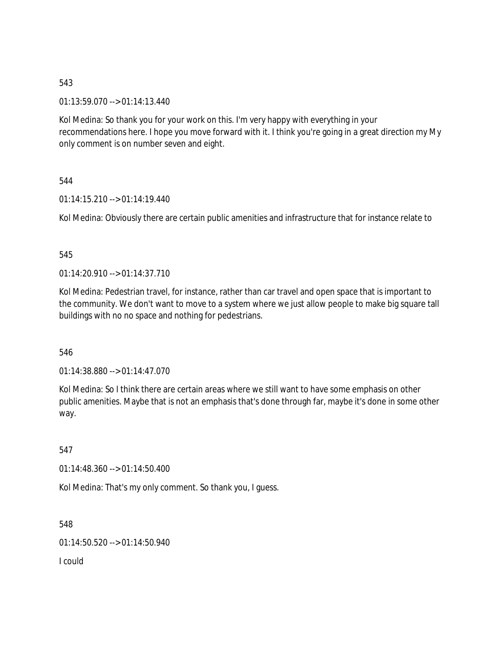01:13:59.070 --> 01:14:13.440

Kol Medina: So thank you for your work on this. I'm very happy with everything in your recommendations here. I hope you move forward with it. I think you're going in a great direction my My only comment is on number seven and eight.

544

01:14:15.210 --> 01:14:19.440

Kol Medina: Obviously there are certain public amenities and infrastructure that for instance relate to

## 545

 $01:14:20.910 \rightarrow 01:14:37.710$ 

Kol Medina: Pedestrian travel, for instance, rather than car travel and open space that is important to the community. We don't want to move to a system where we just allow people to make big square tall buildings with no no space and nothing for pedestrians.

## 546

01:14:38.880 --> 01:14:47.070

Kol Medina: So I think there are certain areas where we still want to have some emphasis on other public amenities. Maybe that is not an emphasis that's done through far, maybe it's done in some other way.

547

01:14:48.360 --> 01:14:50.400

Kol Medina: That's my only comment. So thank you, I guess.

548

01:14:50.520 --> 01:14:50.940

I could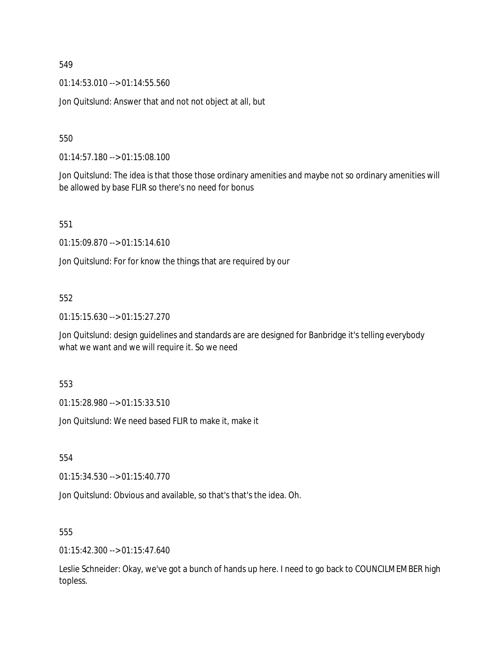01:14:53.010 --> 01:14:55.560

Jon Quitslund: Answer that and not not object at all, but

550

01:14:57.180 --> 01:15:08.100

Jon Quitslund: The idea is that those those ordinary amenities and maybe not so ordinary amenities will be allowed by base FLIR so there's no need for bonus

551

01:15:09.870 --> 01:15:14.610

Jon Quitslund: For for know the things that are required by our

## 552

01:15:15.630 --> 01:15:27.270

Jon Quitslund: design guidelines and standards are are designed for Banbridge it's telling everybody what we want and we will require it. So we need

553

01:15:28.980 --> 01:15:33.510

Jon Quitslund: We need based FLIR to make it, make it

554

01:15:34.530 --> 01:15:40.770

Jon Quitslund: Obvious and available, so that's that's the idea. Oh.

555

01:15:42.300 --> 01:15:47.640

Leslie Schneider: Okay, we've got a bunch of hands up here. I need to go back to COUNCILMEMBER high topless.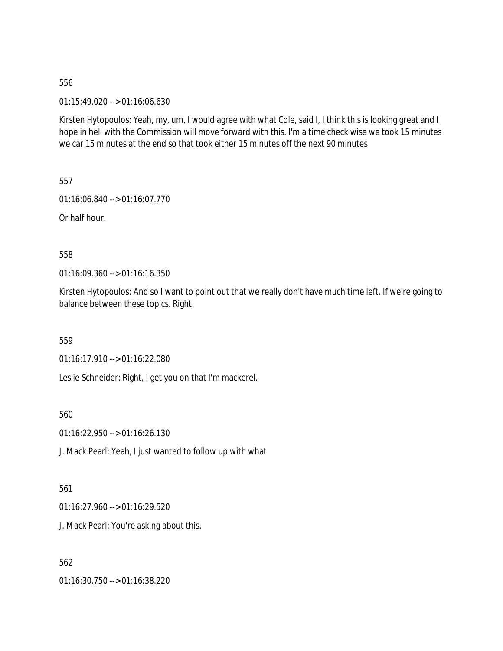01:15:49.020 --> 01:16:06.630

Kirsten Hytopoulos: Yeah, my, um, I would agree with what Cole, said I, I think this is looking great and I hope in hell with the Commission will move forward with this. I'm a time check wise we took 15 minutes we car 15 minutes at the end so that took either 15 minutes off the next 90 minutes

557

01:16:06.840 --> 01:16:07.770

Or half hour.

558

01:16:09.360 --> 01:16:16.350

Kirsten Hytopoulos: And so I want to point out that we really don't have much time left. If we're going to balance between these topics. Right.

559

01:16:17.910 --> 01:16:22.080

Leslie Schneider: Right, I get you on that I'm mackerel.

560

01:16:22.950 --> 01:16:26.130

J. Mack Pearl: Yeah, I just wanted to follow up with what

561

01:16:27.960 --> 01:16:29.520

J. Mack Pearl: You're asking about this.

562

01:16:30.750 --> 01:16:38.220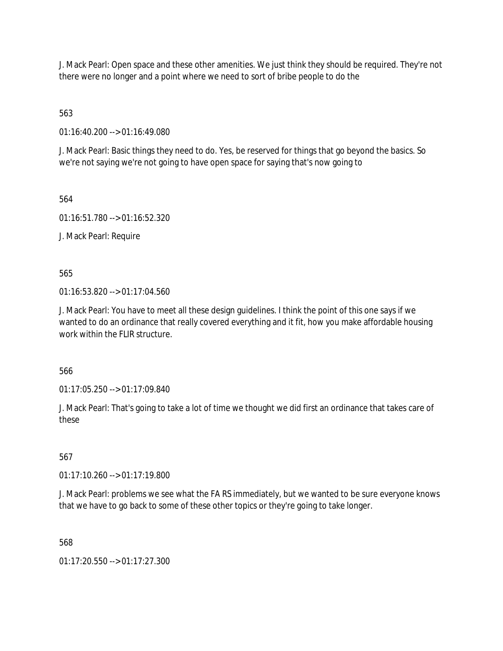J. Mack Pearl: Open space and these other amenities. We just think they should be required. They're not there were no longer and a point where we need to sort of bribe people to do the

563

01:16:40.200 --> 01:16:49.080

J. Mack Pearl: Basic things they need to do. Yes, be reserved for things that go beyond the basics. So we're not saying we're not going to have open space for saying that's now going to

564

01:16:51.780 --> 01:16:52.320

J. Mack Pearl: Require

565

01:16:53.820 --> 01:17:04.560

J. Mack Pearl: You have to meet all these design guidelines. I think the point of this one says if we wanted to do an ordinance that really covered everything and it fit, how you make affordable housing work within the FLIR structure.

566

01:17:05.250 --> 01:17:09.840

J. Mack Pearl: That's going to take a lot of time we thought we did first an ordinance that takes care of these

567

01:17:10.260 --> 01:17:19.800

J. Mack Pearl: problems we see what the FA RS immediately, but we wanted to be sure everyone knows that we have to go back to some of these other topics or they're going to take longer.

568

01:17:20.550 --> 01:17:27.300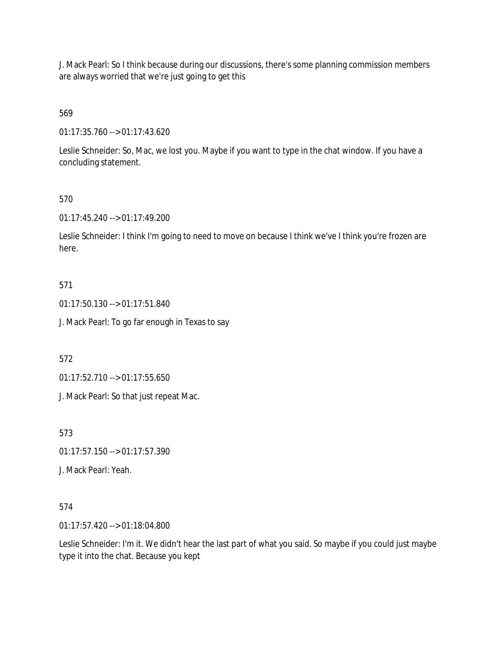J. Mack Pearl: So I think because during our discussions, there's some planning commission members are always worried that we're just going to get this

# 569

01:17:35.760 --> 01:17:43.620

Leslie Schneider: So, Mac, we lost you. Maybe if you want to type in the chat window. If you have a concluding statement.

## 570

01:17:45.240 --> 01:17:49.200

Leslie Schneider: I think I'm going to need to move on because I think we've I think you're frozen are here.

## 571

01:17:50.130 --> 01:17:51.840

J. Mack Pearl: To go far enough in Texas to say

572

01:17:52.710 --> 01:17:55.650

J. Mack Pearl: So that just repeat Mac.

573

01:17:57.150 --> 01:17:57.390

J. Mack Pearl: Yeah.

## 574

01:17:57.420 --> 01:18:04.800

Leslie Schneider: I'm it. We didn't hear the last part of what you said. So maybe if you could just maybe type it into the chat. Because you kept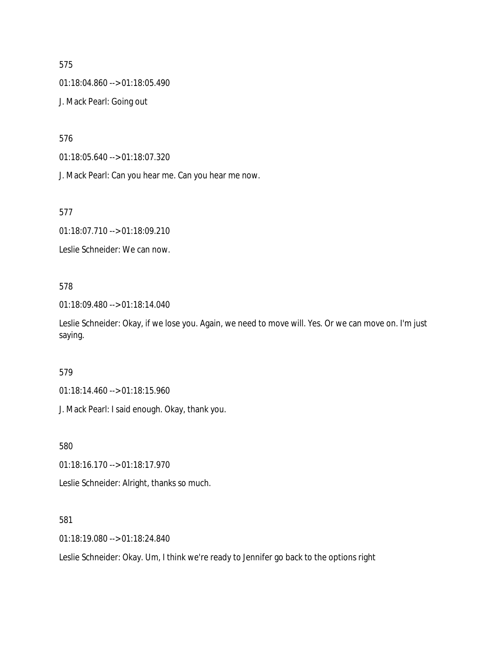01:18:04.860 --> 01:18:05.490

J. Mack Pearl: Going out

576

01:18:05.640 --> 01:18:07.320

J. Mack Pearl: Can you hear me. Can you hear me now.

577

01:18:07.710 --> 01:18:09.210

Leslie Schneider: We can now.

## 578

01:18:09.480 --> 01:18:14.040

Leslie Schneider: Okay, if we lose you. Again, we need to move will. Yes. Or we can move on. I'm just saying.

## 579

01:18:14.460 --> 01:18:15.960

J. Mack Pearl: I said enough. Okay, thank you.

580

01:18:16.170 --> 01:18:17.970

Leslie Schneider: Alright, thanks so much.

#### 581

01:18:19.080 --> 01:18:24.840

Leslie Schneider: Okay. Um, I think we're ready to Jennifer go back to the options right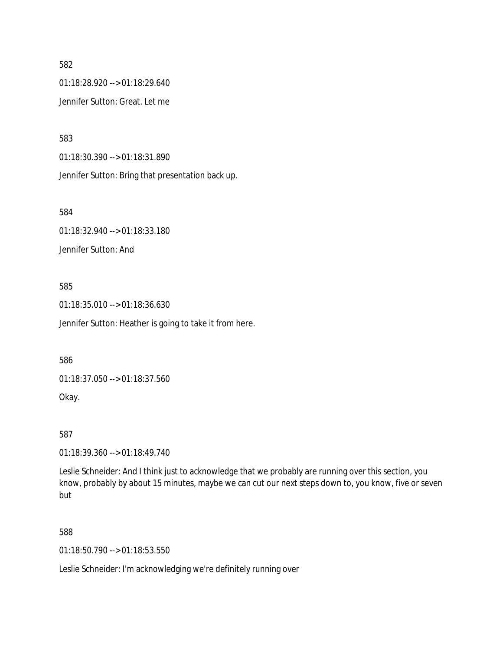01:18:28.920 --> 01:18:29.640 Jennifer Sutton: Great. Let me

583

01:18:30.390 --> 01:18:31.890

Jennifer Sutton: Bring that presentation back up.

584

01:18:32.940 --> 01:18:33.180 Jennifer Sutton: And

585

01:18:35.010 --> 01:18:36.630

Jennifer Sutton: Heather is going to take it from here.

586

01:18:37.050 --> 01:18:37.560

Okay.

587

01:18:39.360 --> 01:18:49.740

Leslie Schneider: And I think just to acknowledge that we probably are running over this section, you know, probably by about 15 minutes, maybe we can cut our next steps down to, you know, five or seven but

588

01:18:50.790 --> 01:18:53.550

Leslie Schneider: I'm acknowledging we're definitely running over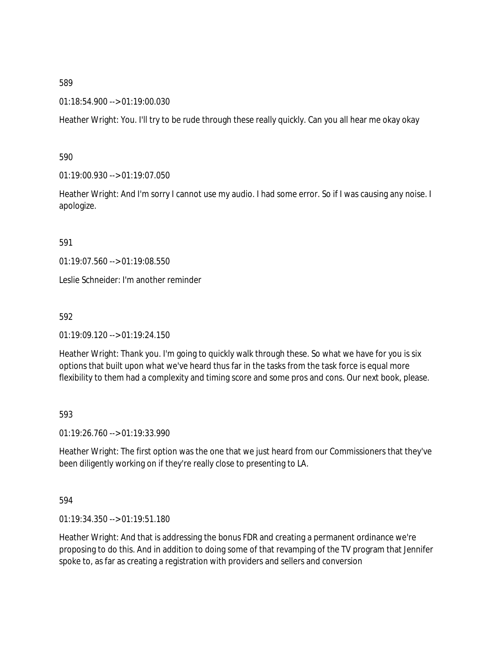01:18:54.900 --> 01:19:00.030

Heather Wright: You. I'll try to be rude through these really quickly. Can you all hear me okay okay

590

01:19:00.930 --> 01:19:07.050

Heather Wright: And I'm sorry I cannot use my audio. I had some error. So if I was causing any noise. I apologize.

591

01:19:07.560 --> 01:19:08.550

Leslie Schneider: I'm another reminder

592

01:19:09.120 --> 01:19:24.150

Heather Wright: Thank you. I'm going to quickly walk through these. So what we have for you is six options that built upon what we've heard thus far in the tasks from the task force is equal more flexibility to them had a complexity and timing score and some pros and cons. Our next book, please.

593

01:19:26.760 --> 01:19:33.990

Heather Wright: The first option was the one that we just heard from our Commissioners that they've been diligently working on if they're really close to presenting to LA.

594

01:19:34.350 --> 01:19:51.180

Heather Wright: And that is addressing the bonus FDR and creating a permanent ordinance we're proposing to do this. And in addition to doing some of that revamping of the TV program that Jennifer spoke to, as far as creating a registration with providers and sellers and conversion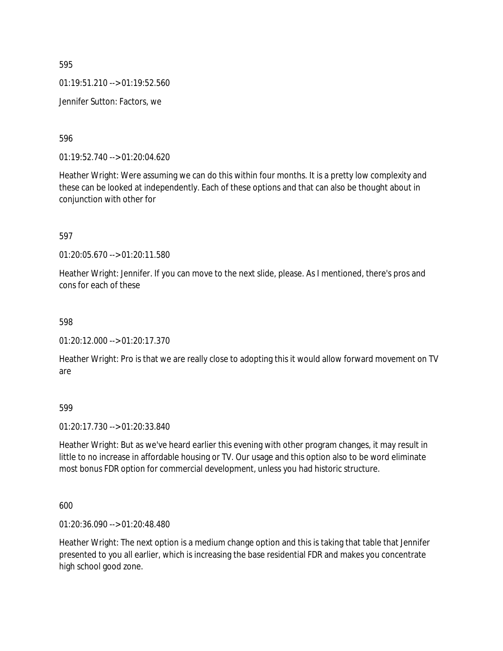01:19:51.210 --> 01:19:52.560

Jennifer Sutton: Factors, we

596

01:19:52.740 --> 01:20:04.620

Heather Wright: Were assuming we can do this within four months. It is a pretty low complexity and these can be looked at independently. Each of these options and that can also be thought about in conjunction with other for

597

01:20:05.670 --> 01:20:11.580

Heather Wright: Jennifer. If you can move to the next slide, please. As I mentioned, there's pros and cons for each of these

598

01:20:12.000 --> 01:20:17.370

Heather Wright: Pro is that we are really close to adopting this it would allow forward movement on TV are

599

01:20:17.730 --> 01:20:33.840

Heather Wright: But as we've heard earlier this evening with other program changes, it may result in little to no increase in affordable housing or TV. Our usage and this option also to be word eliminate most bonus FDR option for commercial development, unless you had historic structure.

600

01:20:36.090 --> 01:20:48.480

Heather Wright: The next option is a medium change option and this is taking that table that Jennifer presented to you all earlier, which is increasing the base residential FDR and makes you concentrate high school good zone.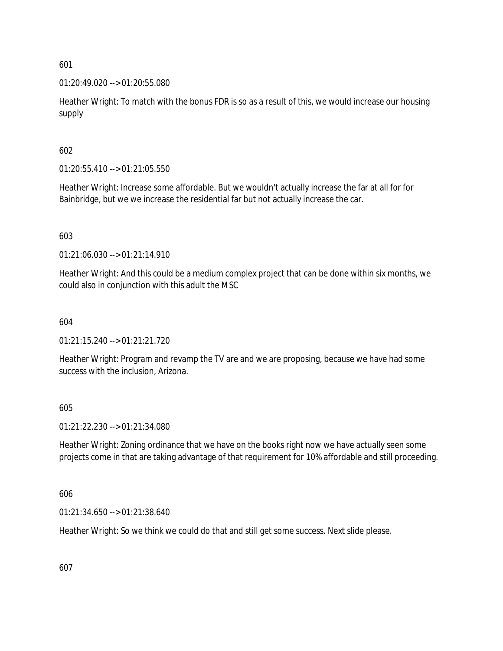01:20:49.020 --> 01:20:55.080

Heather Wright: To match with the bonus FDR is so as a result of this, we would increase our housing supply

602

01:20:55.410 --> 01:21:05.550

Heather Wright: Increase some affordable. But we wouldn't actually increase the far at all for for Bainbridge, but we we increase the residential far but not actually increase the car.

603

01:21:06.030 --> 01:21:14.910

Heather Wright: And this could be a medium complex project that can be done within six months, we could also in conjunction with this adult the MSC

604

01:21:15.240 --> 01:21:21.720

Heather Wright: Program and revamp the TV are and we are proposing, because we have had some success with the inclusion, Arizona.

605

01:21:22.230 --> 01:21:34.080

Heather Wright: Zoning ordinance that we have on the books right now we have actually seen some projects come in that are taking advantage of that requirement for 10% affordable and still proceeding.

606

01:21:34.650 --> 01:21:38.640

Heather Wright: So we think we could do that and still get some success. Next slide please.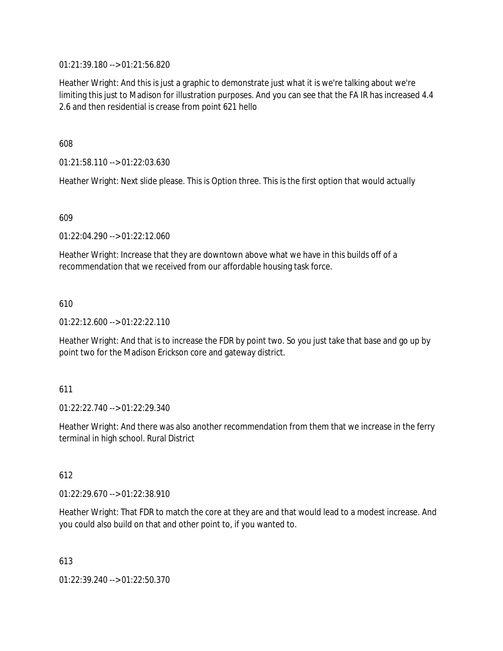01:21:39.180 --> 01:21:56.820

Heather Wright: And this is just a graphic to demonstrate just what it is we're talking about we're limiting this just to Madison for illustration purposes. And you can see that the FA IR has increased 4.4 2.6 and then residential is crease from point 621 hello

608

01:21:58.110 --> 01:22:03.630

Heather Wright: Next slide please. This is Option three. This is the first option that would actually

609

01:22:04.290 --> 01:22:12.060

Heather Wright: Increase that they are downtown above what we have in this builds off of a recommendation that we received from our affordable housing task force.

610

01:22:12.600 --> 01:22:22.110

Heather Wright: And that is to increase the FDR by point two. So you just take that base and go up by point two for the Madison Erickson core and gateway district.

611

01:22:22.740 --> 01:22:29.340

Heather Wright: And there was also another recommendation from them that we increase in the ferry terminal in high school. Rural District

612

01:22:29.670 --> 01:22:38.910

Heather Wright: That FDR to match the core at they are and that would lead to a modest increase. And you could also build on that and other point to, if you wanted to.

613

01:22:39.240 --> 01:22:50.370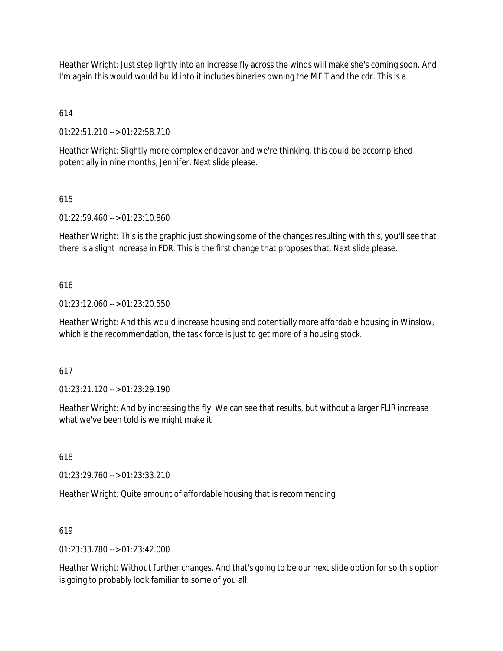Heather Wright: Just step lightly into an increase fly across the winds will make she's coming soon. And I'm again this would would build into it includes binaries owning the MF T and the cdr. This is a

# 614

01:22:51.210 --> 01:22:58.710

Heather Wright: Slightly more complex endeavor and we're thinking, this could be accomplished potentially in nine months, Jennifer. Next slide please.

## 615

01:22:59.460 --> 01:23:10.860

Heather Wright: This is the graphic just showing some of the changes resulting with this, you'll see that there is a slight increase in FDR. This is the first change that proposes that. Next slide please.

## 616

01:23:12.060 --> 01:23:20.550

Heather Wright: And this would increase housing and potentially more affordable housing in Winslow, which is the recommendation, the task force is just to get more of a housing stock.

## 617

01:23:21.120 --> 01:23:29.190

Heather Wright: And by increasing the fly. We can see that results, but without a larger FLIR increase what we've been told is we might make it

## 618

01:23:29.760 --> 01:23:33.210

Heather Wright: Quite amount of affordable housing that is recommending

## 619

01:23:33.780 --> 01:23:42.000

Heather Wright: Without further changes. And that's going to be our next slide option for so this option is going to probably look familiar to some of you all.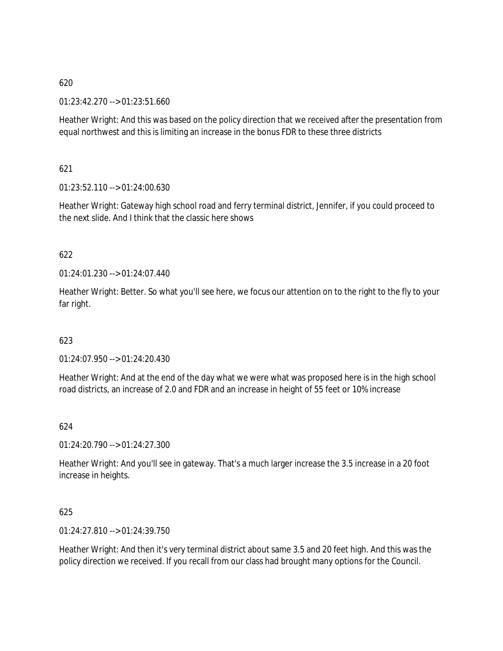01:23:42.270 --> 01:23:51.660

Heather Wright: And this was based on the policy direction that we received after the presentation from equal northwest and this is limiting an increase in the bonus FDR to these three districts

621

01:23:52.110 --> 01:24:00.630

Heather Wright: Gateway high school road and ferry terminal district, Jennifer, if you could proceed to the next slide. And I think that the classic here shows

## 622

 $01:24:01.230 \rightarrow 01:24:07.440$ 

Heather Wright: Better. So what you'll see here, we focus our attention on to the right to the fly to your far right.

623

01:24:07.950 --> 01:24:20.430

Heather Wright: And at the end of the day what we were what was proposed here is in the high school road districts, an increase of 2.0 and FDR and an increase in height of 55 feet or 10% increase

624

01:24:20.790 --> 01:24:27.300

Heather Wright: And you'll see in gateway. That's a much larger increase the 3.5 increase in a 20 foot increase in heights.

625

01:24:27.810 --> 01:24:39.750

Heather Wright: And then it's very terminal district about same 3.5 and 20 feet high. And this was the policy direction we received. If you recall from our class had brought many options for the Council.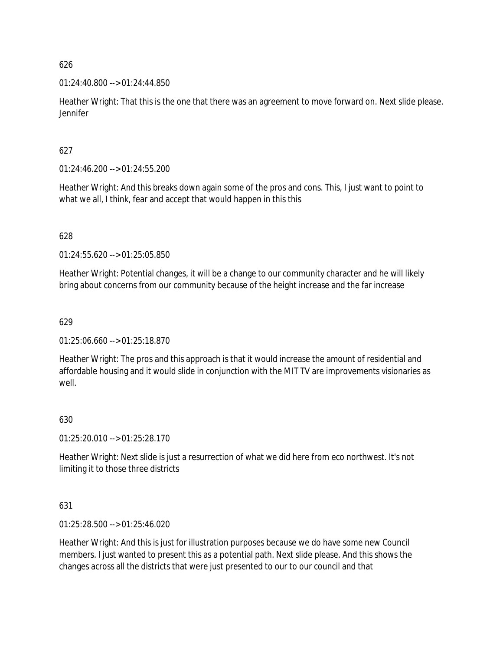## 01:24:40.800 --> 01:24:44.850

Heather Wright: That this is the one that there was an agreement to move forward on. Next slide please. Jennifer

## 627

01:24:46.200 --> 01:24:55.200

Heather Wright: And this breaks down again some of the pros and cons. This, I just want to point to what we all, I think, fear and accept that would happen in this this

## 628

01:24:55.620 --> 01:25:05.850

Heather Wright: Potential changes, it will be a change to our community character and he will likely bring about concerns from our community because of the height increase and the far increase

## 629

01:25:06.660 --> 01:25:18.870

Heather Wright: The pros and this approach is that it would increase the amount of residential and affordable housing and it would slide in conjunction with the MIT TV are improvements visionaries as well

## 630

01:25:20.010 --> 01:25:28.170

Heather Wright: Next slide is just a resurrection of what we did here from eco northwest. It's not limiting it to those three districts

## 631

01:25:28.500 --> 01:25:46.020

Heather Wright: And this is just for illustration purposes because we do have some new Council members. I just wanted to present this as a potential path. Next slide please. And this shows the changes across all the districts that were just presented to our to our council and that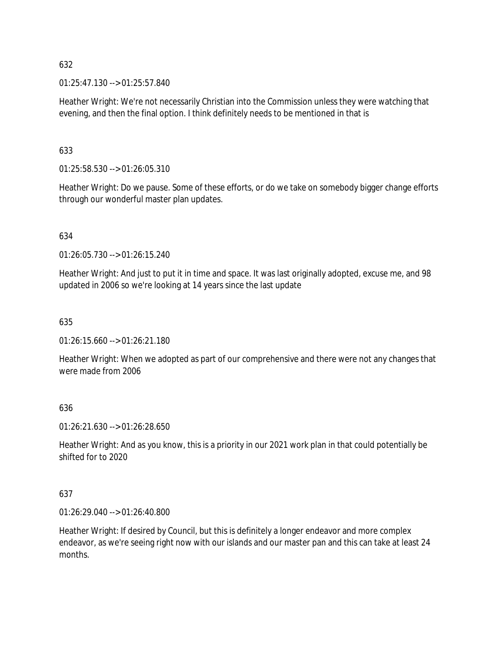01:25:47.130 --> 01:25:57.840

Heather Wright: We're not necessarily Christian into the Commission unless they were watching that evening, and then the final option. I think definitely needs to be mentioned in that is

## 633

01:25:58.530 --> 01:26:05.310

Heather Wright: Do we pause. Some of these efforts, or do we take on somebody bigger change efforts through our wonderful master plan updates.

## 634

01:26:05.730 --> 01:26:15.240

Heather Wright: And just to put it in time and space. It was last originally adopted, excuse me, and 98 updated in 2006 so we're looking at 14 years since the last update

## 635

01:26:15.660 --> 01:26:21.180

Heather Wright: When we adopted as part of our comprehensive and there were not any changes that were made from 2006

# 636

01:26:21.630 --> 01:26:28.650

Heather Wright: And as you know, this is a priority in our 2021 work plan in that could potentially be shifted for to 2020

## 637

01:26:29.040 --> 01:26:40.800

Heather Wright: If desired by Council, but this is definitely a longer endeavor and more complex endeavor, as we're seeing right now with our islands and our master pan and this can take at least 24 months.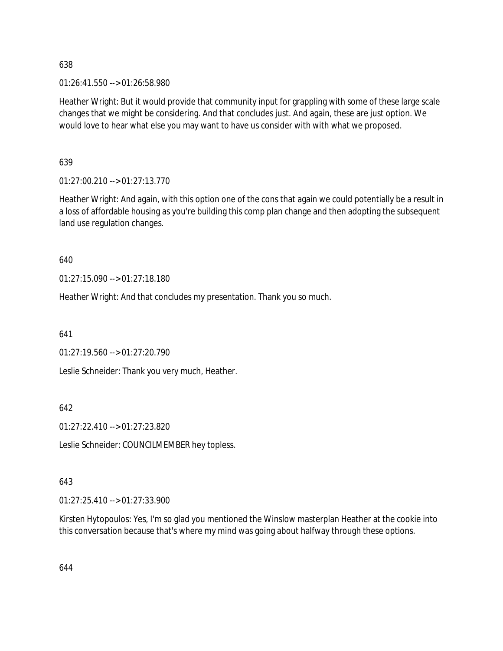01:26:41.550 --> 01:26:58.980

Heather Wright: But it would provide that community input for grappling with some of these large scale changes that we might be considering. And that concludes just. And again, these are just option. We would love to hear what else you may want to have us consider with with what we proposed.

639

01:27:00.210 --> 01:27:13.770

Heather Wright: And again, with this option one of the cons that again we could potentially be a result in a loss of affordable housing as you're building this comp plan change and then adopting the subsequent land use regulation changes.

640

01:27:15.090 --> 01:27:18.180

Heather Wright: And that concludes my presentation. Thank you so much.

641

01:27:19.560 --> 01:27:20.790

Leslie Schneider: Thank you very much, Heather.

642

01:27:22.410 --> 01:27:23.820

Leslie Schneider: COUNCILMEMBER hey topless.

## 643

01:27:25.410 --> 01:27:33.900

Kirsten Hytopoulos: Yes, I'm so glad you mentioned the Winslow masterplan Heather at the cookie into this conversation because that's where my mind was going about halfway through these options.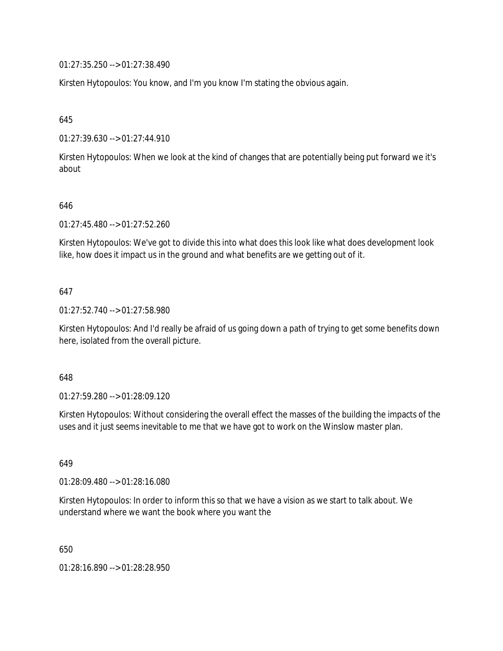01:27:35.250 --> 01:27:38.490

Kirsten Hytopoulos: You know, and I'm you know I'm stating the obvious again.

645

01:27:39.630 --> 01:27:44.910

Kirsten Hytopoulos: When we look at the kind of changes that are potentially being put forward we it's about

## 646

01:27:45.480 --> 01:27:52.260

Kirsten Hytopoulos: We've got to divide this into what does this look like what does development look like, how does it impact us in the ground and what benefits are we getting out of it.

## 647

01:27:52.740 --> 01:27:58.980

Kirsten Hytopoulos: And I'd really be afraid of us going down a path of trying to get some benefits down here, isolated from the overall picture.

## 648

01:27:59.280 --> 01:28:09.120

Kirsten Hytopoulos: Without considering the overall effect the masses of the building the impacts of the uses and it just seems inevitable to me that we have got to work on the Winslow master plan.

649

01:28:09.480 --> 01:28:16.080

Kirsten Hytopoulos: In order to inform this so that we have a vision as we start to talk about. We understand where we want the book where you want the

650

01:28:16.890 --> 01:28:28.950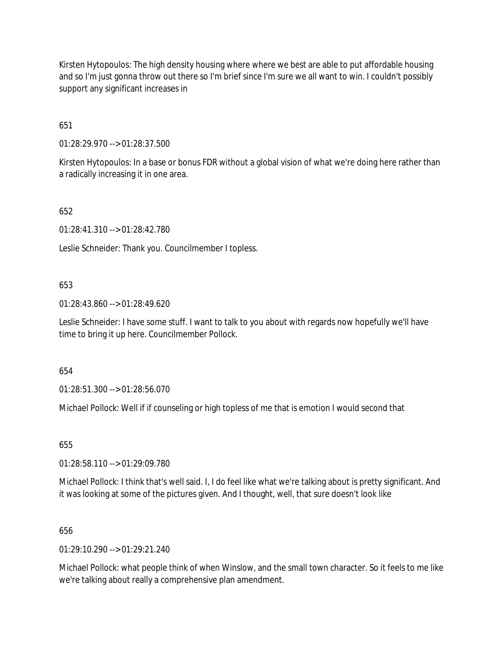Kirsten Hytopoulos: The high density housing where where we best are able to put affordable housing and so I'm just gonna throw out there so I'm brief since I'm sure we all want to win. I couldn't possibly support any significant increases in

651

01:28:29.970 --> 01:28:37.500

Kirsten Hytopoulos: In a base or bonus FDR without a global vision of what we're doing here rather than a radically increasing it in one area.

652

01:28:41.310 --> 01:28:42.780

Leslie Schneider: Thank you. Councilmember I topless.

## 653

01:28:43.860 --> 01:28:49.620

Leslie Schneider: I have some stuff. I want to talk to you about with regards now hopefully we'll have time to bring it up here. Councilmember Pollock.

654

01:28:51.300 --> 01:28:56.070

Michael Pollock: Well if if counseling or high topless of me that is emotion I would second that

655

01:28:58.110 --> 01:29:09.780

Michael Pollock: I think that's well said. I, I do feel like what we're talking about is pretty significant. And it was looking at some of the pictures given. And I thought, well, that sure doesn't look like

## 656

 $01.29.10.290 -5.01.29.21.240$ 

Michael Pollock: what people think of when Winslow, and the small town character. So it feels to me like we're talking about really a comprehensive plan amendment.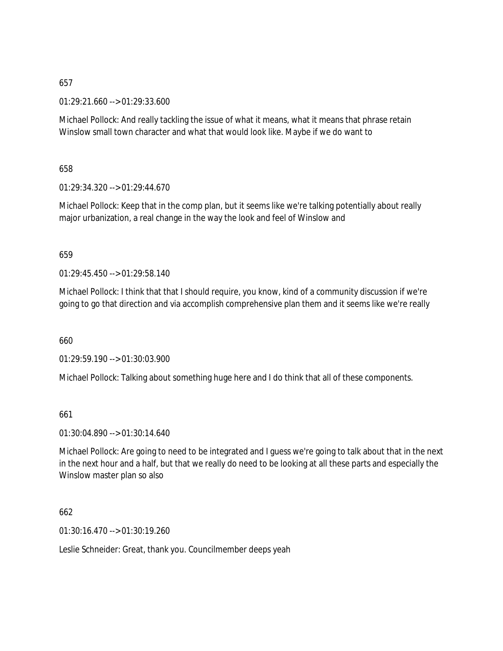01:29:21.660 --> 01:29:33.600

Michael Pollock: And really tackling the issue of what it means, what it means that phrase retain Winslow small town character and what that would look like. Maybe if we do want to

658

01:29:34.320 --> 01:29:44.670

Michael Pollock: Keep that in the comp plan, but it seems like we're talking potentially about really major urbanization, a real change in the way the look and feel of Winslow and

## 659

01:29:45.450 --> 01:29:58.140

Michael Pollock: I think that that I should require, you know, kind of a community discussion if we're going to go that direction and via accomplish comprehensive plan them and it seems like we're really

660

01:29:59.190 --> 01:30:03.900

Michael Pollock: Talking about something huge here and I do think that all of these components.

661

01:30:04.890 --> 01:30:14.640

Michael Pollock: Are going to need to be integrated and I guess we're going to talk about that in the next in the next hour and a half, but that we really do need to be looking at all these parts and especially the Winslow master plan so also

## 662

01:30:16.470 --> 01:30:19.260

Leslie Schneider: Great, thank you. Councilmember deeps yeah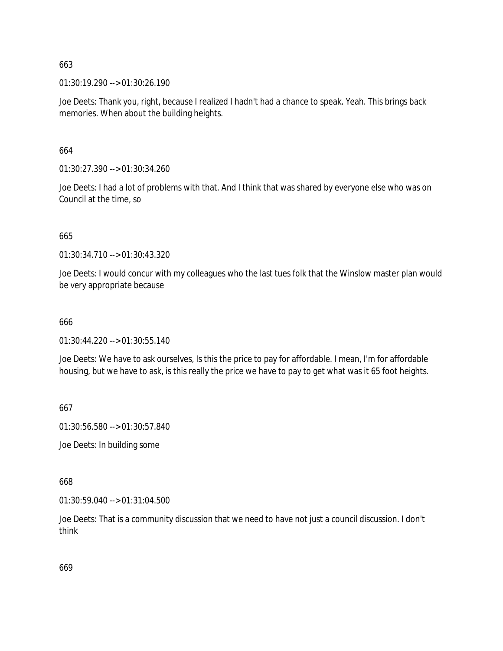01:30:19.290 --> 01:30:26.190

Joe Deets: Thank you, right, because I realized I hadn't had a chance to speak. Yeah. This brings back memories. When about the building heights.

664

01:30:27.390 --> 01:30:34.260

Joe Deets: I had a lot of problems with that. And I think that was shared by everyone else who was on Council at the time, so

665

01:30:34.710 --> 01:30:43.320

Joe Deets: I would concur with my colleagues who the last tues folk that the Winslow master plan would be very appropriate because

666

 $01:30:44.220 \rightarrow 01:30:55.140$ 

Joe Deets: We have to ask ourselves, Is this the price to pay for affordable. I mean, I'm for affordable housing, but we have to ask, is this really the price we have to pay to get what was it 65 foot heights.

667

01:30:56.580 --> 01:30:57.840

Joe Deets: In building some

668

01:30:59.040 --> 01:31:04.500

Joe Deets: That is a community discussion that we need to have not just a council discussion. I don't think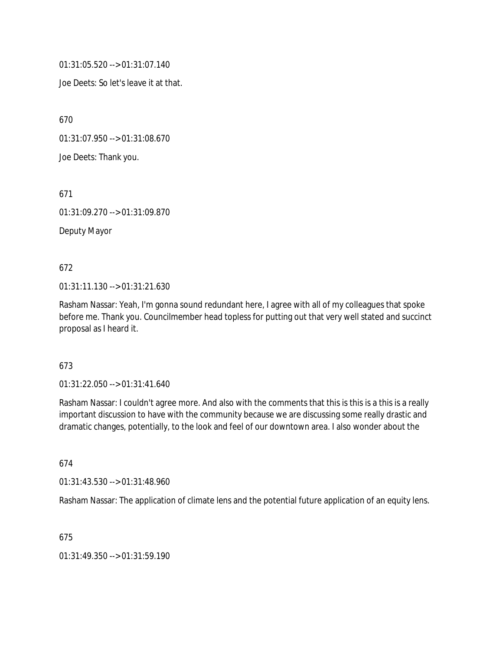01:31:05.520 --> 01:31:07.140

Joe Deets: So let's leave it at that.

670

01:31:07.950 --> 01:31:08.670

Joe Deets: Thank you.

671

01:31:09.270 --> 01:31:09.870

Deputy Mayor

## 672

01:31:11.130 --> 01:31:21.630

Rasham Nassar: Yeah, I'm gonna sound redundant here, I agree with all of my colleagues that spoke before me. Thank you. Councilmember head topless for putting out that very well stated and succinct proposal as I heard it.

## 673

01:31:22.050 --> 01:31:41.640

Rasham Nassar: I couldn't agree more. And also with the comments that this is this is a this is a really important discussion to have with the community because we are discussing some really drastic and dramatic changes, potentially, to the look and feel of our downtown area. I also wonder about the

## 674

01:31:43.530 --> 01:31:48.960

Rasham Nassar: The application of climate lens and the potential future application of an equity lens.

## 675

01:31:49.350 --> 01:31:59.190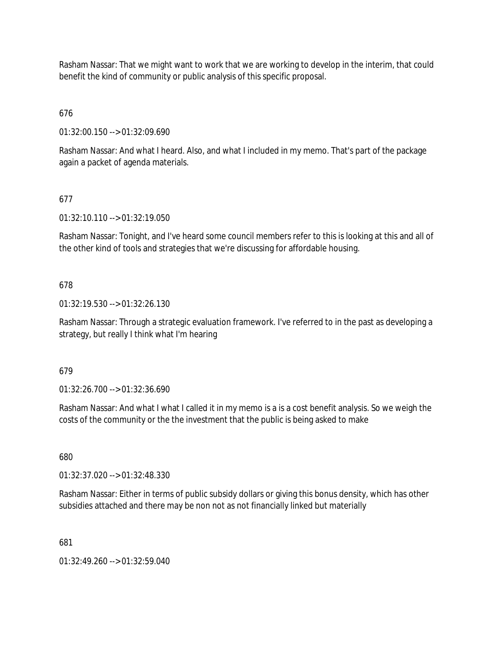Rasham Nassar: That we might want to work that we are working to develop in the interim, that could benefit the kind of community or public analysis of this specific proposal.

676

01:32:00.150 --> 01:32:09.690

Rasham Nassar: And what I heard. Also, and what I included in my memo. That's part of the package again a packet of agenda materials.

# 677

01:32:10.110 --> 01:32:19.050

Rasham Nassar: Tonight, and I've heard some council members refer to this is looking at this and all of the other kind of tools and strategies that we're discussing for affordable housing.

# 678

01:32:19.530 --> 01:32:26.130

Rasham Nassar: Through a strategic evaluation framework. I've referred to in the past as developing a strategy, but really I think what I'm hearing

## 679

01:32:26.700 --> 01:32:36.690

Rasham Nassar: And what I what I called it in my memo is a is a cost benefit analysis. So we weigh the costs of the community or the the investment that the public is being asked to make

680

01:32:37.020 --> 01:32:48.330

Rasham Nassar: Either in terms of public subsidy dollars or giving this bonus density, which has other subsidies attached and there may be non not as not financially linked but materially

681

01:32:49.260 --> 01:32:59.040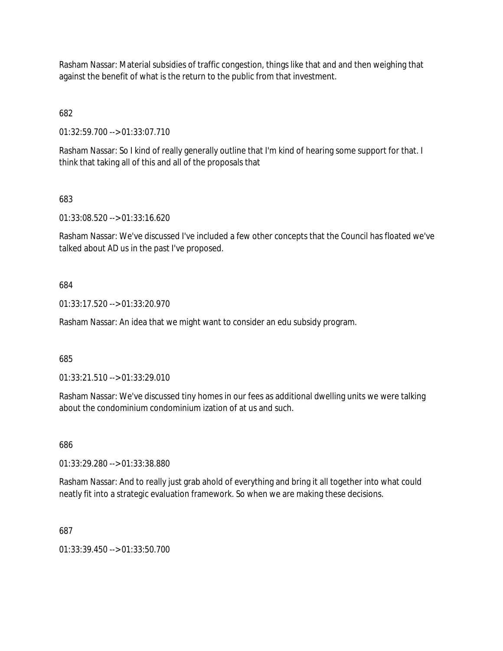Rasham Nassar: Material subsidies of traffic congestion, things like that and and then weighing that against the benefit of what is the return to the public from that investment.

682

01:32:59.700 --> 01:33:07.710

Rasham Nassar: So I kind of really generally outline that I'm kind of hearing some support for that. I think that taking all of this and all of the proposals that

683

01:33:08.520 --> 01:33:16.620

Rasham Nassar: We've discussed I've included a few other concepts that the Council has floated we've talked about AD us in the past I've proposed.

684

01:33:17.520 --> 01:33:20.970

Rasham Nassar: An idea that we might want to consider an edu subsidy program.

685

01:33:21.510 --> 01:33:29.010

Rasham Nassar: We've discussed tiny homes in our fees as additional dwelling units we were talking about the condominium condominium ization of at us and such.

686

01:33:29.280 --> 01:33:38.880

Rasham Nassar: And to really just grab ahold of everything and bring it all together into what could neatly fit into a strategic evaluation framework. So when we are making these decisions.

687

01:33:39.450 --> 01:33:50.700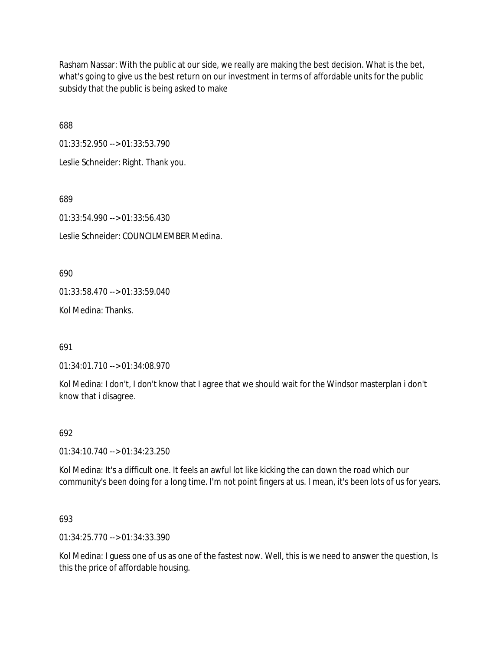Rasham Nassar: With the public at our side, we really are making the best decision. What is the bet, what's going to give us the best return on our investment in terms of affordable units for the public subsidy that the public is being asked to make

688

01:33:52.950 --> 01:33:53.790

Leslie Schneider: Right. Thank you.

689

01:33:54.990 --> 01:33:56.430

Leslie Schneider: COUNCILMEMBER Medina.

690

01:33:58.470 --> 01:33:59.040

Kol Medina: Thanks.

691

01:34:01.710 --> 01:34:08.970

Kol Medina: I don't, I don't know that I agree that we should wait for the Windsor masterplan i don't know that i disagree.

## 692

01:34:10.740 --> 01:34:23.250

Kol Medina: It's a difficult one. It feels an awful lot like kicking the can down the road which our community's been doing for a long time. I'm not point fingers at us. I mean, it's been lots of us for years.

693

01:34:25.770 --> 01:34:33.390

Kol Medina: I guess one of us as one of the fastest now. Well, this is we need to answer the question, Is this the price of affordable housing.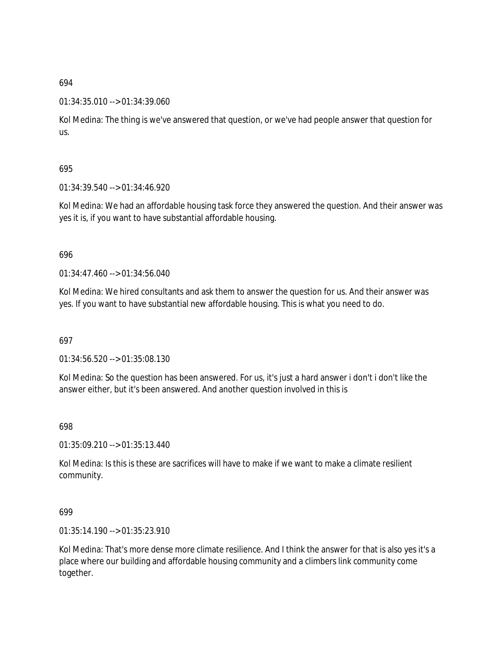## 01:34:35.010 --> 01:34:39.060

Kol Medina: The thing is we've answered that question, or we've had people answer that question for us.

## 695

01:34:39.540 --> 01:34:46.920

Kol Medina: We had an affordable housing task force they answered the question. And their answer was yes it is, if you want to have substantial affordable housing.

## 696

01:34:47.460 --> 01:34:56.040

Kol Medina: We hired consultants and ask them to answer the question for us. And their answer was yes. If you want to have substantial new affordable housing. This is what you need to do.

## 697

01:34:56.520 --> 01:35:08.130

Kol Medina: So the question has been answered. For us, it's just a hard answer i don't i don't like the answer either, but it's been answered. And another question involved in this is

## 698

 $01:35:09.210 \rightarrow 01:35:13.440$ 

Kol Medina: Is this is these are sacrifices will have to make if we want to make a climate resilient community.

## 699

 $01:35:14.190 \rightarrow 01:35:23.910$ 

Kol Medina: That's more dense more climate resilience. And I think the answer for that is also yes it's a place where our building and affordable housing community and a climbers link community come together.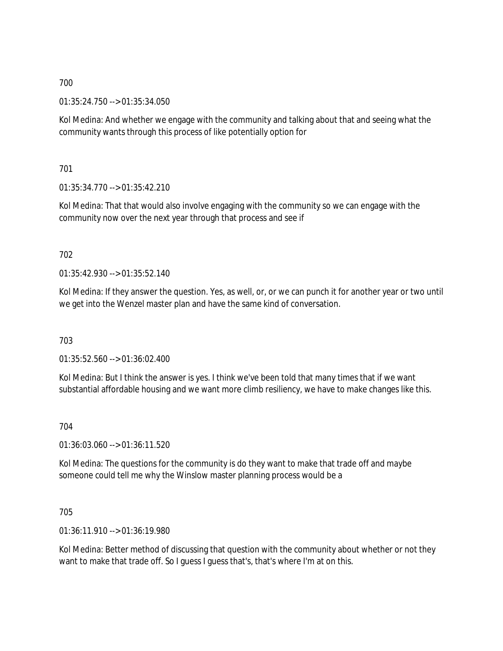01:35:24.750 --> 01:35:34.050

Kol Medina: And whether we engage with the community and talking about that and seeing what the community wants through this process of like potentially option for

701

01:35:34.770 --> 01:35:42.210

Kol Medina: That that would also involve engaging with the community so we can engage with the community now over the next year through that process and see if

# 702

 $01:35:42.930 \rightarrow 01:35:52.140$ 

Kol Medina: If they answer the question. Yes, as well, or, or we can punch it for another year or two until we get into the Wenzel master plan and have the same kind of conversation.

703

01:35:52.560 --> 01:36:02.400

Kol Medina: But I think the answer is yes. I think we've been told that many times that if we want substantial affordable housing and we want more climb resiliency, we have to make changes like this.

704

01:36:03.060 --> 01:36:11.520

Kol Medina: The questions for the community is do they want to make that trade off and maybe someone could tell me why the Winslow master planning process would be a

705

01:36:11.910 --> 01:36:19.980

Kol Medina: Better method of discussing that question with the community about whether or not they want to make that trade off. So I guess I guess that's, that's where I'm at on this.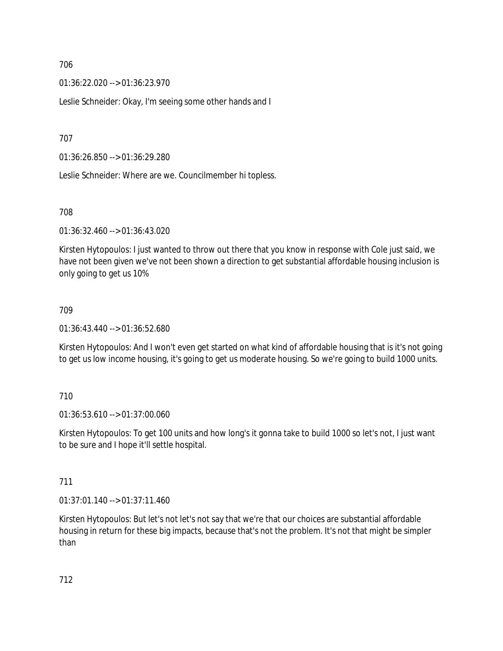01:36:22.020 --> 01:36:23.970

Leslie Schneider: Okay, I'm seeing some other hands and I

707

01:36:26.850 --> 01:36:29.280

Leslie Schneider: Where are we. Councilmember hi topless.

708

01:36:32.460 --> 01:36:43.020

Kirsten Hytopoulos: I just wanted to throw out there that you know in response with Cole just said, we have not been given we've not been shown a direction to get substantial affordable housing inclusion is only going to get us 10%

#### 709

01:36:43.440 --> 01:36:52.680

Kirsten Hytopoulos: And I won't even get started on what kind of affordable housing that is it's not going to get us low income housing, it's going to get us moderate housing. So we're going to build 1000 units.

### 710

01:36:53.610 --> 01:37:00.060

Kirsten Hytopoulos: To get 100 units and how long's it gonna take to build 1000 so let's not, I just want to be sure and I hope it'll settle hospital.

### 711

01:37:01.140 --> 01:37:11.460

Kirsten Hytopoulos: But let's not let's not say that we're that our choices are substantial affordable housing in return for these big impacts, because that's not the problem. It's not that might be simpler than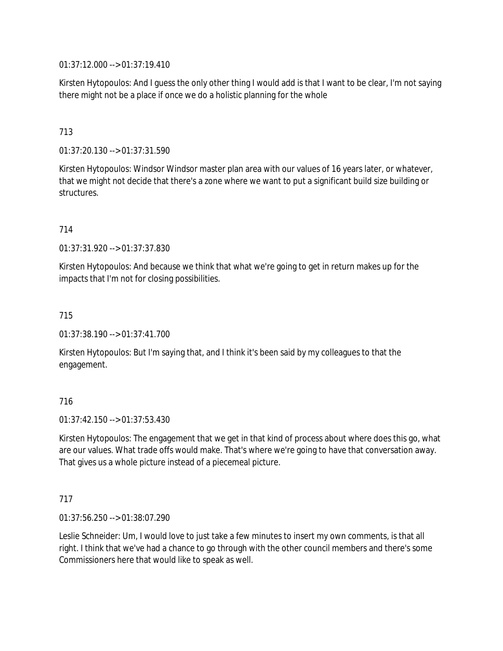01:37:12.000 --> 01:37:19.410

Kirsten Hytopoulos: And I guess the only other thing I would add is that I want to be clear, I'm not saying there might not be a place if once we do a holistic planning for the whole

# 713

01:37:20.130 --> 01:37:31.590

Kirsten Hytopoulos: Windsor Windsor master plan area with our values of 16 years later, or whatever, that we might not decide that there's a zone where we want to put a significant build size building or structures.

714

01:37:31.920 --> 01:37:37.830

Kirsten Hytopoulos: And because we think that what we're going to get in return makes up for the impacts that I'm not for closing possibilities.

715

01:37:38.190 --> 01:37:41.700

Kirsten Hytopoulos: But I'm saying that, and I think it's been said by my colleagues to that the engagement.

### 716

01:37:42.150 --> 01:37:53.430

Kirsten Hytopoulos: The engagement that we get in that kind of process about where does this go, what are our values. What trade offs would make. That's where we're going to have that conversation away. That gives us a whole picture instead of a piecemeal picture.

#### 717

01:37:56.250 --> 01:38:07.290

Leslie Schneider: Um, I would love to just take a few minutes to insert my own comments, is that all right. I think that we've had a chance to go through with the other council members and there's some Commissioners here that would like to speak as well.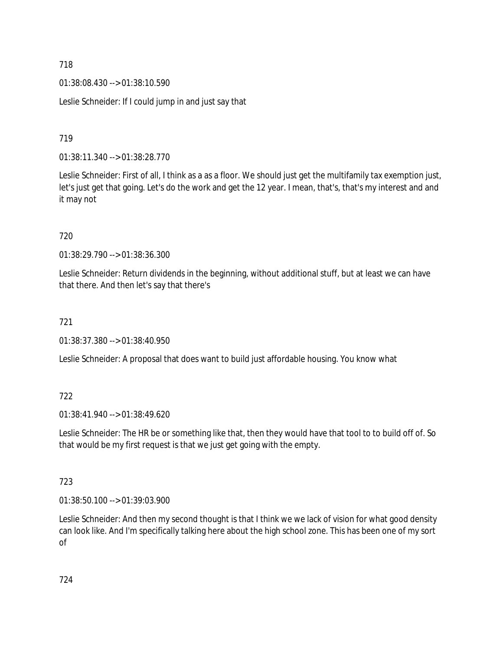01:38:08.430 --> 01:38:10.590

Leslie Schneider: If I could jump in and just say that

719

01:38:11.340 --> 01:38:28.770

Leslie Schneider: First of all, I think as a as a floor. We should just get the multifamily tax exemption just, let's just get that going. Let's do the work and get the 12 year. I mean, that's, that's my interest and and it may not

720

01:38:29.790 --> 01:38:36.300

Leslie Schneider: Return dividends in the beginning, without additional stuff, but at least we can have that there. And then let's say that there's

721

01:38:37.380 --> 01:38:40.950

Leslie Schneider: A proposal that does want to build just affordable housing. You know what

722

01:38:41.940 --> 01:38:49.620

Leslie Schneider: The HR be or something like that, then they would have that tool to to build off of. So that would be my first request is that we just get going with the empty.

723

01:38:50.100 --> 01:39:03.900

Leslie Schneider: And then my second thought is that I think we we lack of vision for what good density can look like. And I'm specifically talking here about the high school zone. This has been one of my sort of

724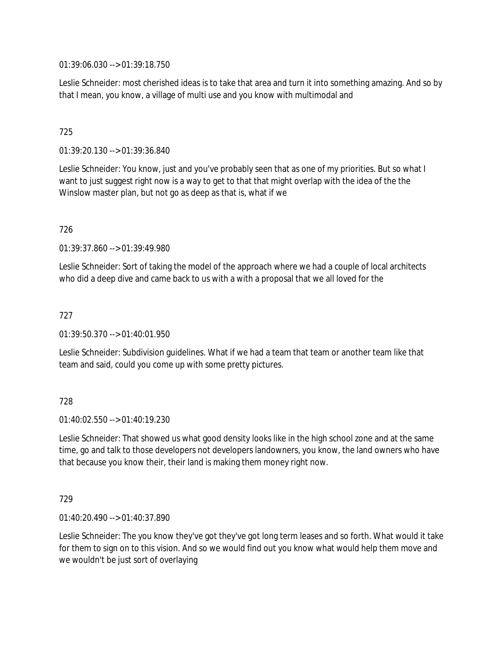01:39:06.030 --> 01:39:18.750

Leslie Schneider: most cherished ideas is to take that area and turn it into something amazing. And so by that I mean, you know, a village of multi use and you know with multimodal and

# 725

01:39:20.130 --> 01:39:36.840

Leslie Schneider: You know, just and you've probably seen that as one of my priorities. But so what I want to just suggest right now is a way to get to that that might overlap with the idea of the the Winslow master plan, but not go as deep as that is, what if we

726

01:39:37.860 --> 01:39:49.980

Leslie Schneider: Sort of taking the model of the approach where we had a couple of local architects who did a deep dive and came back to us with a with a proposal that we all loved for the

### 727

01:39:50.370 --> 01:40:01.950

Leslie Schneider: Subdivision guidelines. What if we had a team that team or another team like that team and said, could you come up with some pretty pictures.

### 728

 $01:40:02.550 \rightarrow 01:40:19.230$ 

Leslie Schneider: That showed us what good density looks like in the high school zone and at the same time, go and talk to those developers not developers landowners, you know, the land owners who have that because you know their, their land is making them money right now.

### 729

01:40:20.490 --> 01:40:37.890

Leslie Schneider: The you know they've got they've got long term leases and so forth. What would it take for them to sign on to this vision. And so we would find out you know what would help them move and we wouldn't be just sort of overlaying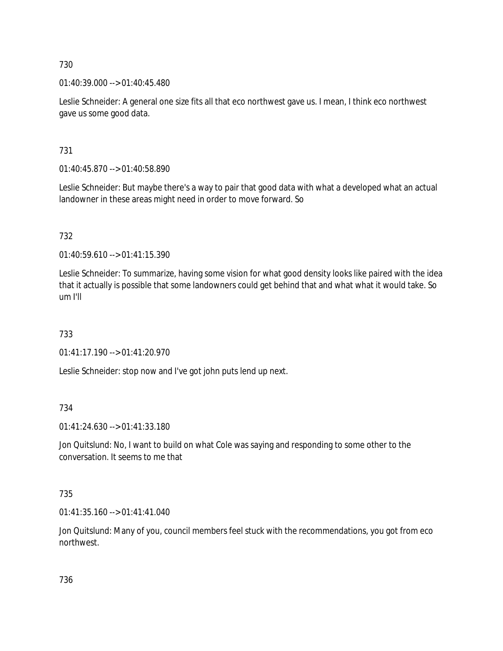01:40:39.000 --> 01:40:45.480

Leslie Schneider: A general one size fits all that eco northwest gave us. I mean, I think eco northwest gave us some good data.

731

01:40:45.870 --> 01:40:58.890

Leslie Schneider: But maybe there's a way to pair that good data with what a developed what an actual landowner in these areas might need in order to move forward. So

732

01:40:59.610 --> 01:41:15.390

Leslie Schneider: To summarize, having some vision for what good density looks like paired with the idea that it actually is possible that some landowners could get behind that and what what it would take. So um I'll

733

01:41:17.190 --> 01:41:20.970

Leslie Schneider: stop now and I've got john puts lend up next.

734

01:41:24.630 --> 01:41:33.180

Jon Quitslund: No, I want to build on what Cole was saying and responding to some other to the conversation. It seems to me that

735

01:41:35.160 --> 01:41:41.040

Jon Quitslund: Many of you, council members feel stuck with the recommendations, you got from eco northwest.

736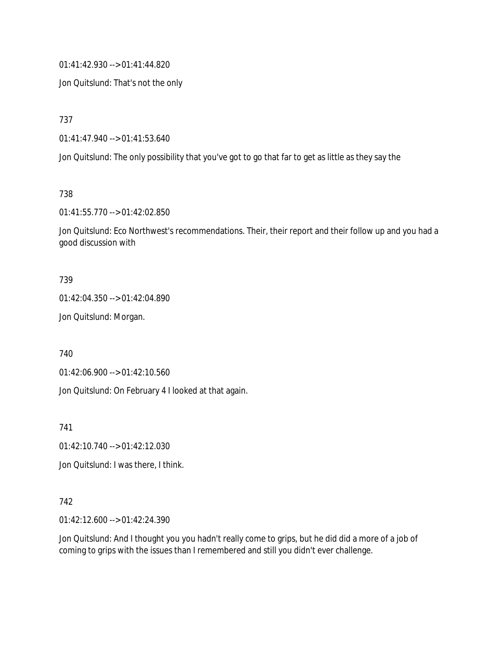01:41:42.930 --> 01:41:44.820

Jon Quitslund: That's not the only

737

01:41:47.940 --> 01:41:53.640

Jon Quitslund: The only possibility that you've got to go that far to get as little as they say the

738

01:41:55.770 --> 01:42:02.850

Jon Quitslund: Eco Northwest's recommendations. Their, their report and their follow up and you had a good discussion with

#### 739

01:42:04.350 --> 01:42:04.890

Jon Quitslund: Morgan.

740

01:42:06.900 --> 01:42:10.560

Jon Quitslund: On February 4 I looked at that again.

741

01:42:10.740 --> 01:42:12.030

Jon Quitslund: I was there, I think.

### 742

01:42:12.600 --> 01:42:24.390

Jon Quitslund: And I thought you you hadn't really come to grips, but he did did a more of a job of coming to grips with the issues than I remembered and still you didn't ever challenge.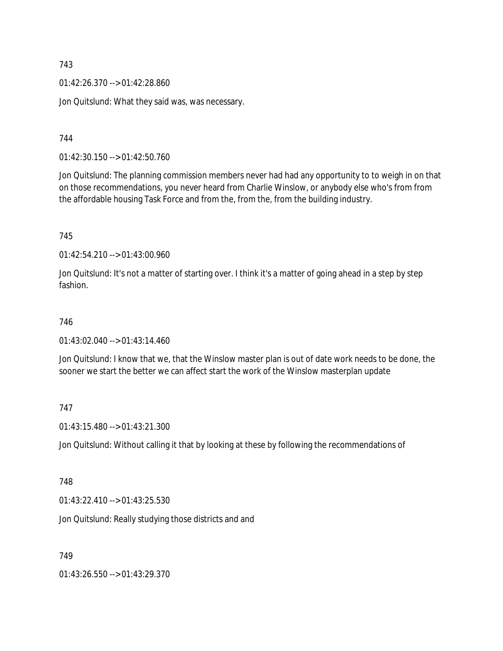01:42:26.370 --> 01:42:28.860

Jon Quitslund: What they said was, was necessary.

744

01:42:30.150 --> 01:42:50.760

Jon Quitslund: The planning commission members never had had any opportunity to to weigh in on that on those recommendations, you never heard from Charlie Winslow, or anybody else who's from from the affordable housing Task Force and from the, from the, from the building industry.

745

01:42:54.210 --> 01:43:00.960

Jon Quitslund: It's not a matter of starting over. I think it's a matter of going ahead in a step by step fashion.

# 746

 $01:43:02.040 \rightarrow 01:43:14.460$ 

Jon Quitslund: I know that we, that the Winslow master plan is out of date work needs to be done, the sooner we start the better we can affect start the work of the Winslow masterplan update

### 747

01:43:15.480 --> 01:43:21.300

Jon Quitslund: Without calling it that by looking at these by following the recommendations of

### 748

01:43:22.410 --> 01:43:25.530

Jon Quitslund: Really studying those districts and and

749

01:43:26.550 --> 01:43:29.370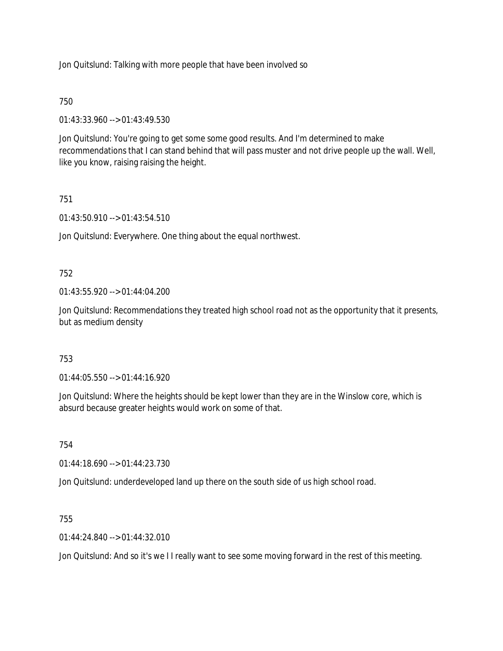Jon Quitslund: Talking with more people that have been involved so

# 750

01:43:33.960 --> 01:43:49.530

Jon Quitslund: You're going to get some some good results. And I'm determined to make recommendations that I can stand behind that will pass muster and not drive people up the wall. Well, like you know, raising raising the height.

# 751

01:43:50.910 --> 01:43:54.510

Jon Quitslund: Everywhere. One thing about the equal northwest.

# 752

01:43:55.920 --> 01:44:04.200

Jon Quitslund: Recommendations they treated high school road not as the opportunity that it presents, but as medium density

### 753

01:44:05.550 --> 01:44:16.920

Jon Quitslund: Where the heights should be kept lower than they are in the Winslow core, which is absurd because greater heights would work on some of that.

754

01:44:18.690 --> 01:44:23.730

Jon Quitslund: underdeveloped land up there on the south side of us high school road.

### 755

01:44:24.840 --> 01:44:32.010

Jon Quitslund: And so it's we I I really want to see some moving forward in the rest of this meeting.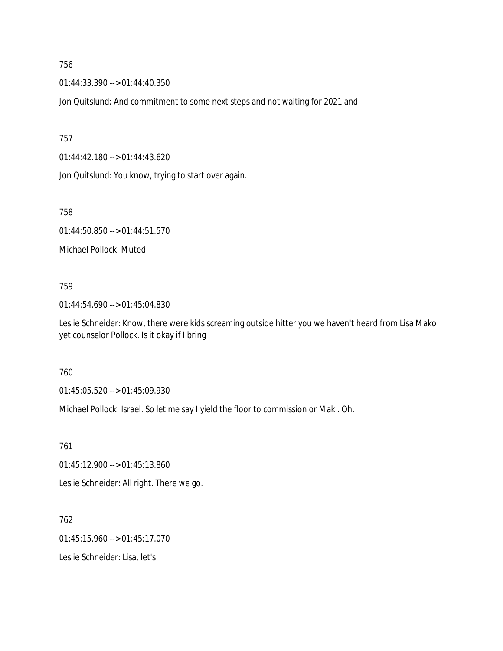01:44:33.390 --> 01:44:40.350

Jon Quitslund: And commitment to some next steps and not waiting for 2021 and

757

01:44:42.180 --> 01:44:43.620

Jon Quitslund: You know, trying to start over again.

758

01:44:50.850 --> 01:44:51.570

Michael Pollock: Muted

### 759

01:44:54.690 --> 01:45:04.830

Leslie Schneider: Know, there were kids screaming outside hitter you we haven't heard from Lisa Mako yet counselor Pollock. Is it okay if I bring

### 760

01:45:05.520 --> 01:45:09.930

Michael Pollock: Israel. So let me say I yield the floor to commission or Maki. Oh.

761

01:45:12.900 --> 01:45:13.860

Leslie Schneider: All right. There we go.

762

01:45:15.960 --> 01:45:17.070

Leslie Schneider: Lisa, let's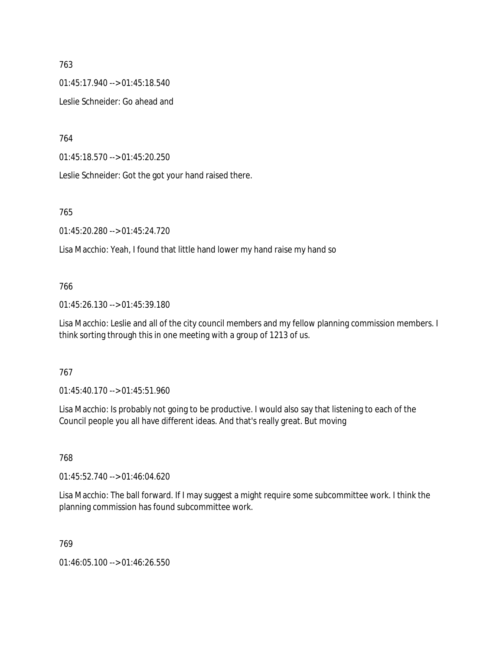01:45:17.940 --> 01:45:18.540

Leslie Schneider: Go ahead and

764

01:45:18.570 --> 01:45:20.250

Leslie Schneider: Got the got your hand raised there.

### 765

01:45:20.280 --> 01:45:24.720

Lisa Macchio: Yeah, I found that little hand lower my hand raise my hand so

# 766

01:45:26.130 --> 01:45:39.180

Lisa Macchio: Leslie and all of the city council members and my fellow planning commission members. I think sorting through this in one meeting with a group of 1213 of us.

# 767

01:45:40.170 --> 01:45:51.960

Lisa Macchio: Is probably not going to be productive. I would also say that listening to each of the Council people you all have different ideas. And that's really great. But moving

### 768

01:45:52.740 --> 01:46:04.620

Lisa Macchio: The ball forward. If I may suggest a might require some subcommittee work. I think the planning commission has found subcommittee work.

# 769

01:46:05.100 --> 01:46:26.550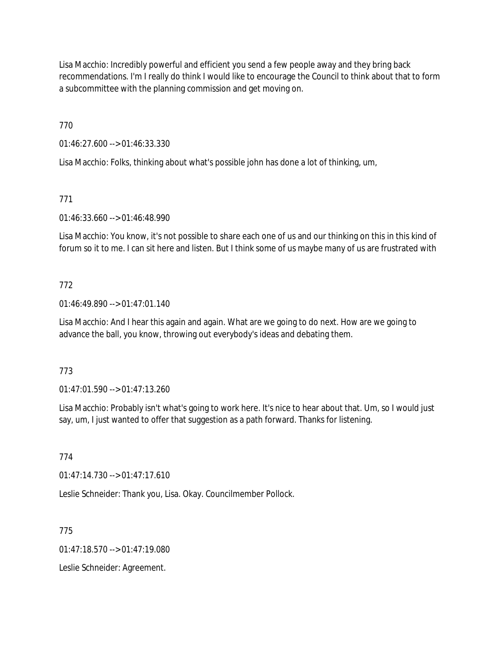Lisa Macchio: Incredibly powerful and efficient you send a few people away and they bring back recommendations. I'm I really do think I would like to encourage the Council to think about that to form a subcommittee with the planning commission and get moving on.

770

01:46:27.600 --> 01:46:33.330

Lisa Macchio: Folks, thinking about what's possible john has done a lot of thinking, um,

# 771

01:46:33.660 --> 01:46:48.990

Lisa Macchio: You know, it's not possible to share each one of us and our thinking on this in this kind of forum so it to me. I can sit here and listen. But I think some of us maybe many of us are frustrated with

# 772

01:46:49.890 --> 01:47:01.140

Lisa Macchio: And I hear this again and again. What are we going to do next. How are we going to advance the ball, you know, throwing out everybody's ideas and debating them.

# 773

01:47:01.590 --> 01:47:13.260

Lisa Macchio: Probably isn't what's going to work here. It's nice to hear about that. Um, so I would just say, um, I just wanted to offer that suggestion as a path forward. Thanks for listening.

### 774

01:47:14.730 --> 01:47:17.610

Leslie Schneider: Thank you, Lisa. Okay. Councilmember Pollock.

775

 $01:47:18.570 \rightarrow 01:47:19.080$ 

Leslie Schneider: Agreement.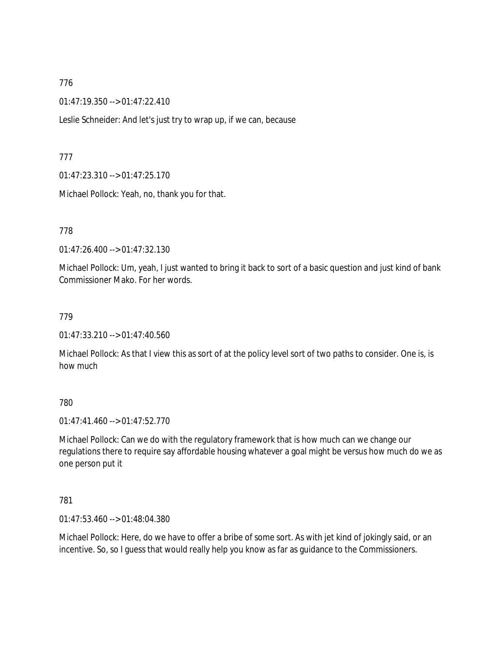01:47:19.350 --> 01:47:22.410

Leslie Schneider: And let's just try to wrap up, if we can, because

777

01:47:23.310 --> 01:47:25.170

Michael Pollock: Yeah, no, thank you for that.

778

01:47:26.400 --> 01:47:32.130

Michael Pollock: Um, yeah, I just wanted to bring it back to sort of a basic question and just kind of bank Commissioner Mako. For her words.

779

01:47:33.210 --> 01:47:40.560

Michael Pollock: As that I view this as sort of at the policy level sort of two paths to consider. One is, is how much

780

01:47:41.460 --> 01:47:52.770

Michael Pollock: Can we do with the regulatory framework that is how much can we change our regulations there to require say affordable housing whatever a goal might be versus how much do we as one person put it

781

01:47:53.460 --> 01:48:04.380

Michael Pollock: Here, do we have to offer a bribe of some sort. As with jet kind of jokingly said, or an incentive. So, so I guess that would really help you know as far as guidance to the Commissioners.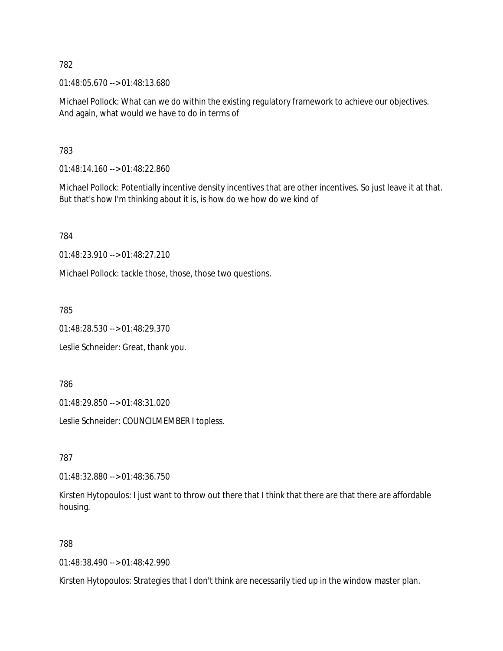01:48:05.670 --> 01:48:13.680

Michael Pollock: What can we do within the existing regulatory framework to achieve our objectives. And again, what would we have to do in terms of

783

01:48:14.160 --> 01:48:22.860

Michael Pollock: Potentially incentive density incentives that are other incentives. So just leave it at that. But that's how I'm thinking about it is, is how do we how do we kind of

784

01:48:23.910 --> 01:48:27.210

Michael Pollock: tackle those, those, those two questions.

785

01:48:28.530 --> 01:48:29.370

Leslie Schneider: Great, thank you.

786

01:48:29.850 --> 01:48:31.020

Leslie Schneider: COUNCILMEMBER I topless.

787

01:48:32.880 --> 01:48:36.750

Kirsten Hytopoulos: I just want to throw out there that I think that there are that there are affordable housing.

788

01:48:38.490 --> 01:48:42.990

Kirsten Hytopoulos: Strategies that I don't think are necessarily tied up in the window master plan.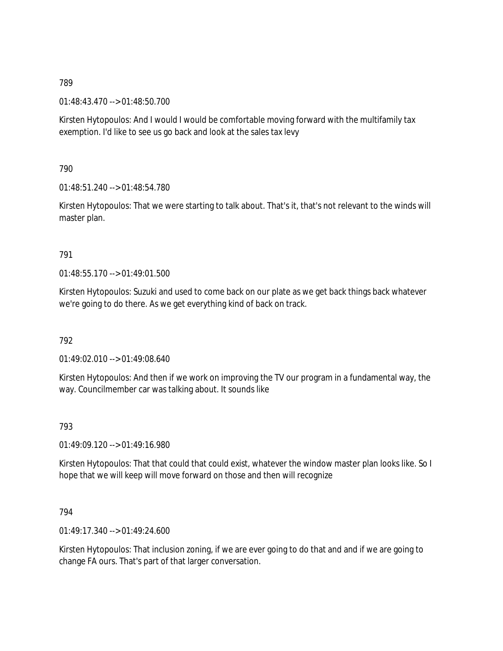01:48:43.470 --> 01:48:50.700

Kirsten Hytopoulos: And I would I would be comfortable moving forward with the multifamily tax exemption. I'd like to see us go back and look at the sales tax levy

790

01:48:51.240 --> 01:48:54.780

Kirsten Hytopoulos: That we were starting to talk about. That's it, that's not relevant to the winds will master plan.

### 791

 $01.48.55$  170 -->  $01.49.01$  500

Kirsten Hytopoulos: Suzuki and used to come back on our plate as we get back things back whatever we're going to do there. As we get everything kind of back on track.

792

01:49:02.010 --> 01:49:08.640

Kirsten Hytopoulos: And then if we work on improving the TV our program in a fundamental way, the way. Councilmember car was talking about. It sounds like

793

01:49:09.120 --> 01:49:16.980

Kirsten Hytopoulos: That that could that could exist, whatever the window master plan looks like. So I hope that we will keep will move forward on those and then will recognize

794

01:49:17.340 --> 01:49:24.600

Kirsten Hytopoulos: That inclusion zoning, if we are ever going to do that and and if we are going to change FA ours. That's part of that larger conversation.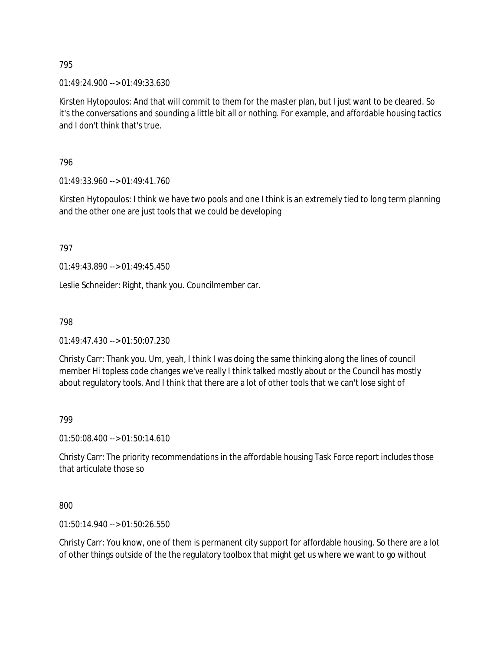01:49:24.900 --> 01:49:33.630

Kirsten Hytopoulos: And that will commit to them for the master plan, but I just want to be cleared. So it's the conversations and sounding a little bit all or nothing. For example, and affordable housing tactics and I don't think that's true.

796

01:49:33.960 --> 01:49:41.760

Kirsten Hytopoulos: I think we have two pools and one I think is an extremely tied to long term planning and the other one are just tools that we could be developing

797

01:49:43.890 --> 01:49:45.450

Leslie Schneider: Right, thank you. Councilmember car.

798

01:49:47.430 --> 01:50:07.230

Christy Carr: Thank you. Um, yeah, I think I was doing the same thinking along the lines of council member Hi topless code changes we've really I think talked mostly about or the Council has mostly about regulatory tools. And I think that there are a lot of other tools that we can't lose sight of

799

01:50:08.400 --> 01:50:14.610

Christy Carr: The priority recommendations in the affordable housing Task Force report includes those that articulate those so

800

01:50:14.940 --> 01:50:26.550

Christy Carr: You know, one of them is permanent city support for affordable housing. So there are a lot of other things outside of the the regulatory toolbox that might get us where we want to go without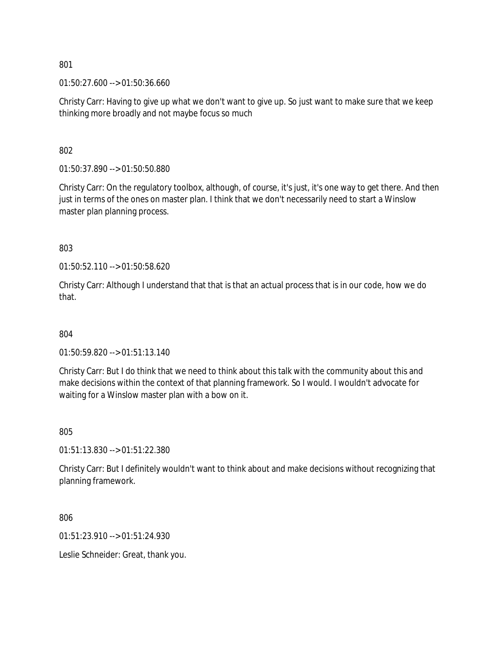01:50:27.600 --> 01:50:36.660

Christy Carr: Having to give up what we don't want to give up. So just want to make sure that we keep thinking more broadly and not maybe focus so much

802

01:50:37.890 --> 01:50:50.880

Christy Carr: On the regulatory toolbox, although, of course, it's just, it's one way to get there. And then just in terms of the ones on master plan. I think that we don't necessarily need to start a Winslow master plan planning process.

803

01:50:52.110 --> 01:50:58.620

Christy Carr: Although I understand that that is that an actual process that is in our code, how we do that.

804

01:50:59.820 --> 01:51:13.140

Christy Carr: But I do think that we need to think about this talk with the community about this and make decisions within the context of that planning framework. So I would. I wouldn't advocate for waiting for a Winslow master plan with a bow on it.

805

01:51:13.830 --> 01:51:22.380

Christy Carr: But I definitely wouldn't want to think about and make decisions without recognizing that planning framework.

806

01:51:23.910 --> 01:51:24.930

Leslie Schneider: Great, thank you.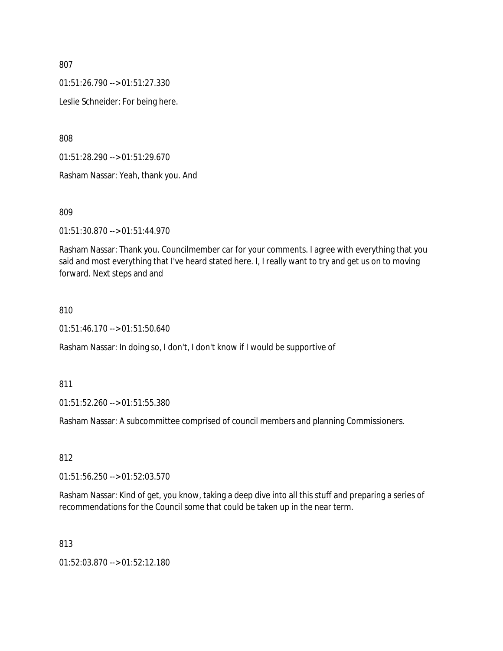01:51:26.790 --> 01:51:27.330

Leslie Schneider: For being here.

808

01:51:28.290 --> 01:51:29.670

Rasham Nassar: Yeah, thank you. And

809

01:51:30.870 --> 01:51:44.970

Rasham Nassar: Thank you. Councilmember car for your comments. I agree with everything that you said and most everything that I've heard stated here. I, I really want to try and get us on to moving forward. Next steps and and

#### 810

01:51:46.170 --> 01:51:50.640

Rasham Nassar: In doing so, I don't, I don't know if I would be supportive of

811

01:51:52.260 --> 01:51:55.380

Rasham Nassar: A subcommittee comprised of council members and planning Commissioners.

812

01:51:56.250 --> 01:52:03.570

Rasham Nassar: Kind of get, you know, taking a deep dive into all this stuff and preparing a series of recommendations for the Council some that could be taken up in the near term.

813

01:52:03.870 --> 01:52:12.180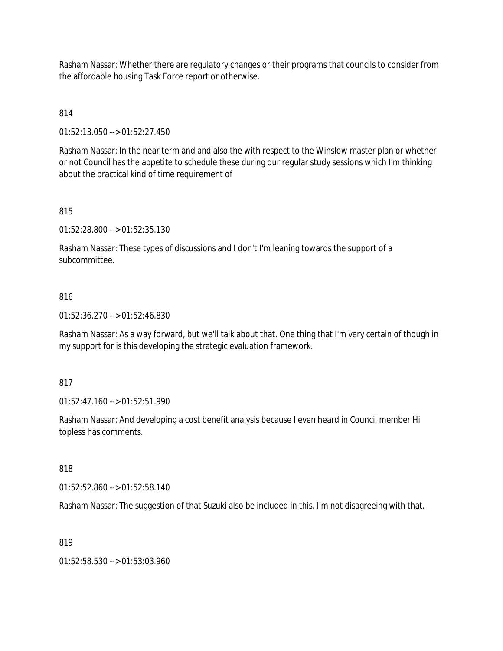Rasham Nassar: Whether there are regulatory changes or their programs that councils to consider from the affordable housing Task Force report or otherwise.

# 814

01:52:13.050 --> 01:52:27.450

Rasham Nassar: In the near term and and also the with respect to the Winslow master plan or whether or not Council has the appetite to schedule these during our regular study sessions which I'm thinking about the practical kind of time requirement of

### 815

01:52:28.800 --> 01:52:35.130

Rasham Nassar: These types of discussions and I don't I'm leaning towards the support of a subcommittee.

#### 816

01:52:36.270 --> 01:52:46.830

Rasham Nassar: As a way forward, but we'll talk about that. One thing that I'm very certain of though in my support for is this developing the strategic evaluation framework.

#### 817

01:52:47.160 --> 01:52:51.990

Rasham Nassar: And developing a cost benefit analysis because I even heard in Council member Hi topless has comments.

# 818

01:52:52.860 --> 01:52:58.140

Rasham Nassar: The suggestion of that Suzuki also be included in this. I'm not disagreeing with that.

### 819

01:52:58.530 --> 01:53:03.960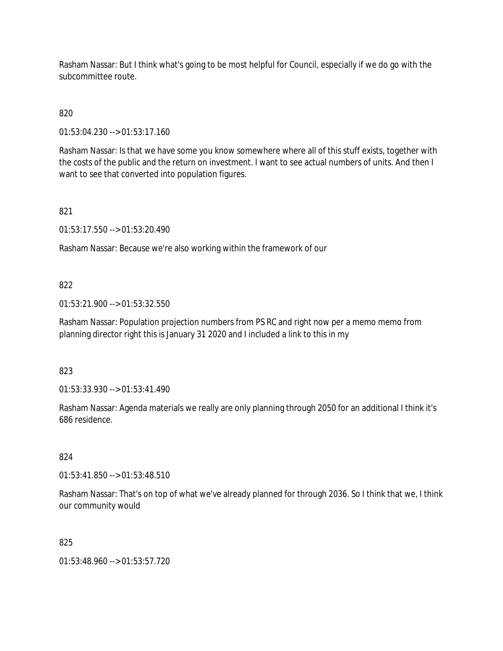Rasham Nassar: But I think what's going to be most helpful for Council, especially if we do go with the subcommittee route.

# 820

01:53:04.230 --> 01:53:17.160

Rasham Nassar: Is that we have some you know somewhere where all of this stuff exists, together with the costs of the public and the return on investment. I want to see actual numbers of units. And then I want to see that converted into population figures.

# 821

01:53:17.550 --> 01:53:20.490

Rasham Nassar: Because we're also working within the framework of our

### 822

01:53:21.900 --> 01:53:32.550

Rasham Nassar: Population projection numbers from PS RC and right now per a memo memo from planning director right this is January 31 2020 and I included a link to this in my

### 823

01:53:33.930 --> 01:53:41.490

Rasham Nassar: Agenda materials we really are only planning through 2050 for an additional I think it's 686 residence.

### 824

01:53:41.850 --> 01:53:48.510

Rasham Nassar: That's on top of what we've already planned for through 2036. So I think that we, I think our community would

### 825

01:53:48.960 --> 01:53:57.720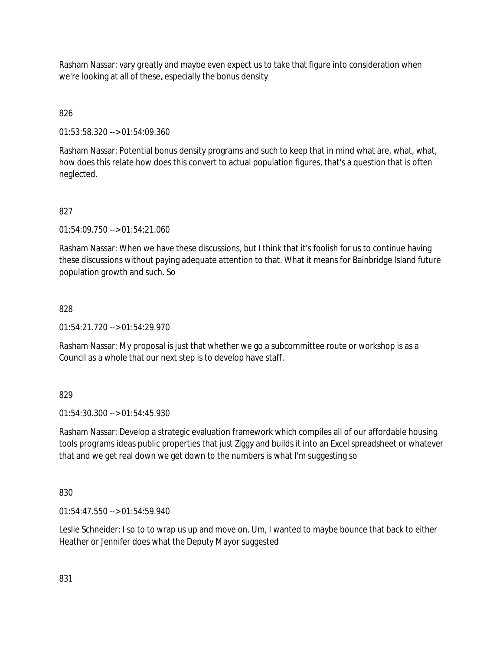Rasham Nassar: vary greatly and maybe even expect us to take that figure into consideration when we're looking at all of these, especially the bonus density

# 826

01:53:58.320 --> 01:54:09.360

Rasham Nassar: Potential bonus density programs and such to keep that in mind what are, what, what, how does this relate how does this convert to actual population figures, that's a question that is often neglected.

# 827

01:54:09.750 --> 01:54:21.060

Rasham Nassar: When we have these discussions, but I think that it's foolish for us to continue having these discussions without paying adequate attention to that. What it means for Bainbridge Island future population growth and such. So

# 828

 $01:54:21.720 \rightarrow 01:54:29.970$ 

Rasham Nassar: My proposal is just that whether we go a subcommittee route or workshop is as a Council as a whole that our next step is to develop have staff.

# 829

01:54:30.300 --> 01:54:45.930

Rasham Nassar: Develop a strategic evaluation framework which compiles all of our affordable housing tools programs ideas public properties that just Ziggy and builds it into an Excel spreadsheet or whatever that and we get real down we get down to the numbers is what I'm suggesting so

### 830

01:54:47.550 --> 01:54:59.940

Leslie Schneider: I so to to wrap us up and move on. Um, I wanted to maybe bounce that back to either Heather or Jennifer does what the Deputy Mayor suggested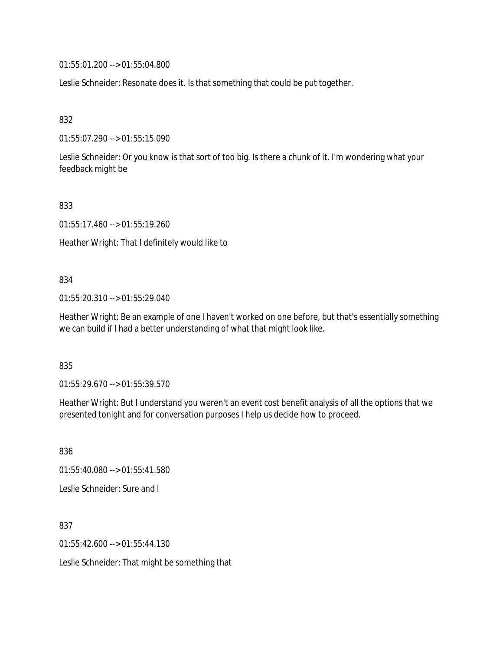01:55:01.200 --> 01:55:04.800

Leslie Schneider: Resonate does it. Is that something that could be put together.

832

01:55:07.290 --> 01:55:15.090

Leslie Schneider: Or you know is that sort of too big. Is there a chunk of it. I'm wondering what your feedback might be

833

01:55:17.460 --> 01:55:19.260

Heather Wright: That I definitely would like to

#### 834

01:55:20.310 --> 01:55:29.040

Heather Wright: Be an example of one I haven't worked on one before, but that's essentially something we can build if I had a better understanding of what that might look like.

835

01:55:29.670 --> 01:55:39.570

Heather Wright: But I understand you weren't an event cost benefit analysis of all the options that we presented tonight and for conversation purposes I help us decide how to proceed.

836 01:55:40.080 --> 01:55:41.580 Leslie Schneider: Sure and I

837 01:55:42.600 --> 01:55:44.130

Leslie Schneider: That might be something that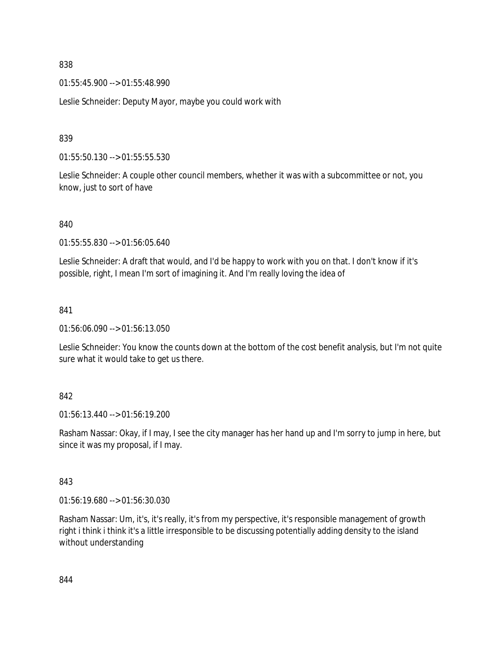01:55:45.900 --> 01:55:48.990

Leslie Schneider: Deputy Mayor, maybe you could work with

### 839

01:55:50.130 --> 01:55:55.530

Leslie Schneider: A couple other council members, whether it was with a subcommittee or not, you know, just to sort of have

840

01:55:55.830 --> 01:56:05.640

Leslie Schneider: A draft that would, and I'd be happy to work with you on that. I don't know if it's possible, right, I mean I'm sort of imagining it. And I'm really loving the idea of

### 841

01:56:06.090 --> 01:56:13.050

Leslie Schneider: You know the counts down at the bottom of the cost benefit analysis, but I'm not quite sure what it would take to get us there.

### 842

01:56:13.440 --> 01:56:19.200

Rasham Nassar: Okay, if I may, I see the city manager has her hand up and I'm sorry to jump in here, but since it was my proposal, if I may.

### 843

01:56:19.680 --> 01:56:30.030

Rasham Nassar: Um, it's, it's really, it's from my perspective, it's responsible management of growth right i think i think it's a little irresponsible to be discussing potentially adding density to the island without understanding

844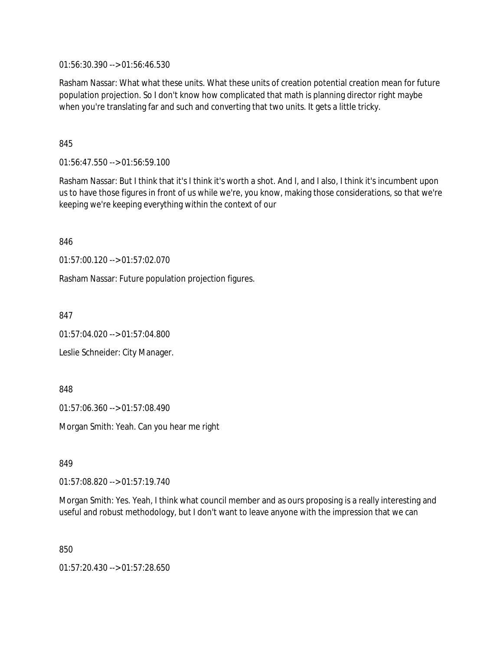01:56:30.390 --> 01:56:46.530

Rasham Nassar: What what these units. What these units of creation potential creation mean for future population projection. So I don't know how complicated that math is planning director right maybe when you're translating far and such and converting that two units. It gets a little tricky.

845

01:56:47.550 --> 01:56:59.100

Rasham Nassar: But I think that it's I think it's worth a shot. And I, and I also, I think it's incumbent upon us to have those figures in front of us while we're, you know, making those considerations, so that we're keeping we're keeping everything within the context of our

846

01:57:00.120 --> 01:57:02.070

Rasham Nassar: Future population projection figures.

847

01:57:04.020 --> 01:57:04.800

Leslie Schneider: City Manager.

848

01:57:06.360 --> 01:57:08.490

Morgan Smith: Yeah. Can you hear me right

849

01:57:08.820 --> 01:57:19.740

Morgan Smith: Yes. Yeah, I think what council member and as ours proposing is a really interesting and useful and robust methodology, but I don't want to leave anyone with the impression that we can

850

01:57:20.430 --> 01:57:28.650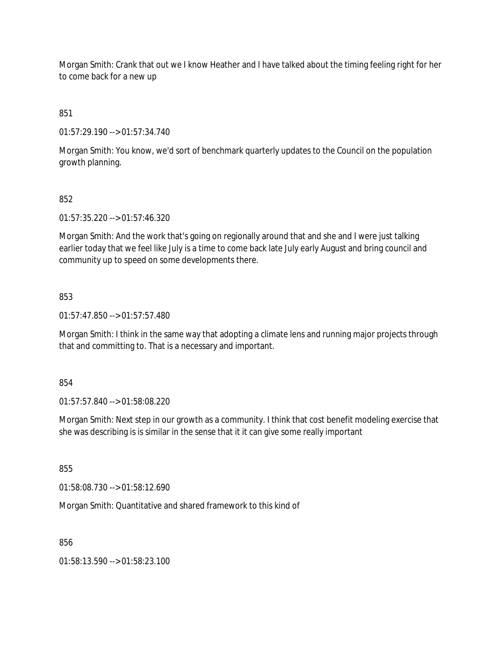Morgan Smith: Crank that out we I know Heather and I have talked about the timing feeling right for her to come back for a new up

851

01:57:29.190 --> 01:57:34.740

Morgan Smith: You know, we'd sort of benchmark quarterly updates to the Council on the population growth planning.

# 852

01:57:35.220 --> 01:57:46.320

Morgan Smith: And the work that's going on regionally around that and she and I were just talking earlier today that we feel like July is a time to come back late July early August and bring council and community up to speed on some developments there.

# 853

01:57:47.850 --> 01:57:57.480

Morgan Smith: I think in the same way that adopting a climate lens and running major projects through that and committing to. That is a necessary and important.

### 854

01:57:57.840 --> 01:58:08.220

Morgan Smith: Next step in our growth as a community. I think that cost benefit modeling exercise that she was describing is is similar in the sense that it it can give some really important

855

01:58:08.730 --> 01:58:12.690

Morgan Smith: Quantitative and shared framework to this kind of

856

01:58:13.590 --> 01:58:23.100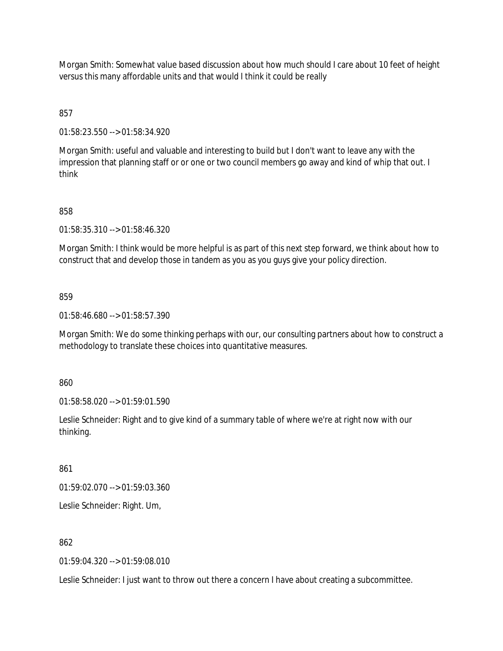Morgan Smith: Somewhat value based discussion about how much should I care about 10 feet of height versus this many affordable units and that would I think it could be really

857

01:58:23.550 --> 01:58:34.920

Morgan Smith: useful and valuable and interesting to build but I don't want to leave any with the impression that planning staff or or one or two council members go away and kind of whip that out. I think

# 858

01:58:35.310 --> 01:58:46.320

Morgan Smith: I think would be more helpful is as part of this next step forward, we think about how to construct that and develop those in tandem as you as you guys give your policy direction.

859

01:58:46.680 --> 01:58:57.390

Morgan Smith: We do some thinking perhaps with our, our consulting partners about how to construct a methodology to translate these choices into quantitative measures.

860

01:58:58.020 --> 01:59:01.590

Leslie Schneider: Right and to give kind of a summary table of where we're at right now with our thinking.

861

01:59:02.070 --> 01:59:03.360

Leslie Schneider: Right. Um,

862

01:59:04.320 --> 01:59:08.010

Leslie Schneider: I just want to throw out there a concern I have about creating a subcommittee.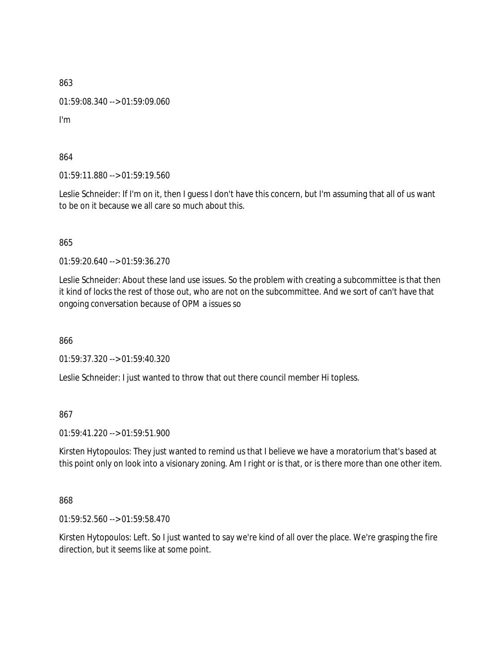01:59:08.340 --> 01:59:09.060

I'm

864

01:59:11.880 --> 01:59:19.560

Leslie Schneider: If I'm on it, then I guess I don't have this concern, but I'm assuming that all of us want to be on it because we all care so much about this.

865

01:59:20.640 --> 01:59:36.270

Leslie Schneider: About these land use issues. So the problem with creating a subcommittee is that then it kind of locks the rest of those out, who are not on the subcommittee. And we sort of can't have that ongoing conversation because of OPM a issues so

866

01:59:37.320 --> 01:59:40.320

Leslie Schneider: I just wanted to throw that out there council member Hi topless.

867

01:59:41.220 --> 01:59:51.900

Kirsten Hytopoulos: They just wanted to remind us that I believe we have a moratorium that's based at this point only on look into a visionary zoning. Am I right or is that, or is there more than one other item.

868

01:59:52.560 --> 01:59:58.470

Kirsten Hytopoulos: Left. So I just wanted to say we're kind of all over the place. We're grasping the fire direction, but it seems like at some point.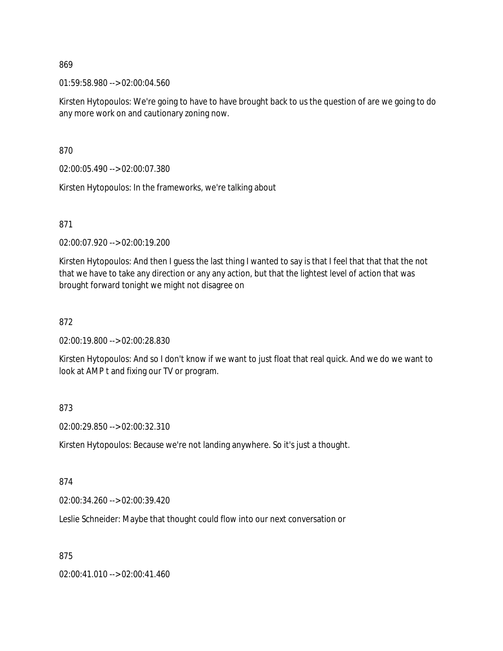01:59:58.980 --> 02:00:04.560

Kirsten Hytopoulos: We're going to have to have brought back to us the question of are we going to do any more work on and cautionary zoning now.

870

02:00:05.490 --> 02:00:07.380

Kirsten Hytopoulos: In the frameworks, we're talking about

871

02:00:07.920 --> 02:00:19.200

Kirsten Hytopoulos: And then I guess the last thing I wanted to say is that I feel that that that the not that we have to take any direction or any any action, but that the lightest level of action that was brought forward tonight we might not disagree on

### 872

02:00:19.800 --> 02:00:28.830

Kirsten Hytopoulos: And so I don't know if we want to just float that real quick. And we do we want to look at AMP t and fixing our TV or program.

### 873

02:00:29.850 --> 02:00:32.310

Kirsten Hytopoulos: Because we're not landing anywhere. So it's just a thought.

### 874

02:00:34.260 --> 02:00:39.420

Leslie Schneider: Maybe that thought could flow into our next conversation or

### 875

02:00:41.010 --> 02:00:41.460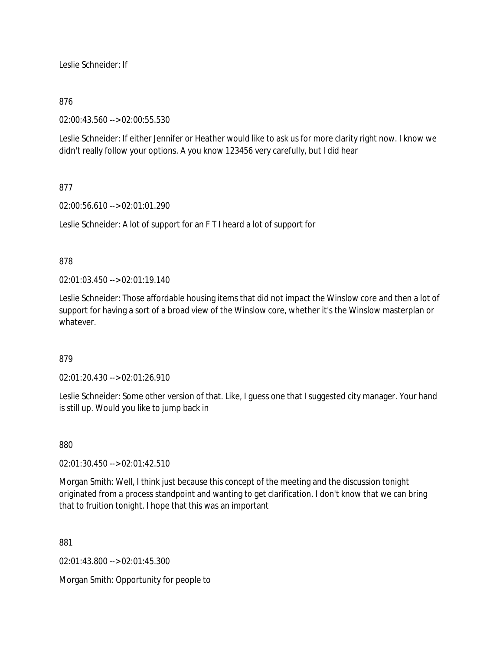Leslie Schneider: If

# 876

02:00:43.560 --> 02:00:55.530

Leslie Schneider: If either Jennifer or Heather would like to ask us for more clarity right now. I know we didn't really follow your options. A you know 123456 very carefully, but I did hear

# 877

02:00:56.610 --> 02:01:01.290

Leslie Schneider: A lot of support for an F T I heard a lot of support for

### 878

02:01:03.450 --> 02:01:19.140

Leslie Schneider: Those affordable housing items that did not impact the Winslow core and then a lot of support for having a sort of a broad view of the Winslow core, whether it's the Winslow masterplan or whatever.

### 879

02:01:20.430 --> 02:01:26.910

Leslie Schneider: Some other version of that. Like, I guess one that I suggested city manager. Your hand is still up. Would you like to jump back in

### 880

02:01:30.450 --> 02:01:42.510

Morgan Smith: Well, I think just because this concept of the meeting and the discussion tonight originated from a process standpoint and wanting to get clarification. I don't know that we can bring that to fruition tonight. I hope that this was an important

881

02:01:43.800 --> 02:01:45.300

Morgan Smith: Opportunity for people to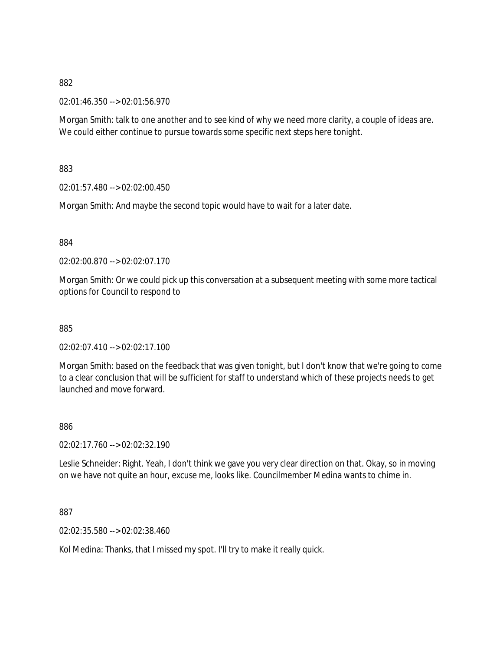02:01:46.350 --> 02:01:56.970

Morgan Smith: talk to one another and to see kind of why we need more clarity, a couple of ideas are. We could either continue to pursue towards some specific next steps here tonight.

883

02:01:57.480 --> 02:02:00.450

Morgan Smith: And maybe the second topic would have to wait for a later date.

884

02:02:00.870 --> 02:02:07.170

Morgan Smith: Or we could pick up this conversation at a subsequent meeting with some more tactical options for Council to respond to

885

02:02:07.410 --> 02:02:17.100

Morgan Smith: based on the feedback that was given tonight, but I don't know that we're going to come to a clear conclusion that will be sufficient for staff to understand which of these projects needs to get launched and move forward.

886

02:02:17.760 --> 02:02:32.190

Leslie Schneider: Right. Yeah, I don't think we gave you very clear direction on that. Okay, so in moving on we have not quite an hour, excuse me, looks like. Councilmember Medina wants to chime in.

887

02:02:35.580 --> 02:02:38.460

Kol Medina: Thanks, that I missed my spot. I'll try to make it really quick.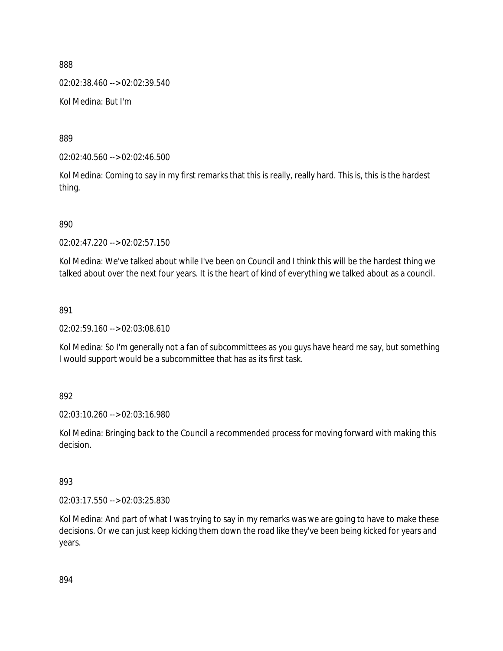02:02:38.460 --> 02:02:39.540

Kol Medina: But I'm

889

02:02:40.560 --> 02:02:46.500

Kol Medina: Coming to say in my first remarks that this is really, really hard. This is, this is the hardest thing.

890

02:02:47.220 --> 02:02:57.150

Kol Medina: We've talked about while I've been on Council and I think this will be the hardest thing we talked about over the next four years. It is the heart of kind of everything we talked about as a council.

891

02:02:59.160 --> 02:03:08.610

Kol Medina: So I'm generally not a fan of subcommittees as you guys have heard me say, but something I would support would be a subcommittee that has as its first task.

892

02:03:10.260 --> 02:03:16.980

Kol Medina: Bringing back to the Council a recommended process for moving forward with making this decision.

893

02:03:17.550 --> 02:03:25.830

Kol Medina: And part of what I was trying to say in my remarks was we are going to have to make these decisions. Or we can just keep kicking them down the road like they've been being kicked for years and years.

894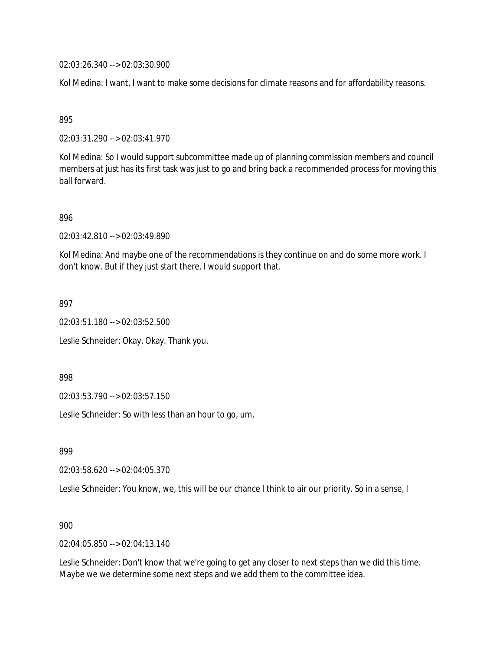02:03:26.340 --> 02:03:30.900

Kol Medina: I want, I want to make some decisions for climate reasons and for affordability reasons.

895

02:03:31.290 --> 02:03:41.970

Kol Medina: So I would support subcommittee made up of planning commission members and council members at just has its first task was just to go and bring back a recommended process for moving this ball forward.

896

02:03:42.810 --> 02:03:49.890

Kol Medina: And maybe one of the recommendations is they continue on and do some more work. I don't know. But if they just start there. I would support that.

897

02:03:51.180 --> 02:03:52.500

Leslie Schneider: Okay. Okay. Thank you.

898

02:03:53.790 --> 02:03:57.150

Leslie Schneider: So with less than an hour to go, um,

899

02:03:58.620 --> 02:04:05.370

Leslie Schneider: You know, we, this will be our chance I think to air our priority. So in a sense, I

900

02:04:05.850 --> 02:04:13.140

Leslie Schneider: Don't know that we're going to get any closer to next steps than we did this time. Maybe we we determine some next steps and we add them to the committee idea.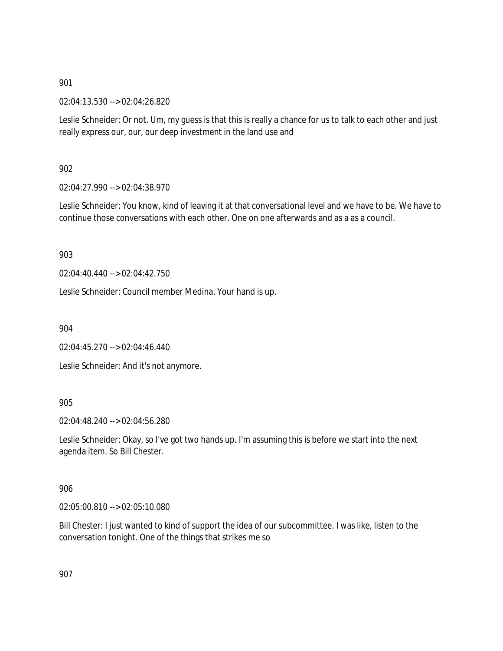02:04:13.530 --> 02:04:26.820

Leslie Schneider: Or not. Um, my guess is that this is really a chance for us to talk to each other and just really express our, our, our deep investment in the land use and

902

02:04:27.990 --> 02:04:38.970

Leslie Schneider: You know, kind of leaving it at that conversational level and we have to be. We have to continue those conversations with each other. One on one afterwards and as a as a council.

903

02:04:40.440 --> 02:04:42.750

Leslie Schneider: Council member Medina. Your hand is up.

904

02:04:45.270 --> 02:04:46.440

Leslie Schneider: And it's not anymore.

### 905

02:04:48.240 --> 02:04:56.280

Leslie Schneider: Okay, so I've got two hands up. I'm assuming this is before we start into the next agenda item. So Bill Chester.

906

02:05:00.810 --> 02:05:10.080

Bill Chester: I just wanted to kind of support the idea of our subcommittee. I was like, listen to the conversation tonight. One of the things that strikes me so

907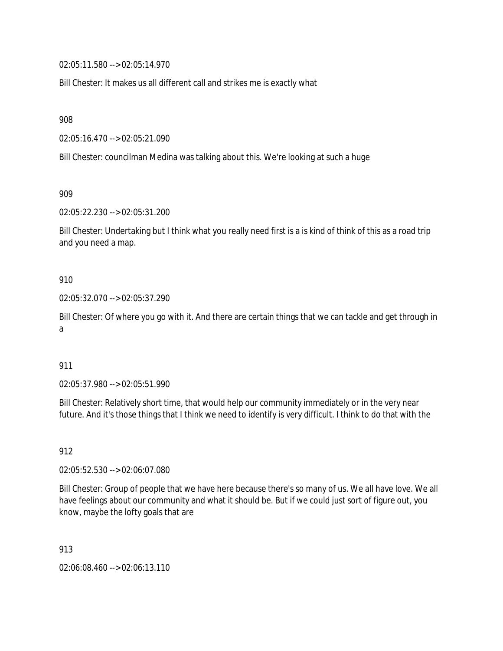02:05:11.580 --> 02:05:14.970

Bill Chester: It makes us all different call and strikes me is exactly what

908

02:05:16.470 --> 02:05:21.090

Bill Chester: councilman Medina was talking about this. We're looking at such a huge

909

02:05:22.230 --> 02:05:31.200

Bill Chester: Undertaking but I think what you really need first is a is kind of think of this as a road trip and you need a map.

#### 910

02:05:32.070 --> 02:05:37.290

Bill Chester: Of where you go with it. And there are certain things that we can tackle and get through in a

#### 911

02:05:37.980 --> 02:05:51.990

Bill Chester: Relatively short time, that would help our community immediately or in the very near future. And it's those things that I think we need to identify is very difficult. I think to do that with the

912

02:05:52.530 --> 02:06:07.080

Bill Chester: Group of people that we have here because there's so many of us. We all have love. We all have feelings about our community and what it should be. But if we could just sort of figure out, you know, maybe the lofty goals that are

913

02:06:08.460 --> 02:06:13.110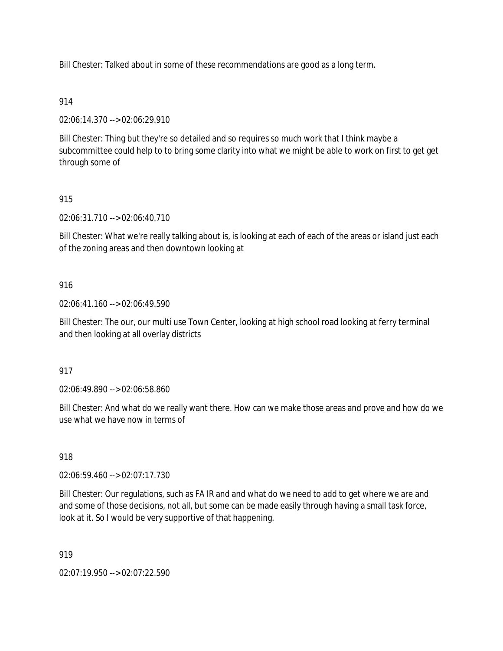Bill Chester: Talked about in some of these recommendations are good as a long term.

### 914

02:06:14.370 --> 02:06:29.910

Bill Chester: Thing but they're so detailed and so requires so much work that I think maybe a subcommittee could help to to bring some clarity into what we might be able to work on first to get get through some of

# 915

02:06:31.710 --> 02:06:40.710

Bill Chester: What we're really talking about is, is looking at each of each of the areas or island just each of the zoning areas and then downtown looking at

### 916

02:06:41.160 --> 02:06:49.590

Bill Chester: The our, our multi use Town Center, looking at high school road looking at ferry terminal and then looking at all overlay districts

### 917

02:06:49.890 --> 02:06:58.860

Bill Chester: And what do we really want there. How can we make those areas and prove and how do we use what we have now in terms of

### 918

02:06:59.460 --> 02:07:17.730

Bill Chester: Our regulations, such as FA IR and and what do we need to add to get where we are and and some of those decisions, not all, but some can be made easily through having a small task force, look at it. So I would be very supportive of that happening.

### 919

02:07:19.950 --> 02:07:22.590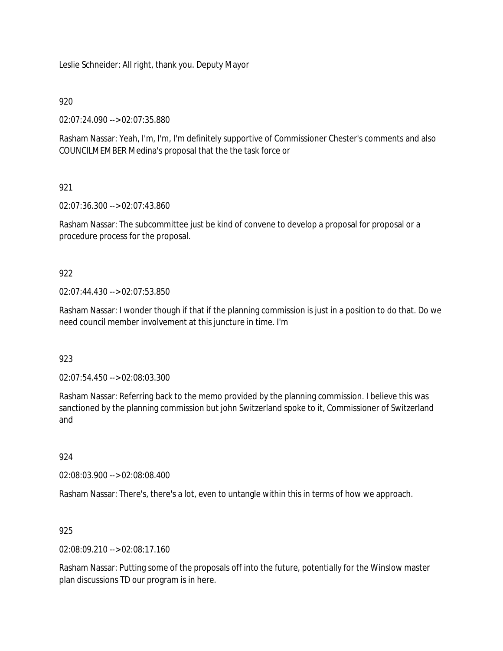Leslie Schneider: All right, thank you. Deputy Mayor

### 920

02:07:24.090 --> 02:07:35.880

Rasham Nassar: Yeah, I'm, I'm, I'm definitely supportive of Commissioner Chester's comments and also COUNCILMEMBER Medina's proposal that the the task force or

# 921

02:07:36.300 --> 02:07:43.860

Rasham Nassar: The subcommittee just be kind of convene to develop a proposal for proposal or a procedure process for the proposal.

# 922

02:07:44.430 --> 02:07:53.850

Rasham Nassar: I wonder though if that if the planning commission is just in a position to do that. Do we need council member involvement at this juncture in time. I'm

### 923

02:07:54.450 --> 02:08:03.300

Rasham Nassar: Referring back to the memo provided by the planning commission. I believe this was sanctioned by the planning commission but john Switzerland spoke to it, Commissioner of Switzerland and

### 924

02:08:03.900 --> 02:08:08.400

Rasham Nassar: There's, there's a lot, even to untangle within this in terms of how we approach.

### 925

02:08:09.210 --> 02:08:17.160

Rasham Nassar: Putting some of the proposals off into the future, potentially for the Winslow master plan discussions TD our program is in here.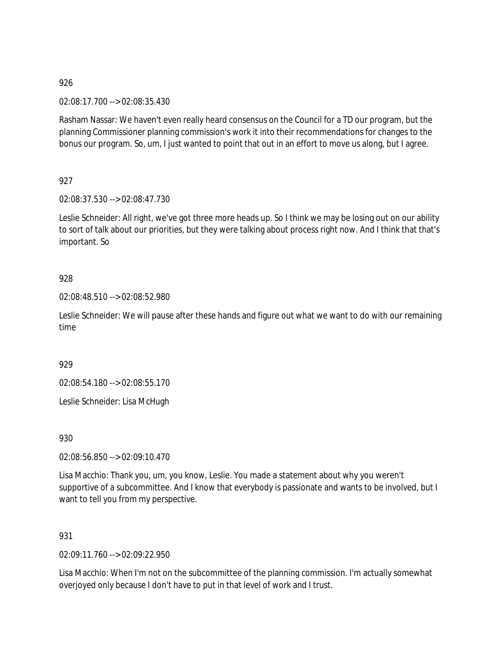02:08:17.700 --> 02:08:35.430

Rasham Nassar: We haven't even really heard consensus on the Council for a TD our program, but the planning Commissioner planning commission's work it into their recommendations for changes to the bonus our program. So, um, I just wanted to point that out in an effort to move us along, but I agree.

927

02:08:37.530 --> 02:08:47.730

Leslie Schneider: All right, we've got three more heads up. So I think we may be losing out on our ability to sort of talk about our priorities, but they were talking about process right now. And I think that that's important. So

## 928

02:08:48.510 --> 02:08:52.980

Leslie Schneider: We will pause after these hands and figure out what we want to do with our remaining time

929

02:08:54.180 --> 02:08:55.170

Leslie Schneider: Lisa McHugh

930

02:08:56.850 --> 02:09:10.470

Lisa Macchio: Thank you, um, you know, Leslie. You made a statement about why you weren't supportive of a subcommittee. And I know that everybody is passionate and wants to be involved, but I want to tell you from my perspective.

931

02:09:11.760 --> 02:09:22.950

Lisa Macchio: When I'm not on the subcommittee of the planning commission. I'm actually somewhat overjoyed only because I don't have to put in that level of work and I trust.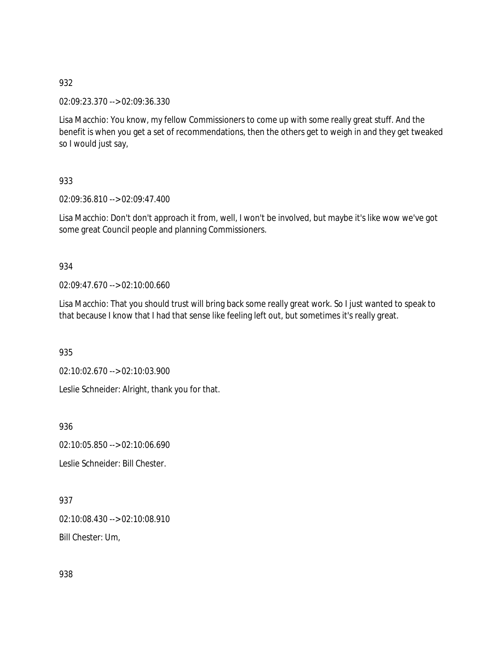02:09:23.370 --> 02:09:36.330

Lisa Macchio: You know, my fellow Commissioners to come up with some really great stuff. And the benefit is when you get a set of recommendations, then the others get to weigh in and they get tweaked so I would just say,

933

02:09:36.810 --> 02:09:47.400

Lisa Macchio: Don't don't approach it from, well, I won't be involved, but maybe it's like wow we've got some great Council people and planning Commissioners.

## 934

02:09:47.670 --> 02:10:00.660

Lisa Macchio: That you should trust will bring back some really great work. So I just wanted to speak to that because I know that I had that sense like feeling left out, but sometimes it's really great.

935

02:10:02.670 --> 02:10:03.900

Leslie Schneider: Alright, thank you for that.

936

02:10:05.850 --> 02:10:06.690

Leslie Schneider: Bill Chester.

937 02:10:08.430 --> 02:10:08.910 Bill Chester: Um,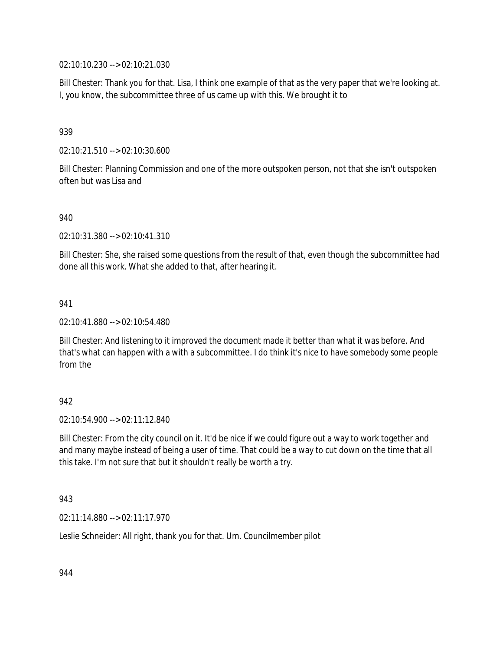02:10:10.230 --> 02:10:21.030

Bill Chester: Thank you for that. Lisa, I think one example of that as the very paper that we're looking at. I, you know, the subcommittee three of us came up with this. We brought it to

### 939

02:10:21.510 --> 02:10:30.600

Bill Chester: Planning Commission and one of the more outspoken person, not that she isn't outspoken often but was Lisa and

### 940

02:10:31.380 --> 02:10:41.310

Bill Chester: She, she raised some questions from the result of that, even though the subcommittee had done all this work. What she added to that, after hearing it.

### 941

02:10:41.880 --> 02:10:54.480

Bill Chester: And listening to it improved the document made it better than what it was before. And that's what can happen with a with a subcommittee. I do think it's nice to have somebody some people from the

### 942

02:10:54.900 --> 02:11:12.840

Bill Chester: From the city council on it. It'd be nice if we could figure out a way to work together and and many maybe instead of being a user of time. That could be a way to cut down on the time that all this take. I'm not sure that but it shouldn't really be worth a try.

### 943

02:11:14.880 --> 02:11:17.970

Leslie Schneider: All right, thank you for that. Um. Councilmember pilot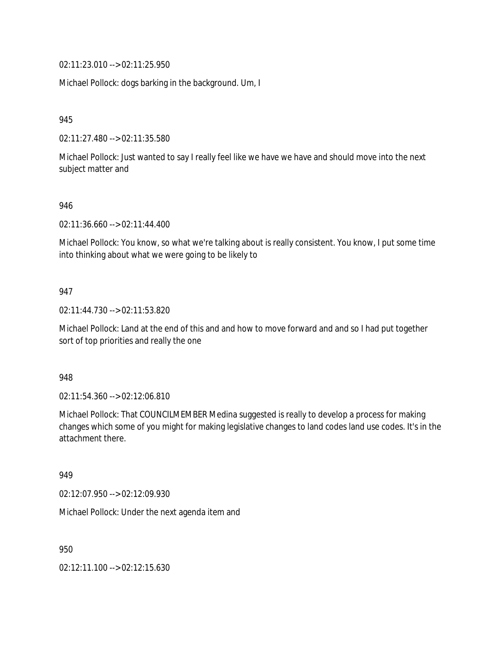02:11:23.010 --> 02:11:25.950

Michael Pollock: dogs barking in the background. Um, I

945

02:11:27.480 --> 02:11:35.580

Michael Pollock: Just wanted to say I really feel like we have we have and should move into the next subject matter and

### 946

02:11:36.660 --> 02:11:44.400

Michael Pollock: You know, so what we're talking about is really consistent. You know, I put some time into thinking about what we were going to be likely to

### 947

02:11:44.730 --> 02:11:53.820

Michael Pollock: Land at the end of this and and how to move forward and and so I had put together sort of top priorities and really the one

948

02:11:54.360 --> 02:12:06.810

Michael Pollock: That COUNCILMEMBER Medina suggested is really to develop a process for making changes which some of you might for making legislative changes to land codes land use codes. It's in the attachment there.

949

02:12:07.950 --> 02:12:09.930

Michael Pollock: Under the next agenda item and

950

02:12:11.100 --> 02:12:15.630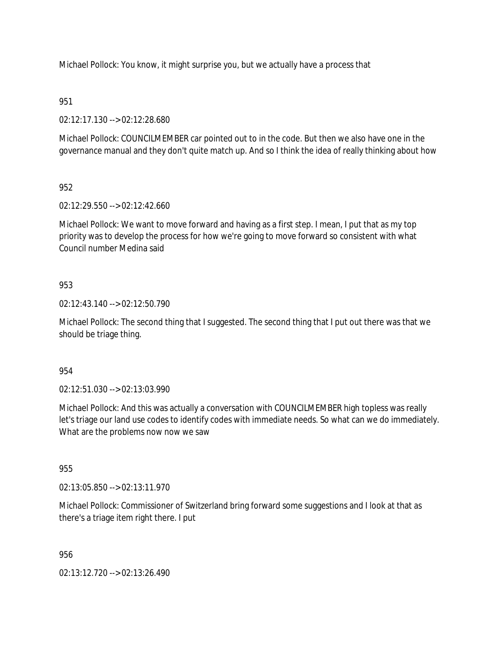Michael Pollock: You know, it might surprise you, but we actually have a process that

## 951

02:12:17.130 --> 02:12:28.680

Michael Pollock: COUNCILMEMBER car pointed out to in the code. But then we also have one in the governance manual and they don't quite match up. And so I think the idea of really thinking about how

## 952

02:12:29.550 --> 02:12:42.660

Michael Pollock: We want to move forward and having as a first step. I mean, I put that as my top priority was to develop the process for how we're going to move forward so consistent with what Council number Medina said

## 953

02:12:43.140 --> 02:12:50.790

Michael Pollock: The second thing that I suggested. The second thing that I put out there was that we should be triage thing.

### 954

02:12:51.030 --> 02:13:03.990

Michael Pollock: And this was actually a conversation with COUNCILMEMBER high topless was really let's triage our land use codes to identify codes with immediate needs. So what can we do immediately. What are the problems now now we saw

# 955

02:13:05.850 --> 02:13:11.970

Michael Pollock: Commissioner of Switzerland bring forward some suggestions and I look at that as there's a triage item right there. I put

956

02:13:12.720 --> 02:13:26.490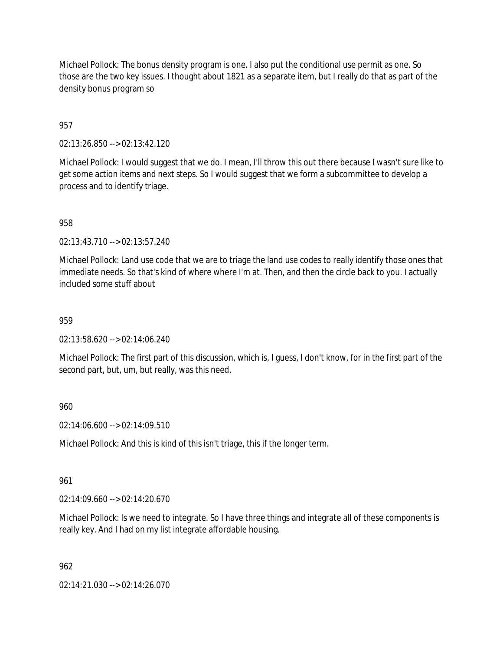Michael Pollock: The bonus density program is one. I also put the conditional use permit as one. So those are the two key issues. I thought about 1821 as a separate item, but I really do that as part of the density bonus program so

957

02:13:26.850 --> 02:13:42.120

Michael Pollock: I would suggest that we do. I mean, I'll throw this out there because I wasn't sure like to get some action items and next steps. So I would suggest that we form a subcommittee to develop a process and to identify triage.

958

02:13:43.710 --> 02:13:57.240

Michael Pollock: Land use code that we are to triage the land use codes to really identify those ones that immediate needs. So that's kind of where where I'm at. Then, and then the circle back to you. I actually included some stuff about

### 959

02:13:58.620 --> 02:14:06.240

Michael Pollock: The first part of this discussion, which is, I guess, I don't know, for in the first part of the second part, but, um, but really, was this need.

### 960

02:14:06.600 --> 02:14:09.510

Michael Pollock: And this is kind of this isn't triage, this if the longer term.

#### 961

 $02:14:09.660 \rightarrow 02:14:20.670$ 

Michael Pollock: Is we need to integrate. So I have three things and integrate all of these components is really key. And I had on my list integrate affordable housing.

### 962

02:14:21.030 --> 02:14:26.070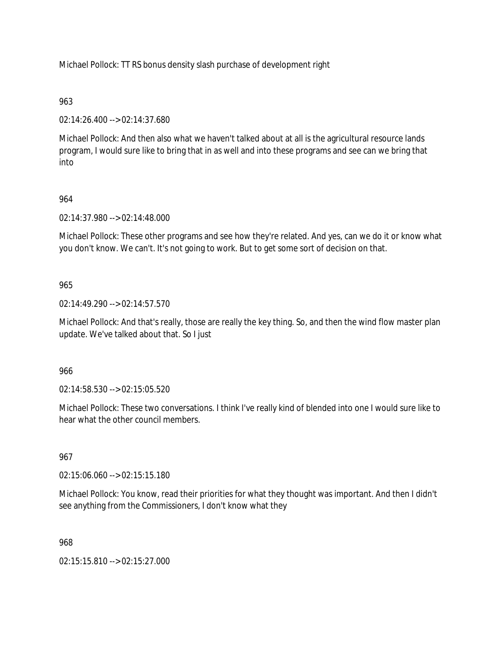Michael Pollock: TT RS bonus density slash purchase of development right

## 963

02:14:26.400 --> 02:14:37.680

Michael Pollock: And then also what we haven't talked about at all is the agricultural resource lands program, I would sure like to bring that in as well and into these programs and see can we bring that into

# 964

02:14:37.980 --> 02:14:48.000

Michael Pollock: These other programs and see how they're related. And yes, can we do it or know what you don't know. We can't. It's not going to work. But to get some sort of decision on that.

## 965

02:14:49.290 --> 02:14:57.570

Michael Pollock: And that's really, those are really the key thing. So, and then the wind flow master plan update. We've talked about that. So I just

## 966

02:14:58.530 --> 02:15:05.520

Michael Pollock: These two conversations. I think I've really kind of blended into one I would sure like to hear what the other council members.

## 967

02:15:06.060 --> 02:15:15.180

Michael Pollock: You know, read their priorities for what they thought was important. And then I didn't see anything from the Commissioners, I don't know what they

## 968

02:15:15.810 --> 02:15:27.000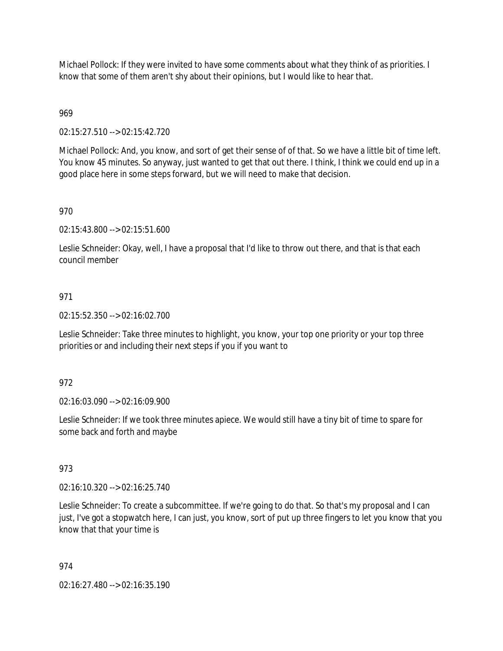Michael Pollock: If they were invited to have some comments about what they think of as priorities. I know that some of them aren't shy about their opinions, but I would like to hear that.

# 969

02:15:27.510 --> 02:15:42.720

Michael Pollock: And, you know, and sort of get their sense of of that. So we have a little bit of time left. You know 45 minutes. So anyway, just wanted to get that out there. I think, I think we could end up in a good place here in some steps forward, but we will need to make that decision.

## 970

02:15:43.800 --> 02:15:51.600

Leslie Schneider: Okay, well, I have a proposal that I'd like to throw out there, and that is that each council member

## 971

02:15:52.350 --> 02:16:02.700

Leslie Schneider: Take three minutes to highlight, you know, your top one priority or your top three priorities or and including their next steps if you if you want to

### 972

02:16:03.090 --> 02:16:09.900

Leslie Schneider: If we took three minutes apiece. We would still have a tiny bit of time to spare for some back and forth and maybe

### 973

02:16:10.320 --> 02:16:25.740

Leslie Schneider: To create a subcommittee. If we're going to do that. So that's my proposal and I can just, I've got a stopwatch here, I can just, you know, sort of put up three fingers to let you know that you know that that your time is

### 974

02:16:27.480 --> 02:16:35.190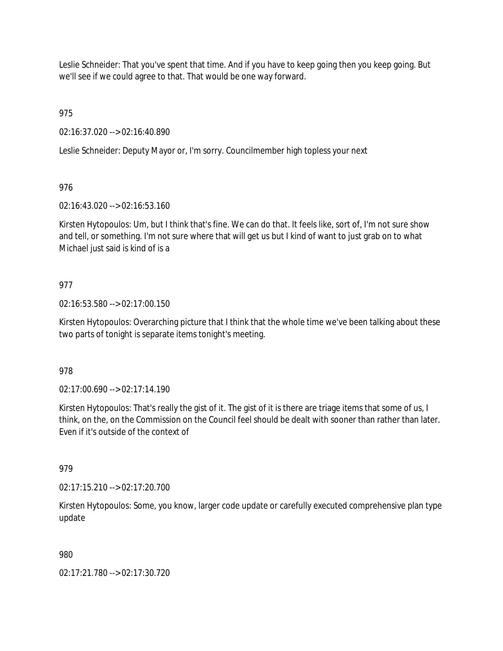Leslie Schneider: That you've spent that time. And if you have to keep going then you keep going. But we'll see if we could agree to that. That would be one way forward.

975

02:16:37.020 --> 02:16:40.890

Leslie Schneider: Deputy Mayor or, I'm sorry. Councilmember high topless your next

# 976

02:16:43.020 --> 02:16:53.160

Kirsten Hytopoulos: Um, but I think that's fine. We can do that. It feels like, sort of, I'm not sure show and tell, or something. I'm not sure where that will get us but I kind of want to just grab on to what Michael just said is kind of is a

# 977

02:16:53.580 --> 02:17:00.150

Kirsten Hytopoulos: Overarching picture that I think that the whole time we've been talking about these two parts of tonight is separate items tonight's meeting.

## 978

02:17:00.690 --> 02:17:14.190

Kirsten Hytopoulos: That's really the gist of it. The gist of it is there are triage items that some of us, I think, on the, on the Commission on the Council feel should be dealt with sooner than rather than later. Even if it's outside of the context of

## 979

02:17:15.210 --> 02:17:20.700

Kirsten Hytopoulos: Some, you know, larger code update or carefully executed comprehensive plan type update

## 980

02:17:21.780 --> 02:17:30.720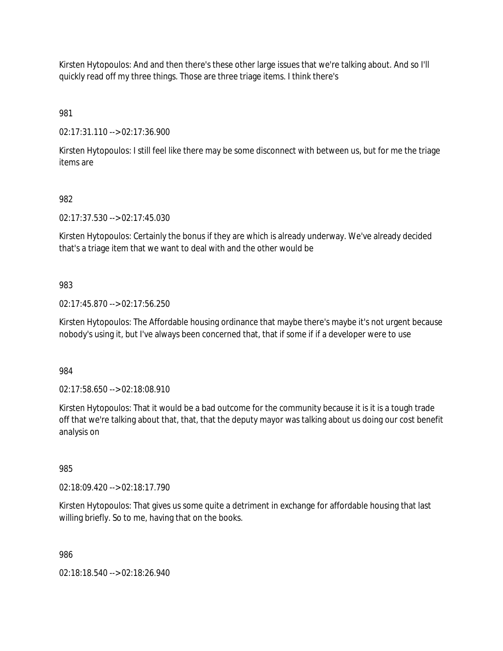Kirsten Hytopoulos: And and then there's these other large issues that we're talking about. And so I'll quickly read off my three things. Those are three triage items. I think there's

981

02:17:31.110 --> 02:17:36.900

Kirsten Hytopoulos: I still feel like there may be some disconnect with between us, but for me the triage items are

## 982

02:17:37.530 --> 02:17:45.030

Kirsten Hytopoulos: Certainly the bonus if they are which is already underway. We've already decided that's a triage item that we want to deal with and the other would be

# 983

02:17:45.870 --> 02:17:56.250

Kirsten Hytopoulos: The Affordable housing ordinance that maybe there's maybe it's not urgent because nobody's using it, but I've always been concerned that, that if some if if a developer were to use

984

02:17:58.650 --> 02:18:08.910

Kirsten Hytopoulos: That it would be a bad outcome for the community because it is it is a tough trade off that we're talking about that, that, that the deputy mayor was talking about us doing our cost benefit analysis on

985

02:18:09.420 --> 02:18:17.790

Kirsten Hytopoulos: That gives us some quite a detriment in exchange for affordable housing that last willing briefly. So to me, having that on the books.

986

02:18:18.540 --> 02:18:26.940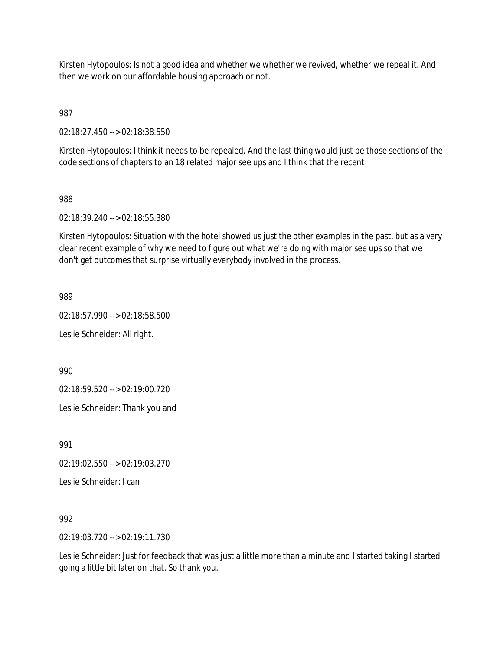Kirsten Hytopoulos: Is not a good idea and whether we whether we revived, whether we repeal it. And then we work on our affordable housing approach or not.

987

02:18:27.450 --> 02:18:38.550

Kirsten Hytopoulos: I think it needs to be repealed. And the last thing would just be those sections of the code sections of chapters to an 18 related major see ups and I think that the recent

#### 988

02:18:39.240 --> 02:18:55.380

Kirsten Hytopoulos: Situation with the hotel showed us just the other examples in the past, but as a very clear recent example of why we need to figure out what we're doing with major see ups so that we don't get outcomes that surprise virtually everybody involved in the process.

989

02:18:57.990 --> 02:18:58.500

Leslie Schneider: All right.

990

02:18:59.520 --> 02:19:00.720

Leslie Schneider: Thank you and

991

02:19:02.550 --> 02:19:03.270

Leslie Schneider: I can

992

02:19:03.720 --> 02:19:11.730

Leslie Schneider: Just for feedback that was just a little more than a minute and I started taking I started going a little bit later on that. So thank you.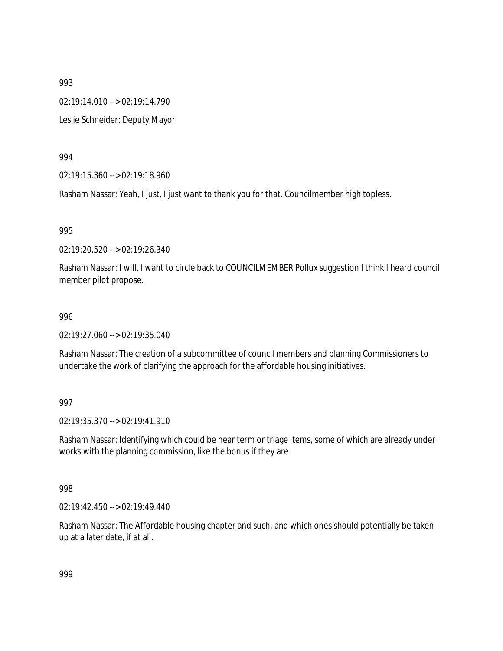02:19:14.010 --> 02:19:14.790

Leslie Schneider: Deputy Mayor

994

02:19:15.360 --> 02:19:18.960

Rasham Nassar: Yeah, I just, I just want to thank you for that. Councilmember high topless.

995

02:19:20.520 --> 02:19:26.340

Rasham Nassar: I will. I want to circle back to COUNCILMEMBER Pollux suggestion I think I heard council member pilot propose.

#### 996

02:19:27.060 --> 02:19:35.040

Rasham Nassar: The creation of a subcommittee of council members and planning Commissioners to undertake the work of clarifying the approach for the affordable housing initiatives.

### 997

02:19:35.370 --> 02:19:41.910

Rasham Nassar: Identifying which could be near term or triage items, some of which are already under works with the planning commission, like the bonus if they are

998

02:19:42.450 --> 02:19:49.440

Rasham Nassar: The Affordable housing chapter and such, and which ones should potentially be taken up at a later date, if at all.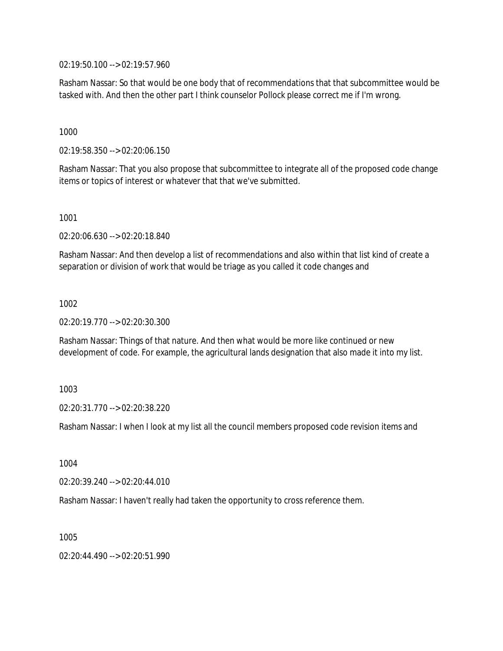02:19:50.100 --> 02:19:57.960

Rasham Nassar: So that would be one body that of recommendations that that subcommittee would be tasked with. And then the other part I think counselor Pollock please correct me if I'm wrong.

1000

02:19:58.350 --> 02:20:06.150

Rasham Nassar: That you also propose that subcommittee to integrate all of the proposed code change items or topics of interest or whatever that that we've submitted.

1001

02:20:06.630 --> 02:20:18.840

Rasham Nassar: And then develop a list of recommendations and also within that list kind of create a separation or division of work that would be triage as you called it code changes and

1002

02:20:19.770 --> 02:20:30.300

Rasham Nassar: Things of that nature. And then what would be more like continued or new development of code. For example, the agricultural lands designation that also made it into my list.

1003

02:20:31.770 --> 02:20:38.220

Rasham Nassar: I when I look at my list all the council members proposed code revision items and

1004

02:20:39.240 --> 02:20:44.010

Rasham Nassar: I haven't really had taken the opportunity to cross reference them.

1005

02:20:44.490 --> 02:20:51.990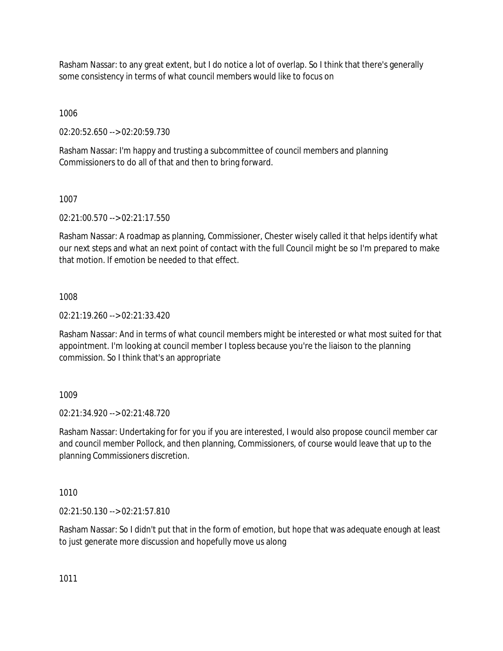Rasham Nassar: to any great extent, but I do notice a lot of overlap. So I think that there's generally some consistency in terms of what council members would like to focus on

1006

02:20:52.650 --> 02:20:59.730

Rasham Nassar: I'm happy and trusting a subcommittee of council members and planning Commissioners to do all of that and then to bring forward.

1007

02:21:00.570 --> 02:21:17.550

Rasham Nassar: A roadmap as planning, Commissioner, Chester wisely called it that helps identify what our next steps and what an next point of contact with the full Council might be so I'm prepared to make that motion. If emotion be needed to that effect.

1008

02:21:19.260 --> 02:21:33.420

Rasham Nassar: And in terms of what council members might be interested or what most suited for that appointment. I'm looking at council member I topless because you're the liaison to the planning commission. So I think that's an appropriate

1009

02:21:34.920 --> 02:21:48.720

Rasham Nassar: Undertaking for for you if you are interested, I would also propose council member car and council member Pollock, and then planning, Commissioners, of course would leave that up to the planning Commissioners discretion.

1010

02:21:50.130 --> 02:21:57.810

Rasham Nassar: So I didn't put that in the form of emotion, but hope that was adequate enough at least to just generate more discussion and hopefully move us along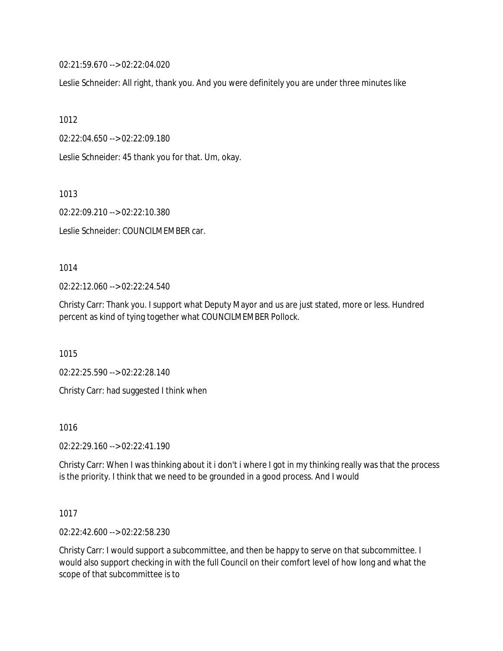02:21:59.670 --> 02:22:04.020

Leslie Schneider: All right, thank you. And you were definitely you are under three minutes like

1012

02:22:04.650 --> 02:22:09.180

Leslie Schneider: 45 thank you for that. Um, okay.

1013

02:22:09.210 --> 02:22:10.380

Leslie Schneider: COUNCILMEMBER car.

1014

02:22:12.060 --> 02:22:24.540

Christy Carr: Thank you. I support what Deputy Mayor and us are just stated, more or less. Hundred percent as kind of tying together what COUNCILMEMBER Pollock.

1015

02:22:25.590 --> 02:22:28.140

Christy Carr: had suggested I think when

1016

02:22:29.160 --> 02:22:41.190

Christy Carr: When I was thinking about it i don't i where I got in my thinking really was that the process is the priority. I think that we need to be grounded in a good process. And I would

1017

02:22:42.600 --> 02:22:58.230

Christy Carr: I would support a subcommittee, and then be happy to serve on that subcommittee. I would also support checking in with the full Council on their comfort level of how long and what the scope of that subcommittee is to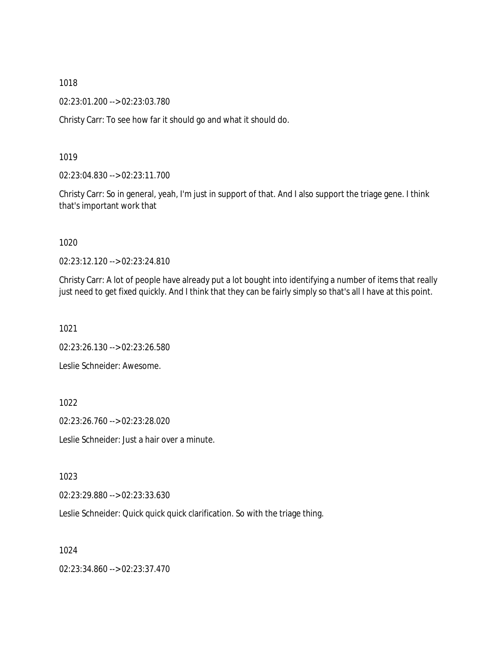02:23:01.200 --> 02:23:03.780

Christy Carr: To see how far it should go and what it should do.

1019

02:23:04.830 --> 02:23:11.700

Christy Carr: So in general, yeah, I'm just in support of that. And I also support the triage gene. I think that's important work that

1020

02:23:12.120 --> 02:23:24.810

Christy Carr: A lot of people have already put a lot bought into identifying a number of items that really just need to get fixed quickly. And I think that they can be fairly simply so that's all I have at this point.

1021

02:23:26.130 --> 02:23:26.580

Leslie Schneider: Awesome.

1022

02:23:26.760 --> 02:23:28.020

Leslie Schneider: Just a hair over a minute.

1023

02:23:29.880 --> 02:23:33.630

Leslie Schneider: Quick quick quick clarification. So with the triage thing.

1024

02:23:34.860 --> 02:23:37.470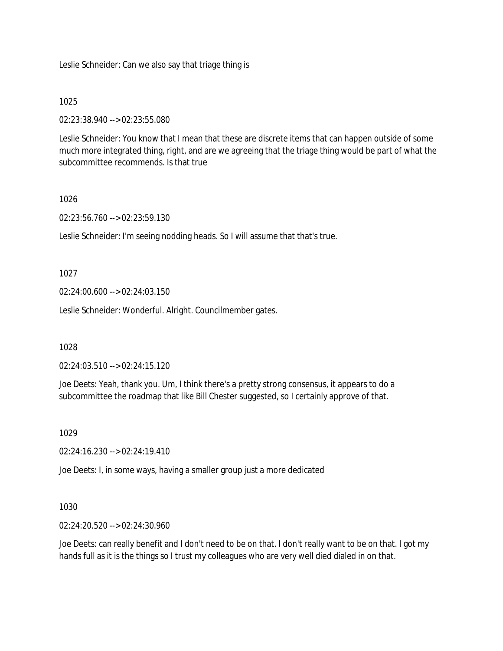Leslie Schneider: Can we also say that triage thing is

### 1025

02:23:38.940 --> 02:23:55.080

Leslie Schneider: You know that I mean that these are discrete items that can happen outside of some much more integrated thing, right, and are we agreeing that the triage thing would be part of what the subcommittee recommends. Is that true

## 1026

02:23:56.760 --> 02:23:59.130

Leslie Schneider: I'm seeing nodding heads. So I will assume that that's true.

### 1027

02:24:00.600 --> 02:24:03.150

Leslie Schneider: Wonderful. Alright. Councilmember gates.

1028

02:24:03.510 --> 02:24:15.120

Joe Deets: Yeah, thank you. Um, I think there's a pretty strong consensus, it appears to do a subcommittee the roadmap that like Bill Chester suggested, so I certainly approve of that.

### 1029

02:24:16.230 --> 02:24:19.410

Joe Deets: I, in some ways, having a smaller group just a more dedicated

### 1030

02:24:20.520 --> 02:24:30.960

Joe Deets: can really benefit and I don't need to be on that. I don't really want to be on that. I got my hands full as it is the things so I trust my colleagues who are very well died dialed in on that.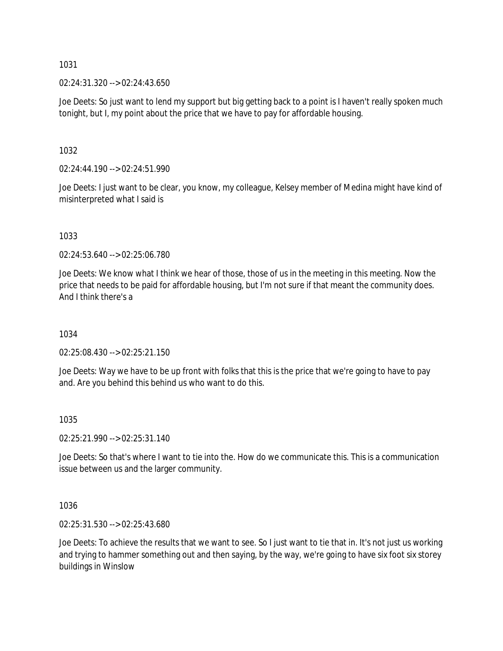02:24:31.320 --> 02:24:43.650

Joe Deets: So just want to lend my support but big getting back to a point is I haven't really spoken much tonight, but I, my point about the price that we have to pay for affordable housing.

1032

02:24:44.190 --> 02:24:51.990

Joe Deets: I just want to be clear, you know, my colleague, Kelsey member of Medina might have kind of misinterpreted what I said is

1033

02:24:53.640 --> 02:25:06.780

Joe Deets: We know what I think we hear of those, those of us in the meeting in this meeting. Now the price that needs to be paid for affordable housing, but I'm not sure if that meant the community does. And I think there's a

1034

02:25:08.430 --> 02:25:21.150

Joe Deets: Way we have to be up front with folks that this is the price that we're going to have to pay and. Are you behind this behind us who want to do this.

1035

02:25:21.990 --> 02:25:31.140

Joe Deets: So that's where I want to tie into the. How do we communicate this. This is a communication issue between us and the larger community.

1036

02:25:31.530 --> 02:25:43.680

Joe Deets: To achieve the results that we want to see. So I just want to tie that in. It's not just us working and trying to hammer something out and then saying, by the way, we're going to have six foot six storey buildings in Winslow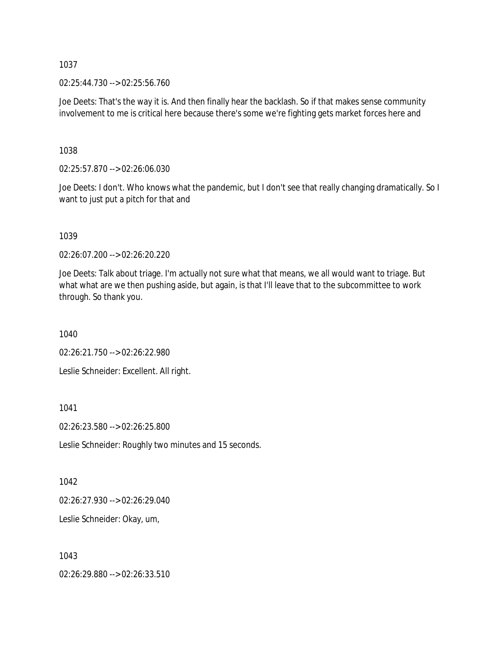02:25:44.730 --> 02:25:56.760

Joe Deets: That's the way it is. And then finally hear the backlash. So if that makes sense community involvement to me is critical here because there's some we're fighting gets market forces here and

1038

02:25:57.870 --> 02:26:06.030

Joe Deets: I don't. Who knows what the pandemic, but I don't see that really changing dramatically. So I want to just put a pitch for that and

1039

02:26:07.200 --> 02:26:20.220

Joe Deets: Talk about triage. I'm actually not sure what that means, we all would want to triage. But what what are we then pushing aside, but again, is that I'll leave that to the subcommittee to work through. So thank you.

1040

02:26:21.750 --> 02:26:22.980

Leslie Schneider: Excellent. All right.

1041

02:26:23.580 --> 02:26:25.800

Leslie Schneider: Roughly two minutes and 15 seconds.

1042

02:26:27.930 --> 02:26:29.040

Leslie Schneider: Okay, um,

1043

02:26:29.880 --> 02:26:33.510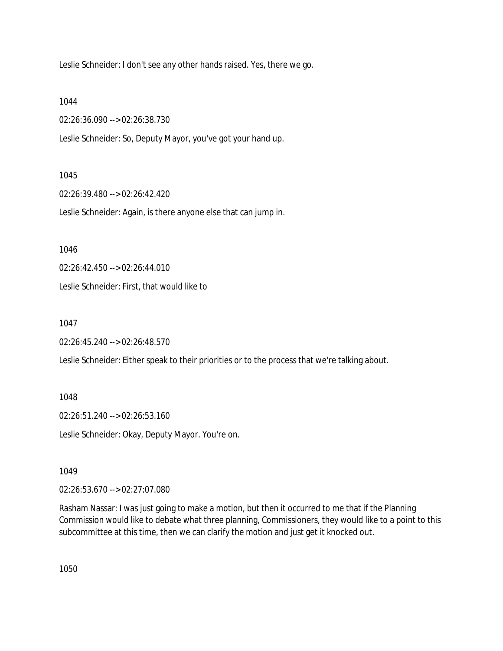Leslie Schneider: I don't see any other hands raised. Yes, there we go.

1044

02:26:36.090 --> 02:26:38.730

Leslie Schneider: So, Deputy Mayor, you've got your hand up.

### 1045

02:26:39.480 --> 02:26:42.420

Leslie Schneider: Again, is there anyone else that can jump in.

1046

02:26:42.450 --> 02:26:44.010

Leslie Schneider: First, that would like to

1047

02:26:45.240 --> 02:26:48.570

Leslie Schneider: Either speak to their priorities or to the process that we're talking about.

1048

02:26:51.240 --> 02:26:53.160

Leslie Schneider: Okay, Deputy Mayor. You're on.

1049

02:26:53.670 --> 02:27:07.080

Rasham Nassar: I was just going to make a motion, but then it occurred to me that if the Planning Commission would like to debate what three planning, Commissioners, they would like to a point to this subcommittee at this time, then we can clarify the motion and just get it knocked out.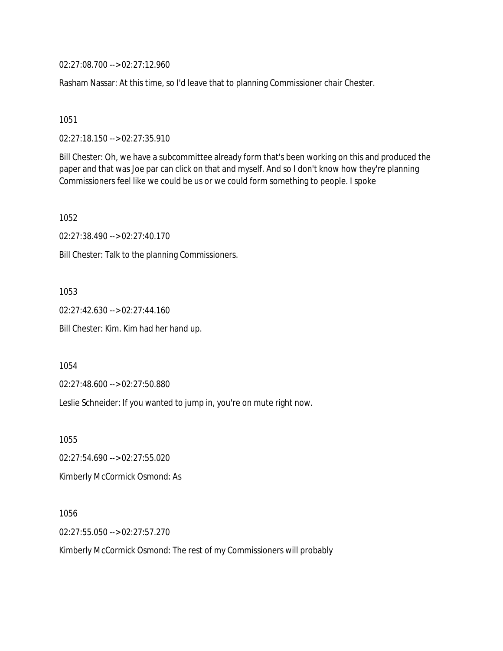02:27:08.700 --> 02:27:12.960

Rasham Nassar: At this time, so I'd leave that to planning Commissioner chair Chester.

1051

02:27:18.150 --> 02:27:35.910

Bill Chester: Oh, we have a subcommittee already form that's been working on this and produced the paper and that was Joe par can click on that and myself. And so I don't know how they're planning Commissioners feel like we could be us or we could form something to people. I spoke

1052

02:27:38.490 --> 02:27:40.170

Bill Chester: Talk to the planning Commissioners.

1053

02:27:42.630 --> 02:27:44.160

Bill Chester: Kim. Kim had her hand up.

1054

02:27:48.600 --> 02:27:50.880

Leslie Schneider: If you wanted to jump in, you're on mute right now.

1055

02:27:54.690 --> 02:27:55.020

Kimberly McCormick Osmond: As

1056

02:27:55.050 --> 02:27:57.270

Kimberly McCormick Osmond: The rest of my Commissioners will probably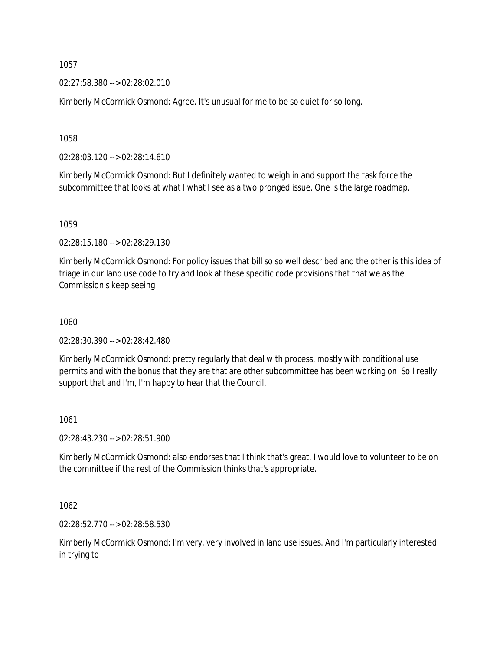02:27:58.380 --> 02:28:02.010

Kimberly McCormick Osmond: Agree. It's unusual for me to be so quiet for so long.

1058

02:28:03.120 --> 02:28:14.610

Kimberly McCormick Osmond: But I definitely wanted to weigh in and support the task force the subcommittee that looks at what I what I see as a two pronged issue. One is the large roadmap.

1059

02:28:15.180 --> 02:28:29.130

Kimberly McCormick Osmond: For policy issues that bill so so well described and the other is this idea of triage in our land use code to try and look at these specific code provisions that that we as the Commission's keep seeing

1060

02:28:30.390 --> 02:28:42.480

Kimberly McCormick Osmond: pretty regularly that deal with process, mostly with conditional use permits and with the bonus that they are that are other subcommittee has been working on. So I really support that and I'm, I'm happy to hear that the Council.

1061

02:28:43.230 --> 02:28:51.900

Kimberly McCormick Osmond: also endorses that I think that's great. I would love to volunteer to be on the committee if the rest of the Commission thinks that's appropriate.

1062

02:28:52.770 --> 02:28:58.530

Kimberly McCormick Osmond: I'm very, very involved in land use issues. And I'm particularly interested in trying to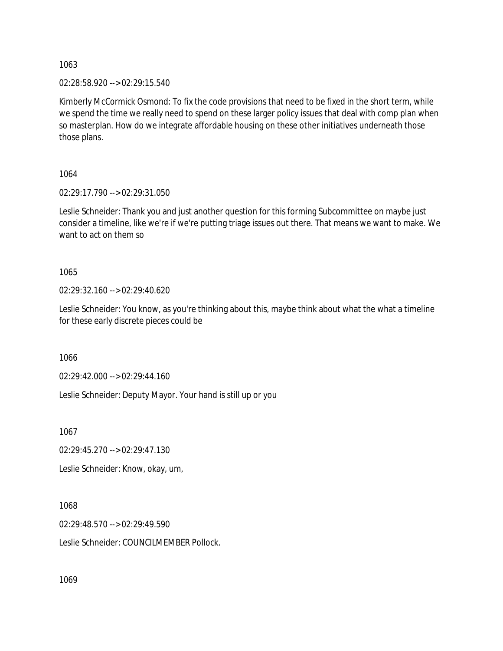02:28:58.920 --> 02:29:15.540

Kimberly McCormick Osmond: To fix the code provisions that need to be fixed in the short term, while we spend the time we really need to spend on these larger policy issues that deal with comp plan when so masterplan. How do we integrate affordable housing on these other initiatives underneath those those plans.

1064

02:29:17.790 --> 02:29:31.050

Leslie Schneider: Thank you and just another question for this forming Subcommittee on maybe just consider a timeline, like we're if we're putting triage issues out there. That means we want to make. We want to act on them so

1065

02:29:32.160 --> 02:29:40.620

Leslie Schneider: You know, as you're thinking about this, maybe think about what the what a timeline for these early discrete pieces could be

1066

02:29:42.000 --> 02:29:44.160

Leslie Schneider: Deputy Mayor. Your hand is still up or you

1067

02:29:45.270 --> 02:29:47.130

Leslie Schneider: Know, okay, um,

1068

02:29:48.570 --> 02:29:49.590 Leslie Schneider: COUNCILMEMBER Pollock.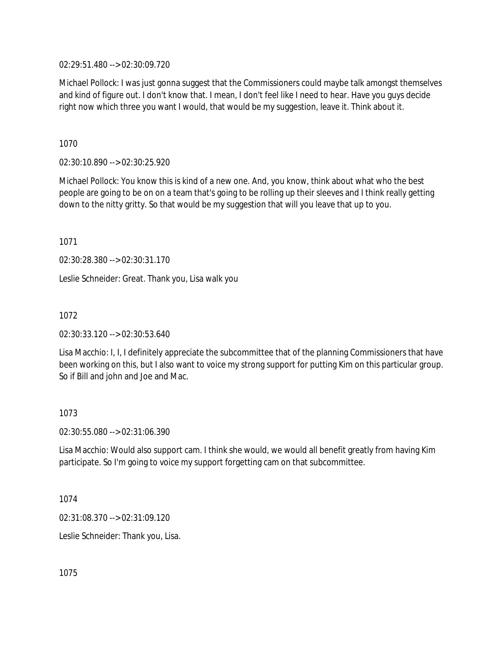02:29:51.480 --> 02:30:09.720

Michael Pollock: I was just gonna suggest that the Commissioners could maybe talk amongst themselves and kind of figure out. I don't know that. I mean, I don't feel like I need to hear. Have you guys decide right now which three you want I would, that would be my suggestion, leave it. Think about it.

1070

02:30:10.890 --> 02:30:25.920

Michael Pollock: You know this is kind of a new one. And, you know, think about what who the best people are going to be on on a team that's going to be rolling up their sleeves and I think really getting down to the nitty gritty. So that would be my suggestion that will you leave that up to you.

1071

02:30:28.380 --> 02:30:31.170

Leslie Schneider: Great. Thank you, Lisa walk you

1072

02:30:33.120 --> 02:30:53.640

Lisa Macchio: I, I, I definitely appreciate the subcommittee that of the planning Commissioners that have been working on this, but I also want to voice my strong support for putting Kim on this particular group. So if Bill and john and Joe and Mac.

1073

02:30:55.080 --> 02:31:06.390

Lisa Macchio: Would also support cam. I think she would, we would all benefit greatly from having Kim participate. So I'm going to voice my support forgetting cam on that subcommittee.

1074

02:31:08.370 --> 02:31:09.120

Leslie Schneider: Thank you, Lisa.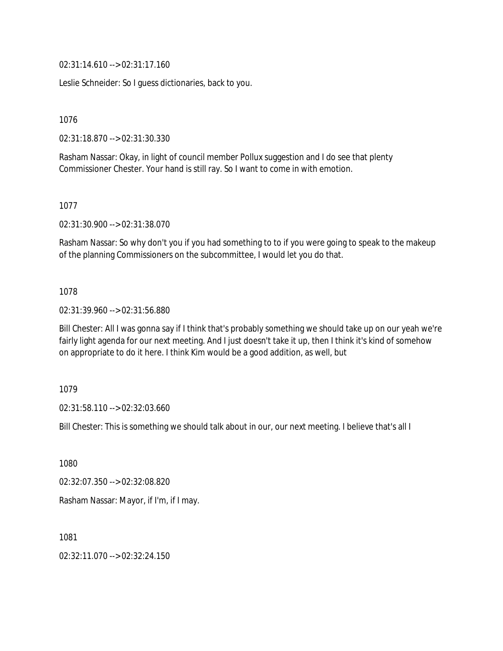02:31:14.610 --> 02:31:17.160

Leslie Schneider: So I guess dictionaries, back to you.

1076

02:31:18.870 --> 02:31:30.330

Rasham Nassar: Okay, in light of council member Pollux suggestion and I do see that plenty Commissioner Chester. Your hand is still ray. So I want to come in with emotion.

1077

02:31:30.900 --> 02:31:38.070

Rasham Nassar: So why don't you if you had something to to if you were going to speak to the makeup of the planning Commissioners on the subcommittee, I would let you do that.

#### 1078

02:31:39.960 --> 02:31:56.880

Bill Chester: All I was gonna say if I think that's probably something we should take up on our yeah we're fairly light agenda for our next meeting. And I just doesn't take it up, then I think it's kind of somehow on appropriate to do it here. I think Kim would be a good addition, as well, but

1079

02:31:58.110 --> 02:32:03.660

Bill Chester: This is something we should talk about in our, our next meeting. I believe that's all I

1080

02:32:07.350 --> 02:32:08.820

Rasham Nassar: Mayor, if I'm, if I may.

1081

02:32:11.070 --> 02:32:24.150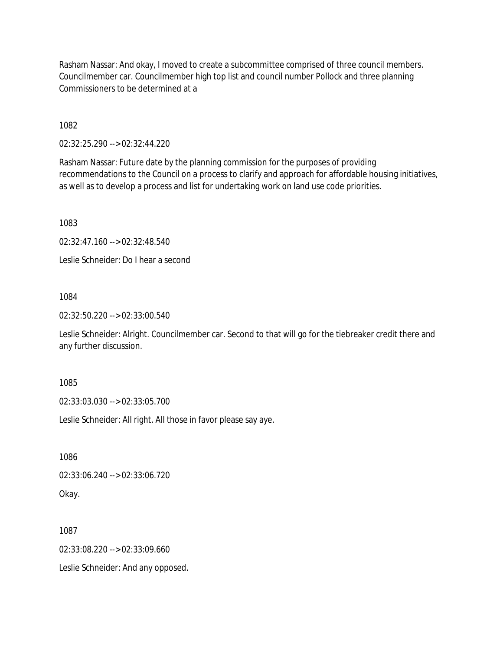Rasham Nassar: And okay, I moved to create a subcommittee comprised of three council members. Councilmember car. Councilmember high top list and council number Pollock and three planning Commissioners to be determined at a

1082

02:32:25.290 --> 02:32:44.220

Rasham Nassar: Future date by the planning commission for the purposes of providing recommendations to the Council on a process to clarify and approach for affordable housing initiatives, as well as to develop a process and list for undertaking work on land use code priorities.

1083

02:32:47.160 --> 02:32:48.540

Leslie Schneider: Do I hear a second

1084

02:32:50.220 --> 02:33:00.540

Leslie Schneider: Alright. Councilmember car. Second to that will go for the tiebreaker credit there and any further discussion.

1085

02:33:03.030 --> 02:33:05.700

Leslie Schneider: All right. All those in favor please say aye.

1086

02:33:06.240 --> 02:33:06.720

Okay.

1087

02:33:08.220 --> 02:33:09.660

Leslie Schneider: And any opposed.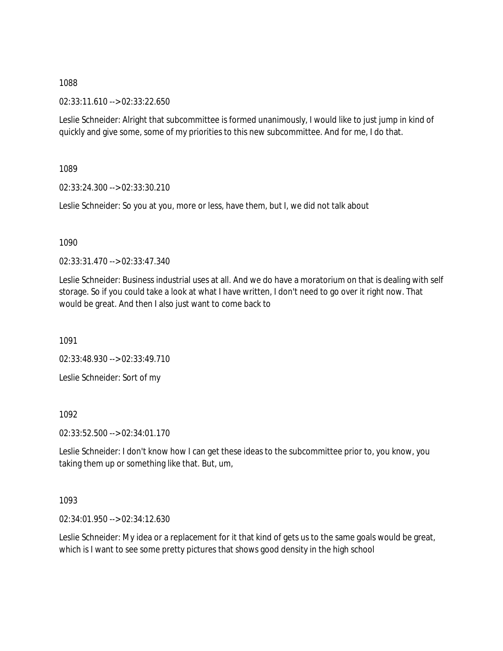02:33:11.610 --> 02:33:22.650

Leslie Schneider: Alright that subcommittee is formed unanimously, I would like to just jump in kind of quickly and give some, some of my priorities to this new subcommittee. And for me, I do that.

1089

02:33:24.300 --> 02:33:30.210

Leslie Schneider: So you at you, more or less, have them, but I, we did not talk about

1090

02:33:31.470 --> 02:33:47.340

Leslie Schneider: Business industrial uses at all. And we do have a moratorium on that is dealing with self storage. So if you could take a look at what I have written, I don't need to go over it right now. That would be great. And then I also just want to come back to

1091

02:33:48.930 --> 02:33:49.710

Leslie Schneider: Sort of my

1092

02:33:52.500 --> 02:34:01.170

Leslie Schneider: I don't know how I can get these ideas to the subcommittee prior to, you know, you taking them up or something like that. But, um,

1093

02:34:01.950 --> 02:34:12.630

Leslie Schneider: My idea or a replacement for it that kind of gets us to the same goals would be great, which is I want to see some pretty pictures that shows good density in the high school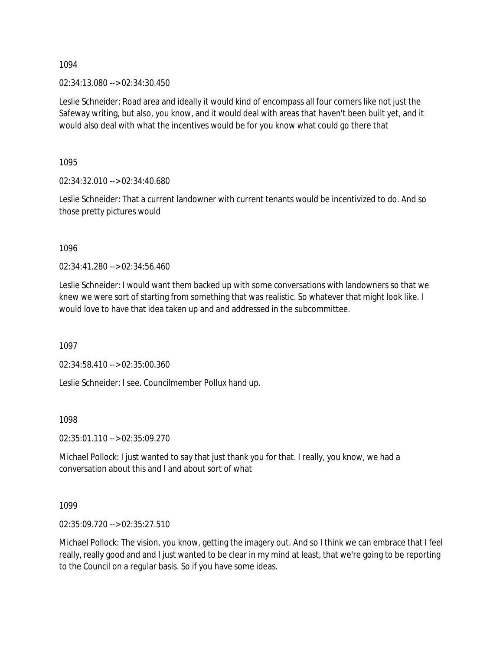02:34:13.080 --> 02:34:30.450

Leslie Schneider: Road area and ideally it would kind of encompass all four corners like not just the Safeway writing, but also, you know, and it would deal with areas that haven't been built yet, and it would also deal with what the incentives would be for you know what could go there that

1095

02:34:32.010 --> 02:34:40.680

Leslie Schneider: That a current landowner with current tenants would be incentivized to do. And so those pretty pictures would

1096

02:34:41.280 --> 02:34:56.460

Leslie Schneider: I would want them backed up with some conversations with landowners so that we knew we were sort of starting from something that was realistic. So whatever that might look like. I would love to have that idea taken up and and addressed in the subcommittee.

1097

02:34:58.410 --> 02:35:00.360

Leslie Schneider: I see. Councilmember Pollux hand up.

1098

02:35:01.110 --> 02:35:09.270

Michael Pollock: I just wanted to say that just thank you for that. I really, you know, we had a conversation about this and I and about sort of what

1099

02:35:09.720 --> 02:35:27.510

Michael Pollock: The vision, you know, getting the imagery out. And so I think we can embrace that I feel really, really good and and I just wanted to be clear in my mind at least, that we're going to be reporting to the Council on a regular basis. So if you have some ideas.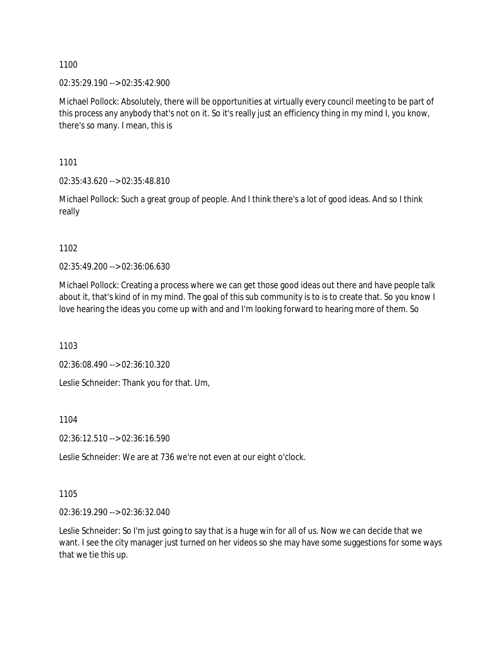02:35:29.190 --> 02:35:42.900

Michael Pollock: Absolutely, there will be opportunities at virtually every council meeting to be part of this process any anybody that's not on it. So it's really just an efficiency thing in my mind I, you know, there's so many. I mean, this is

1101

02:35:43.620 --> 02:35:48.810

Michael Pollock: Such a great group of people. And I think there's a lot of good ideas. And so I think really

1102

02:35:49.200 --> 02:36:06.630

Michael Pollock: Creating a process where we can get those good ideas out there and have people talk about it, that's kind of in my mind. The goal of this sub community is to is to create that. So you know I love hearing the ideas you come up with and and I'm looking forward to hearing more of them. So

1103

02:36:08.490 --> 02:36:10.320

Leslie Schneider: Thank you for that. Um,

1104

02:36:12.510 --> 02:36:16.590

Leslie Schneider: We are at 736 we're not even at our eight o'clock.

1105

02:36:19.290 --> 02:36:32.040

Leslie Schneider: So I'm just going to say that is a huge win for all of us. Now we can decide that we want. I see the city manager just turned on her videos so she may have some suggestions for some ways that we tie this up.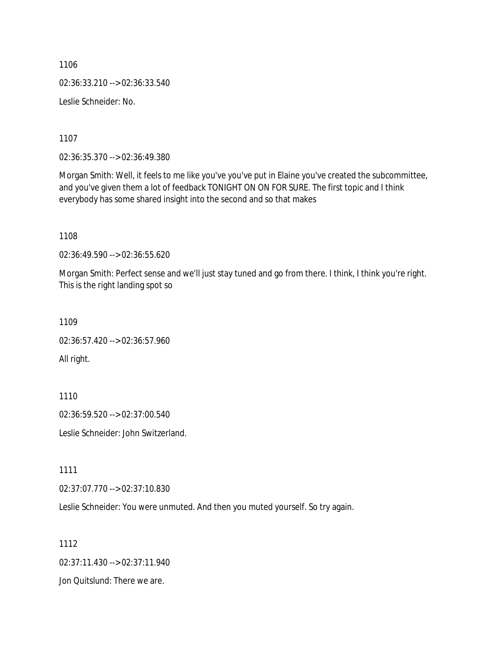1106 02:36:33.210 --> 02:36:33.540 Leslie Schneider: No.

1107

02:36:35.370 --> 02:36:49.380

Morgan Smith: Well, it feels to me like you've you've put in Elaine you've created the subcommittee, and you've given them a lot of feedback TONIGHT ON ON FOR SURE. The first topic and I think everybody has some shared insight into the second and so that makes

1108

02:36:49.590 --> 02:36:55.620

Morgan Smith: Perfect sense and we'll just stay tuned and go from there. I think, I think you're right. This is the right landing spot so

1109

02:36:57.420 --> 02:36:57.960 All right.

1110

02:36:59.520 --> 02:37:00.540

Leslie Schneider: John Switzerland.

1111

02:37:07.770 --> 02:37:10.830

Leslie Schneider: You were unmuted. And then you muted yourself. So try again.

1112

02:37:11.430 --> 02:37:11.940

Jon Quitslund: There we are.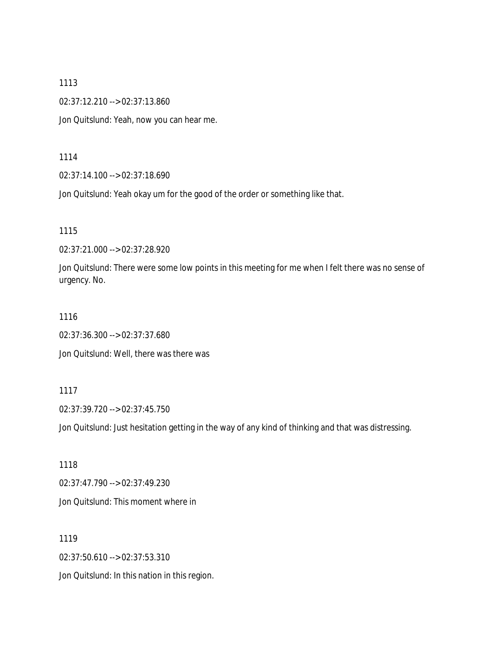02:37:12.210 --> 02:37:13.860

Jon Quitslund: Yeah, now you can hear me.

1114

02:37:14.100 --> 02:37:18.690

Jon Quitslund: Yeah okay um for the good of the order or something like that.

1115

02:37:21.000 --> 02:37:28.920

Jon Quitslund: There were some low points in this meeting for me when I felt there was no sense of urgency. No.

#### 1116

02:37:36.300 --> 02:37:37.680

Jon Quitslund: Well, there was there was

#### 1117

02:37:39.720 --> 02:37:45.750

Jon Quitslund: Just hesitation getting in the way of any kind of thinking and that was distressing.

1118 02:37:47.790 --> 02:37:49.230 Jon Quitslund: This moment where in

1119

02:37:50.610 --> 02:37:53.310

Jon Quitslund: In this nation in this region.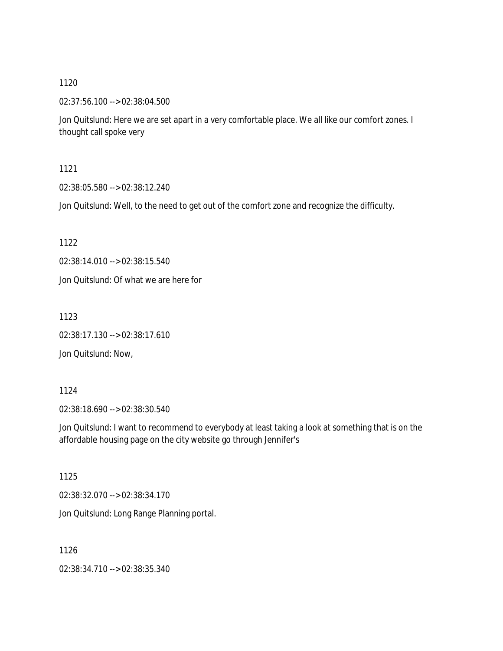02:37:56.100 --> 02:38:04.500

Jon Quitslund: Here we are set apart in a very comfortable place. We all like our comfort zones. I thought call spoke very

1121

02:38:05.580 --> 02:38:12.240

Jon Quitslund: Well, to the need to get out of the comfort zone and recognize the difficulty.

1122

02:38:14.010 --> 02:38:15.540

Jon Quitslund: Of what we are here for

1123

02:38:17.130 --> 02:38:17.610

Jon Quitslund: Now,

1124

02:38:18.690 --> 02:38:30.540

Jon Quitslund: I want to recommend to everybody at least taking a look at something that is on the affordable housing page on the city website go through Jennifer's

1125

02:38:32.070 --> 02:38:34.170

Jon Quitslund: Long Range Planning portal.

1126

02:38:34.710 --> 02:38:35.340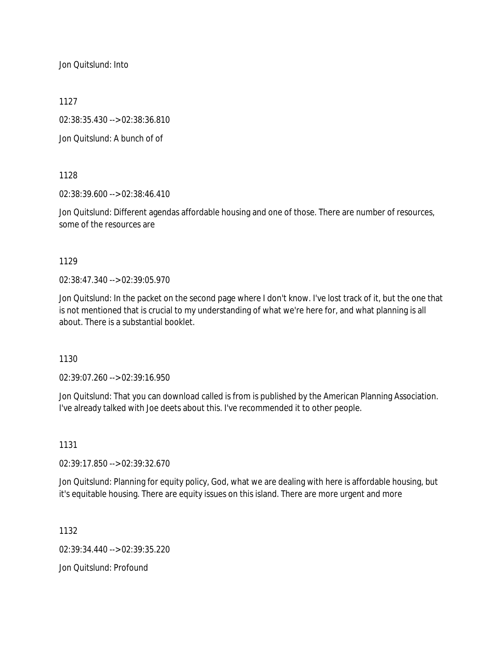Jon Quitslund: Into

1127

02:38:35.430 --> 02:38:36.810

Jon Quitslund: A bunch of of

1128

02:38:39.600 --> 02:38:46.410

Jon Quitslund: Different agendas affordable housing and one of those. There are number of resources, some of the resources are

1129

02:38:47.340 --> 02:39:05.970

Jon Quitslund: In the packet on the second page where I don't know. I've lost track of it, but the one that is not mentioned that is crucial to my understanding of what we're here for, and what planning is all about. There is a substantial booklet.

1130

02:39:07.260 --> 02:39:16.950

Jon Quitslund: That you can download called is from is published by the American Planning Association. I've already talked with Joe deets about this. I've recommended it to other people.

1131

02:39:17.850 --> 02:39:32.670

Jon Quitslund: Planning for equity policy, God, what we are dealing with here is affordable housing, but it's equitable housing. There are equity issues on this island. There are more urgent and more

1132

02:39:34.440 --> 02:39:35.220

Jon Quitslund: Profound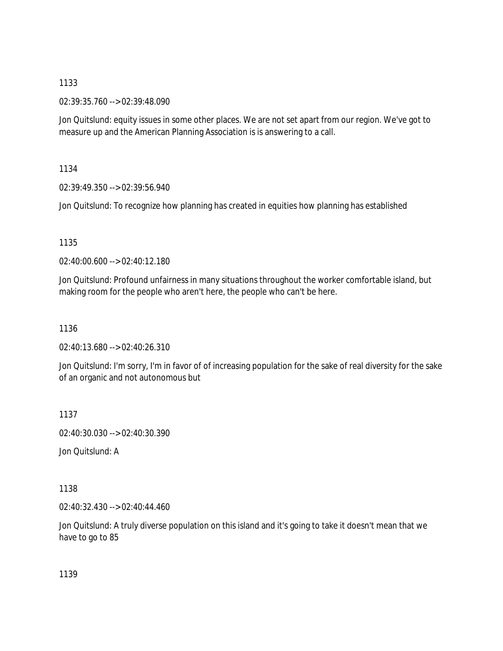02:39:35.760 --> 02:39:48.090

Jon Quitslund: equity issues in some other places. We are not set apart from our region. We've got to measure up and the American Planning Association is is answering to a call.

1134

02:39:49.350 --> 02:39:56.940

Jon Quitslund: To recognize how planning has created in equities how planning has established

1135

02:40:00.600 --> 02:40:12.180

Jon Quitslund: Profound unfairness in many situations throughout the worker comfortable island, but making room for the people who aren't here, the people who can't be here.

1136

02:40:13.680 --> 02:40:26.310

Jon Quitslund: I'm sorry, I'm in favor of of increasing population for the sake of real diversity for the sake of an organic and not autonomous but

1137

02:40:30.030 --> 02:40:30.390

Jon Quitslund: A

1138

02:40:32.430 --> 02:40:44.460

Jon Quitslund: A truly diverse population on this island and it's going to take it doesn't mean that we have to go to 85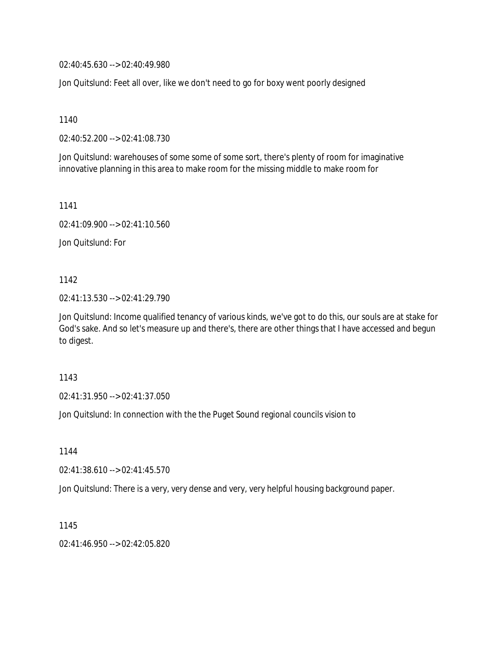02:40:45.630 --> 02:40:49.980

Jon Quitslund: Feet all over, like we don't need to go for boxy went poorly designed

1140

02:40:52.200 --> 02:41:08.730

Jon Quitslund: warehouses of some some of some sort, there's plenty of room for imaginative innovative planning in this area to make room for the missing middle to make room for

1141

02:41:09.900 --> 02:41:10.560

Jon Quitslund: For

1142

02:41:13.530 --> 02:41:29.790

Jon Quitslund: Income qualified tenancy of various kinds, we've got to do this, our souls are at stake for God's sake. And so let's measure up and there's, there are other things that I have accessed and begun to digest.

1143

02:41:31.950 --> 02:41:37.050

Jon Quitslund: In connection with the the Puget Sound regional councils vision to

1144

02:41:38.610 --> 02:41:45.570

Jon Quitslund: There is a very, very dense and very, very helpful housing background paper.

1145

02:41:46.950 --> 02:42:05.820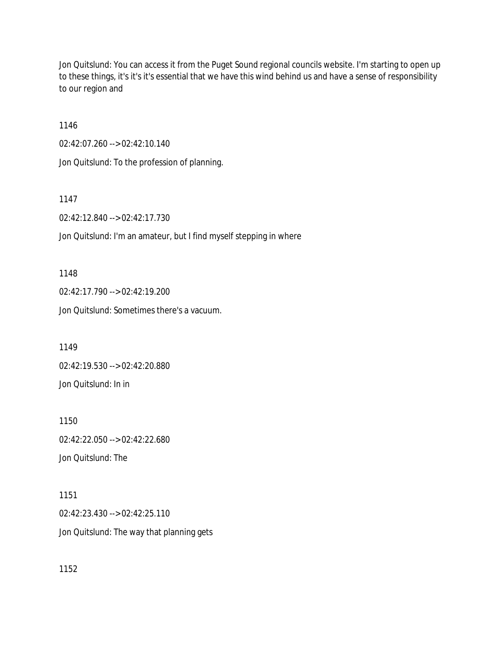Jon Quitslund: You can access it from the Puget Sound regional councils website. I'm starting to open up to these things, it's it's it's essential that we have this wind behind us and have a sense of responsibility to our region and

1146

02:42:07.260 --> 02:42:10.140

Jon Quitslund: To the profession of planning.

1147

02:42:12.840 --> 02:42:17.730

Jon Quitslund: I'm an amateur, but I find myself stepping in where

1148 02:42:17.790 --> 02:42:19.200 Jon Quitslund: Sometimes there's a vacuum.

1149 02:42:19.530 --> 02:42:20.880 Jon Quitslund: In in

1150 02:42:22.050 --> 02:42:22.680 Jon Quitslund: The

1151 02:42:23.430 --> 02:42:25.110 Jon Quitslund: The way that planning gets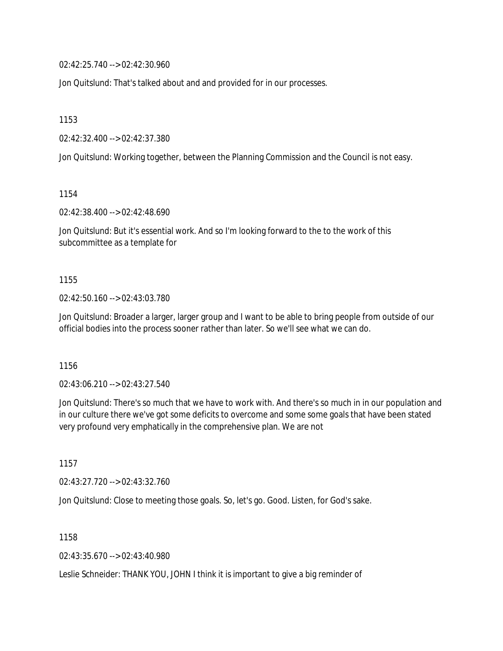02:42:25.740 --> 02:42:30.960

Jon Quitslund: That's talked about and and provided for in our processes.

1153

02:42:32.400 --> 02:42:37.380

Jon Quitslund: Working together, between the Planning Commission and the Council is not easy.

1154

02:42:38.400 --> 02:42:48.690

Jon Quitslund: But it's essential work. And so I'm looking forward to the to the work of this subcommittee as a template for

1155

02:42:50.160 --> 02:43:03.780

Jon Quitslund: Broader a larger, larger group and I want to be able to bring people from outside of our official bodies into the process sooner rather than later. So we'll see what we can do.

1156

02:43:06.210 --> 02:43:27.540

Jon Quitslund: There's so much that we have to work with. And there's so much in in our population and in our culture there we've got some deficits to overcome and some some goals that have been stated very profound very emphatically in the comprehensive plan. We are not

1157

02:43:27.720 --> 02:43:32.760

Jon Quitslund: Close to meeting those goals. So, let's go. Good. Listen, for God's sake.

1158

02:43:35.670 --> 02:43:40.980

Leslie Schneider: THANK YOU, JOHN I think it is important to give a big reminder of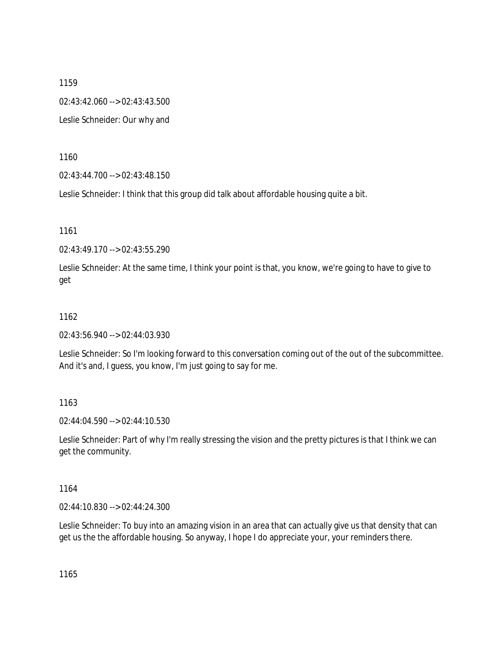1159 02:43:42.060 --> 02:43:43.500 Leslie Schneider: Our why and

1160

02:43:44.700 --> 02:43:48.150

Leslie Schneider: I think that this group did talk about affordable housing quite a bit.

1161

02:43:49.170 --> 02:43:55.290

Leslie Schneider: At the same time, I think your point is that, you know, we're going to have to give to get

## 1162

02:43:56.940 --> 02:44:03.930

Leslie Schneider: So I'm looking forward to this conversation coming out of the out of the subcommittee. And it's and, I guess, you know, I'm just going to say for me.

## 1163

02:44:04.590 --> 02:44:10.530

Leslie Schneider: Part of why I'm really stressing the vision and the pretty pictures is that I think we can get the community.

1164

02:44:10.830 --> 02:44:24.300

Leslie Schneider: To buy into an amazing vision in an area that can actually give us that density that can get us the the affordable housing. So anyway, I hope I do appreciate your, your reminders there.

1165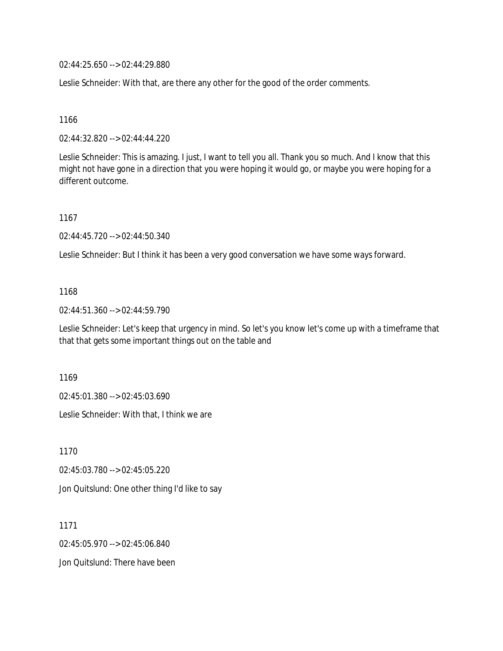02:44:25.650 --> 02:44:29.880

Leslie Schneider: With that, are there any other for the good of the order comments.

1166

02:44:32.820 --> 02:44:44.220

Leslie Schneider: This is amazing. I just, I want to tell you all. Thank you so much. And I know that this might not have gone in a direction that you were hoping it would go, or maybe you were hoping for a different outcome.

1167

02:44:45.720 --> 02:44:50.340

Leslie Schneider: But I think it has been a very good conversation we have some ways forward.

## 1168

02:44:51.360 --> 02:44:59.790

Leslie Schneider: Let's keep that urgency in mind. So let's you know let's come up with a timeframe that that that gets some important things out on the table and

1169

02:45:01.380 --> 02:45:03.690

Leslie Schneider: With that, I think we are

1170 02:45:03.780 --> 02:45:05.220 Jon Quitslund: One other thing I'd like to say

1171 02:45:05.970 --> 02:45:06.840 Jon Quitslund: There have been